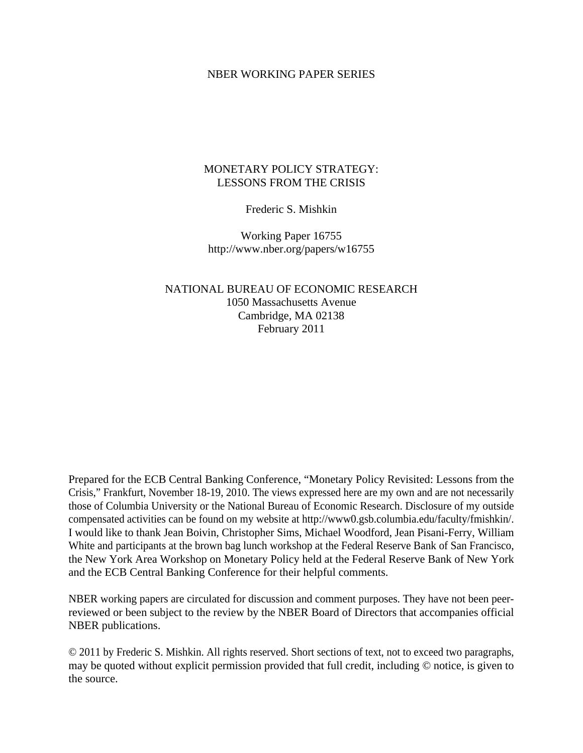### NBER WORKING PAPER SERIES

### MONETARY POLICY STRATEGY: LESSONS FROM THE CRISIS

Frederic S. Mishkin

Working Paper 16755 http://www.nber.org/papers/w16755

NATIONAL BUREAU OF ECONOMIC RESEARCH 1050 Massachusetts Avenue Cambridge, MA 02138 February 2011

Prepared for the ECB Central Banking Conference, "Monetary Policy Revisited: Lessons from the Crisis," Frankfurt, November 18-19, 2010. The views expressed here are my own and are not necessarily those of Columbia University or the National Bureau of Economic Research. Disclosure of my outside compensated activities can be found on my website at http://www0.gsb.columbia.edu/faculty/fmishkin/. I would like to thank Jean Boivin, Christopher Sims, Michael Woodford, Jean Pisani-Ferry, William White and participants at the brown bag lunch workshop at the Federal Reserve Bank of San Francisco, the New York Area Workshop on Monetary Policy held at the Federal Reserve Bank of New York and the ECB Central Banking Conference for their helpful comments.

NBER working papers are circulated for discussion and comment purposes. They have not been peerreviewed or been subject to the review by the NBER Board of Directors that accompanies official NBER publications.

© 2011 by Frederic S. Mishkin. All rights reserved. Short sections of text, not to exceed two paragraphs, may be quoted without explicit permission provided that full credit, including © notice, is given to the source.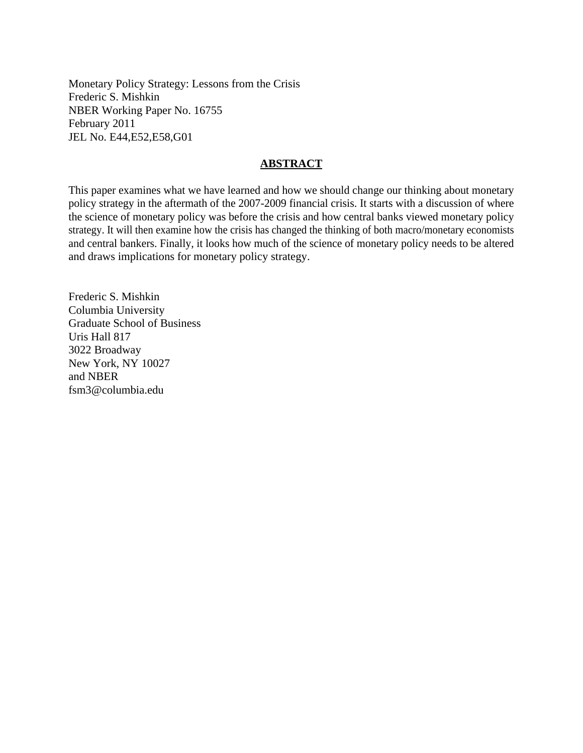Monetary Policy Strategy: Lessons from the Crisis Frederic S. Mishkin NBER Working Paper No. 16755 February 2011 JEL No. E44,E52,E58,G01

### **ABSTRACT**

This paper examines what we have learned and how we should change our thinking about monetary policy strategy in the aftermath of the 2007-2009 financial crisis. It starts with a discussion of where the science of monetary policy was before the crisis and how central banks viewed monetary policy strategy. It will then examine how the crisis has changed the thinking of both macro/monetary economists and central bankers. Finally, it looks how much of the science of monetary policy needs to be altered and draws implications for monetary policy strategy.

Frederic S. Mishkin Columbia University Graduate School of Business Uris Hall 817 3022 Broadway New York, NY 10027 and NBER fsm3@columbia.edu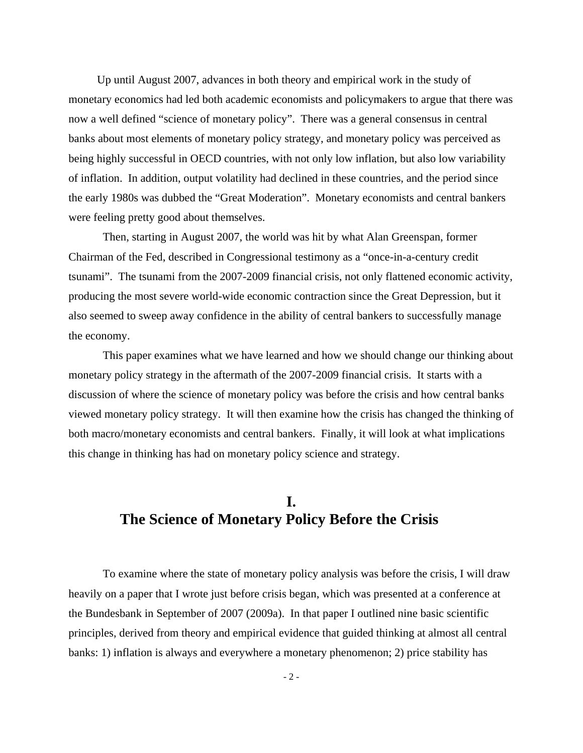Up until August 2007, advances in both theory and empirical work in the study of monetary economics had led both academic economists and policymakers to argue that there was now a well defined "science of monetary policy". There was a general consensus in central banks about most elements of monetary policy strategy, and monetary policy was perceived as being highly successful in OECD countries, with not only low inflation, but also low variability of inflation. In addition, output volatility had declined in these countries, and the period since the early 1980s was dubbed the "Great Moderation". Monetary economists and central bankers were feeling pretty good about themselves.

Then, starting in August 2007, the world was hit by what Alan Greenspan, former Chairman of the Fed, described in Congressional testimony as a "once-in-a-century credit tsunami". The tsunami from the 2007-2009 financial crisis, not only flattened economic activity, producing the most severe world-wide economic contraction since the Great Depression, but it also seemed to sweep away confidence in the ability of central bankers to successfully manage the economy.

This paper examines what we have learned and how we should change our thinking about monetary policy strategy in the aftermath of the 2007-2009 financial crisis. It starts with a discussion of where the science of monetary policy was before the crisis and how central banks viewed monetary policy strategy. It will then examine how the crisis has changed the thinking of both macro/monetary economists and central bankers. Finally, it will look at what implications this change in thinking has had on monetary policy science and strategy.

# **I. The Science of Monetary Policy Before the Crisis**

To examine where the state of monetary policy analysis was before the crisis, I will draw heavily on a paper that I wrote just before crisis began, which was presented at a conference at the Bundesbank in September of 2007 (2009a). In that paper I outlined nine basic scientific principles, derived from theory and empirical evidence that guided thinking at almost all central banks: 1) inflation is always and everywhere a monetary phenomenon; 2) price stability has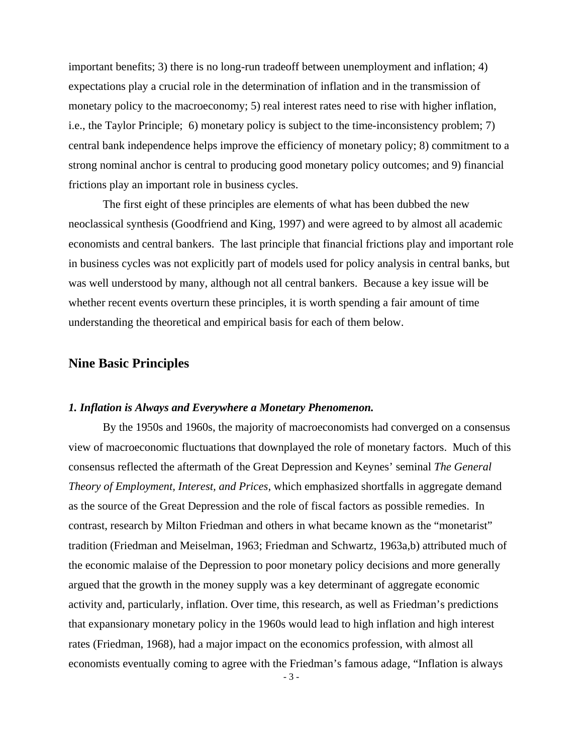important benefits; 3) there is no long-run tradeoff between unemployment and inflation; 4) expectations play a crucial role in the determination of inflation and in the transmission of monetary policy to the macroeconomy; 5) real interest rates need to rise with higher inflation, i.e., the Taylor Principle; 6) monetary policy is subject to the time-inconsistency problem; 7) central bank independence helps improve the efficiency of monetary policy; 8) commitment to a strong nominal anchor is central to producing good monetary policy outcomes; and 9) financial frictions play an important role in business cycles.

The first eight of these principles are elements of what has been dubbed the new neoclassical synthesis (Goodfriend and King, 1997) and were agreed to by almost all academic economists and central bankers. The last principle that financial frictions play and important role in business cycles was not explicitly part of models used for policy analysis in central banks, but was well understood by many, although not all central bankers. Because a key issue will be whether recent events overturn these principles, it is worth spending a fair amount of time understanding the theoretical and empirical basis for each of them below.

### **Nine Basic Principles**

### *1. Inflation is Always and Everywhere a Monetary Phenomenon.*

 By the 1950s and 1960s, the majority of macroeconomists had converged on a consensus view of macroeconomic fluctuations that downplayed the role of monetary factors. Much of this consensus reflected the aftermath of the Great Depression and Keynes' seminal *The General Theory of Employment, Interest, and Prices*, which emphasized shortfalls in aggregate demand as the source of the Great Depression and the role of fiscal factors as possible remedies. In contrast, research by Milton Friedman and others in what became known as the "monetarist" tradition (Friedman and Meiselman, 1963; Friedman and Schwartz, 1963a,b) attributed much of the economic malaise of the Depression to poor monetary policy decisions and more generally argued that the growth in the money supply was a key determinant of aggregate economic activity and, particularly, inflation. Over time, this research, as well as Friedman's predictions that expansionary monetary policy in the 1960s would lead to high inflation and high interest rates (Friedman, 1968), had a major impact on the economics profession, with almost all economists eventually coming to agree with the Friedman's famous adage, "Inflation is always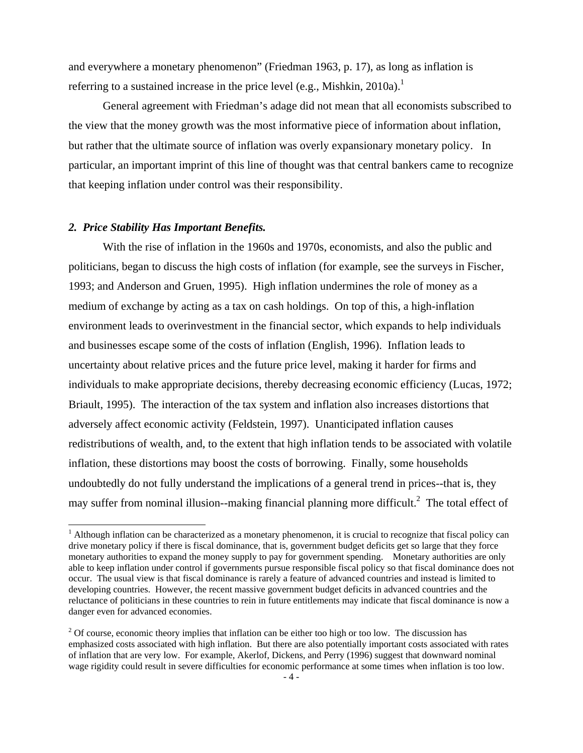and everywhere a monetary phenomenon" (Friedman 1963, p. 17), as long as inflation is referring to a sustained increase in the price level (e.g., Mishkin, 2010a).<sup>1</sup>

 General agreement with Friedman's adage did not mean that all economists subscribed to the view that the money growth was the most informative piece of information about inflation, but rather that the ultimate source of inflation was overly expansionary monetary policy. In particular, an important imprint of this line of thought was that central bankers came to recognize that keeping inflation under control was their responsibility.

### *2. Price Stability Has Important Benefits.*

 $\overline{a}$ 

With the rise of inflation in the 1960s and 1970s, economists, and also the public and politicians, began to discuss the high costs of inflation (for example, see the surveys in Fischer, 1993; and Anderson and Gruen, 1995). High inflation undermines the role of money as a medium of exchange by acting as a tax on cash holdings. On top of this, a high-inflation environment leads to overinvestment in the financial sector, which expands to help individuals and businesses escape some of the costs of inflation (English, 1996). Inflation leads to uncertainty about relative prices and the future price level, making it harder for firms and individuals to make appropriate decisions, thereby decreasing economic efficiency (Lucas, 1972; Briault, 1995). The interaction of the tax system and inflation also increases distortions that adversely affect economic activity (Feldstein, 1997). Unanticipated inflation causes redistributions of wealth, and, to the extent that high inflation tends to be associated with volatile inflation, these distortions may boost the costs of borrowing. Finally, some households undoubtedly do not fully understand the implications of a general trend in prices--that is, they may suffer from nominal illusion--making financial planning more difficult.<sup>2</sup> The total effect of

 $<sup>1</sup>$  Although inflation can be characterized as a monetary phenomenon, it is crucial to recognize that fiscal policy can</sup> drive monetary policy if there is fiscal dominance, that is, government budget deficits get so large that they force monetary authorities to expand the money supply to pay for government spending. Monetary authorities are only able to keep inflation under control if governments pursue responsible fiscal policy so that fiscal dominance does not occur. The usual view is that fiscal dominance is rarely a feature of advanced countries and instead is limited to developing countries. However, the recent massive government budget deficits in advanced countries and the reluctance of politicians in these countries to rein in future entitlements may indicate that fiscal dominance is now a danger even for advanced economies.

 $2^{2}$  Of course, economic theory implies that inflation can be either too high or too low. The discussion has emphasized costs associated with high inflation. But there are also potentially important costs associated with rates of inflation that are very low. For example, Akerlof, Dickens, and Perry (1996) suggest that downward nominal wage rigidity could result in severe difficulties for economic performance at some times when inflation is too low.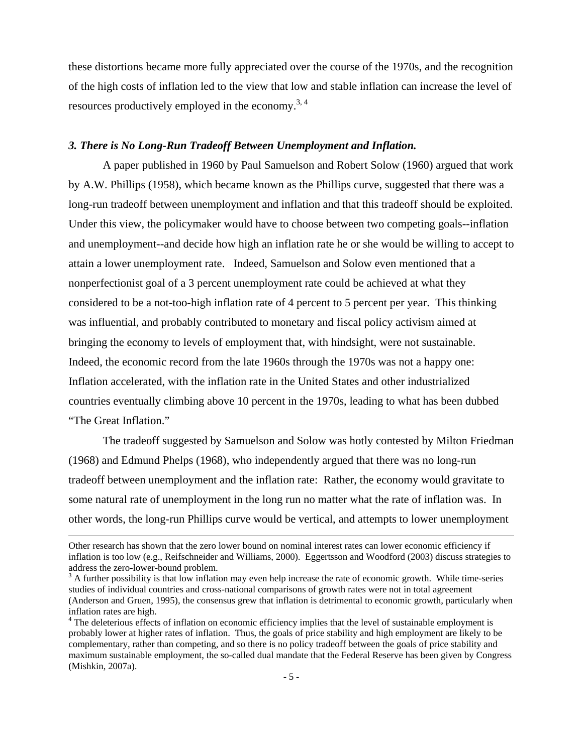these distortions became more fully appreciated over the course of the 1970s, and the recognition of the high costs of inflation led to the view that low and stable inflation can increase the level of resources productively employed in the economy.<sup>3, 4</sup>

#### *3. There is No Long-Run Tradeoff Between Unemployment and Inflation.*

 A paper published in 1960 by Paul Samuelson and Robert Solow (1960) argued that work by A.W. Phillips (1958), which became known as the Phillips curve, suggested that there was a long-run tradeoff between unemployment and inflation and that this tradeoff should be exploited. Under this view, the policymaker would have to choose between two competing goals--inflation and unemployment--and decide how high an inflation rate he or she would be willing to accept to attain a lower unemployment rate. Indeed, Samuelson and Solow even mentioned that a nonperfectionist goal of a 3 percent unemployment rate could be achieved at what they considered to be a not-too-high inflation rate of 4 percent to 5 percent per year. This thinking was influential, and probably contributed to monetary and fiscal policy activism aimed at bringing the economy to levels of employment that, with hindsight, were not sustainable. Indeed, the economic record from the late 1960s through the 1970s was not a happy one: Inflation accelerated, with the inflation rate in the United States and other industrialized countries eventually climbing above 10 percent in the 1970s, leading to what has been dubbed "The Great Inflation."

 The tradeoff suggested by Samuelson and Solow was hotly contested by Milton Friedman (1968) and Edmund Phelps (1968), who independently argued that there was no long-run tradeoff between unemployment and the inflation rate: Rather, the economy would gravitate to some natural rate of unemployment in the long run no matter what the rate of inflation was. In other words, the long-run Phillips curve would be vertical, and attempts to lower unemployment

Other research has shown that the zero lower bound on nominal interest rates can lower economic efficiency if inflation is too low (e.g., Reifschneider and Williams, 2000). Eggertsson and Woodford (2003) discuss strategies to address the zero-lower-bound problem.

 $3$  A further possibility is that low inflation may even help increase the rate of economic growth. While time-series studies of individual countries and cross-national comparisons of growth rates were not in total agreement (Anderson and Gruen, 1995), the consensus grew that inflation is detrimental to economic growth, particularly when inflation rates are high.

<sup>&</sup>lt;sup>4</sup> The deleterious effects of inflation on economic efficiency implies that the level of sustainable employment is probably lower at higher rates of inflation. Thus, the goals of price stability and high employment are likely to be complementary, rather than competing, and so there is no policy tradeoff between the goals of price stability and maximum sustainable employment, the so-called dual mandate that the Federal Reserve has been given by Congress (Mishkin, 2007a).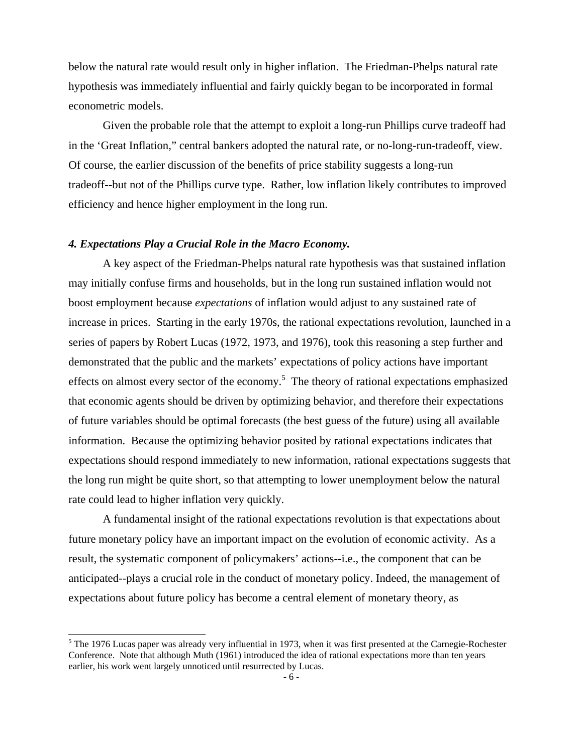below the natural rate would result only in higher inflation. The Friedman-Phelps natural rate hypothesis was immediately influential and fairly quickly began to be incorporated in formal econometric models.

 Given the probable role that the attempt to exploit a long-run Phillips curve tradeoff had in the 'Great Inflation," central bankers adopted the natural rate, or no-long-run-tradeoff, view. Of course, the earlier discussion of the benefits of price stability suggests a long-run tradeoff--but not of the Phillips curve type. Rather, low inflation likely contributes to improved efficiency and hence higher employment in the long run.

#### *4. Expectations Play a Crucial Role in the Macro Economy.*

 $\overline{a}$ 

 A key aspect of the Friedman-Phelps natural rate hypothesis was that sustained inflation may initially confuse firms and households, but in the long run sustained inflation would not boost employment because *expectations* of inflation would adjust to any sustained rate of increase in prices. Starting in the early 1970s, the rational expectations revolution, launched in a series of papers by Robert Lucas (1972, 1973, and 1976), took this reasoning a step further and demonstrated that the public and the markets' expectations of policy actions have important effects on almost every sector of the economy.<sup>5</sup> The theory of rational expectations emphasized that economic agents should be driven by optimizing behavior, and therefore their expectations of future variables should be optimal forecasts (the best guess of the future) using all available information. Because the optimizing behavior posited by rational expectations indicates that expectations should respond immediately to new information, rational expectations suggests that the long run might be quite short, so that attempting to lower unemployment below the natural rate could lead to higher inflation very quickly.

 A fundamental insight of the rational expectations revolution is that expectations about future monetary policy have an important impact on the evolution of economic activity. As a result, the systematic component of policymakers' actions--i.e., the component that can be anticipated--plays a crucial role in the conduct of monetary policy. Indeed, the management of expectations about future policy has become a central element of monetary theory, as

 $<sup>5</sup>$  The 1976 Lucas paper was already very influential in 1973, when it was first presented at the Carnegie-Rochester</sup> Conference. Note that although Muth (1961) introduced the idea of rational expectations more than ten years earlier, his work went largely unnoticed until resurrected by Lucas.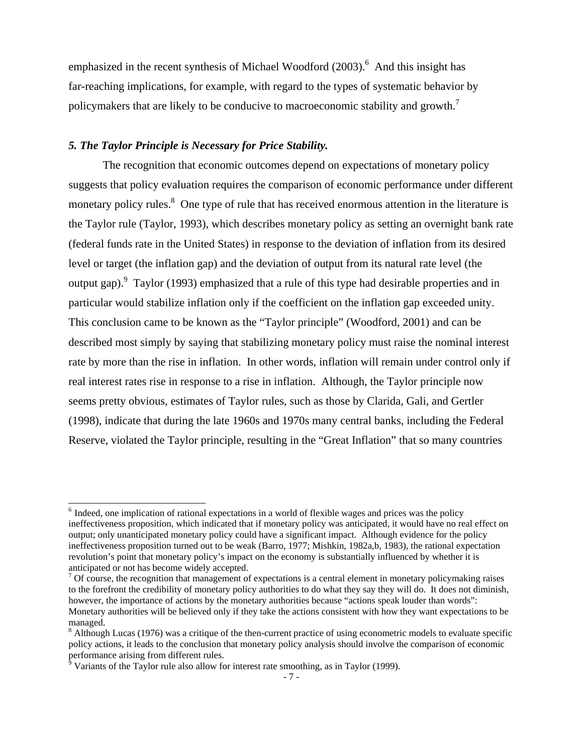emphasized in the recent synthesis of Michael Woodford (2003).<sup>6</sup> And this insight has far-reaching implications, for example, with regard to the types of systematic behavior by policymakers that are likely to be conducive to macroeconomic stability and growth.<sup>7</sup>

### *5. The Taylor Principle is Necessary for Price Stability.*

 The recognition that economic outcomes depend on expectations of monetary policy suggests that policy evaluation requires the comparison of economic performance under different monetary policy rules.<sup>8</sup> One type of rule that has received enormous attention in the literature is the Taylor rule (Taylor, 1993), which describes monetary policy as setting an overnight bank rate (federal funds rate in the United States) in response to the deviation of inflation from its desired level or target (the inflation gap) and the deviation of output from its natural rate level (the output gap). Taylor (1993) emphasized that a rule of this type had desirable properties and in particular would stabilize inflation only if the coefficient on the inflation gap exceeded unity. This conclusion came to be known as the "Taylor principle" (Woodford, 2001) and can be described most simply by saying that stabilizing monetary policy must raise the nominal interest rate by more than the rise in inflation. In other words, inflation will remain under control only if real interest rates rise in response to a rise in inflation. Although, the Taylor principle now seems pretty obvious, estimates of Taylor rules, such as those by Clarida, Gali, and Gertler (1998), indicate that during the late 1960s and 1970s many central banks, including the Federal Reserve, violated the Taylor principle, resulting in the "Great Inflation" that so many countries

<sup>&</sup>lt;sup>6</sup> Indeed, one implication of rational expectations in a world of flexible wages and prices was the policy ineffectiveness proposition, which indicated that if monetary policy was anticipated, it would have no real effect on output; only unanticipated monetary policy could have a significant impact. Although evidence for the policy ineffectiveness proposition turned out to be weak (Barro, 1977; Mishkin, 1982a,b, 1983), the rational expectation revolution's point that monetary policy's impact on the economy is substantially influenced by whether it is anticipated or not has become widely accepted.

 $<sup>7</sup>$  Of course, the recognition that management of expectations is a central element in monetary policymaking raises</sup> to the forefront the credibility of monetary policy authorities to do what they say they will do. It does not diminish, however, the importance of actions by the monetary authorities because "actions speak louder than words": Monetary authorities will be believed only if they take the actions consistent with how they want expectations to be managed.

 $8$  Although Lucas (1976) was a critique of the then-current practice of using econometric models to evaluate specific policy actions, it leads to the conclusion that monetary policy analysis should involve the comparison of economic performance arising from different rules.<br><sup>9</sup> Variants of the Taylor rule also allow for interest rate smoothing, as in Taylor (1999).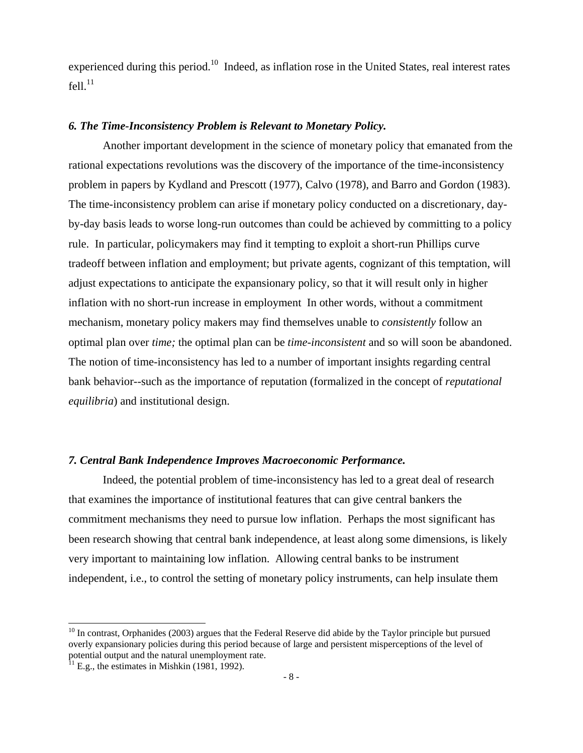experienced during this period.<sup>10</sup> Indeed, as inflation rose in the United States, real interest rates  $f$ ell.<sup>11</sup>

#### *6. The Time-Inconsistency Problem is Relevant to Monetary Policy.*

 Another important development in the science of monetary policy that emanated from the rational expectations revolutions was the discovery of the importance of the time-inconsistency problem in papers by Kydland and Prescott (1977), Calvo (1978), and Barro and Gordon (1983). The time-inconsistency problem can arise if monetary policy conducted on a discretionary, dayby-day basis leads to worse long-run outcomes than could be achieved by committing to a policy rule. In particular, policymakers may find it tempting to exploit a short-run Phillips curve tradeoff between inflation and employment; but private agents, cognizant of this temptation, will adjust expectations to anticipate the expansionary policy, so that it will result only in higher inflation with no short-run increase in employment In other words, without a commitment mechanism, monetary policy makers may find themselves unable to *consistently* follow an optimal plan over *time;* the optimal plan can be *time-inconsistent* and so will soon be abandoned. The notion of time-inconsistency has led to a number of important insights regarding central bank behavior--such as the importance of reputation (formalized in the concept of *reputational equilibria*) and institutional design.

### *7. Central Bank Independence Improves Macroeconomic Performance.*

 Indeed, the potential problem of time-inconsistency has led to a great deal of research that examines the importance of institutional features that can give central bankers the commitment mechanisms they need to pursue low inflation. Perhaps the most significant has been research showing that central bank independence, at least along some dimensions, is likely very important to maintaining low inflation. Allowing central banks to be instrument independent, i.e., to control the setting of monetary policy instruments, can help insulate them

 $10$  In contrast, Orphanides (2003) argues that the Federal Reserve did abide by the Taylor principle but pursued overly expansionary policies during this period because of large and persistent misperceptions of the level of potential output and the natural unemployment rate.

 $^{11}$  E.g., the estimates in Mishkin (1981, 1992).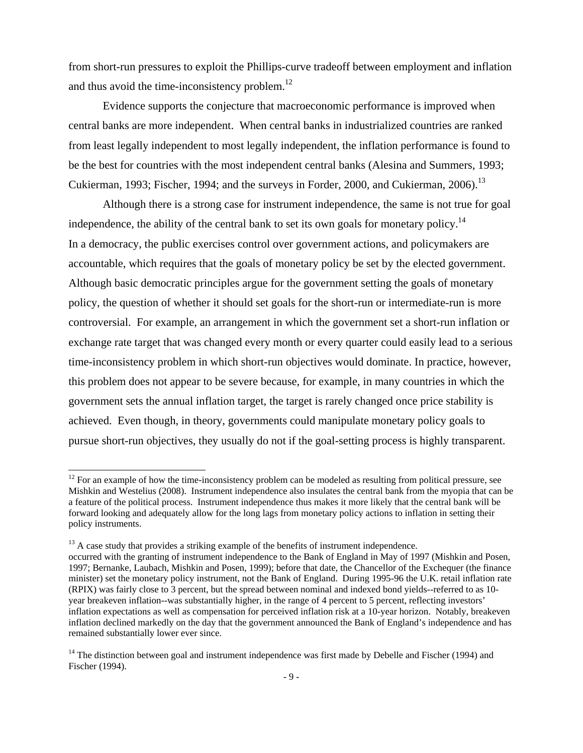from short-run pressures to exploit the Phillips-curve tradeoff between employment and inflation and thus avoid the time-inconsistency problem.<sup>12</sup>

Evidence supports the conjecture that macroeconomic performance is improved when central banks are more independent. When central banks in industrialized countries are ranked from least legally independent to most legally independent, the inflation performance is found to be the best for countries with the most independent central banks (Alesina and Summers, 1993; Cukierman, 1993; Fischer, 1994; and the surveys in Forder, 2000, and Cukierman, 2006).<sup>13</sup>

 Although there is a strong case for instrument independence, the same is not true for goal independence, the ability of the central bank to set its own goals for monetary policy.<sup>14</sup> In a democracy, the public exercises control over government actions, and policymakers are accountable, which requires that the goals of monetary policy be set by the elected government. Although basic democratic principles argue for the government setting the goals of monetary policy, the question of whether it should set goals for the short-run or intermediate-run is more controversial. For example, an arrangement in which the government set a short-run inflation or exchange rate target that was changed every month or every quarter could easily lead to a serious time-inconsistency problem in which short-run objectives would dominate. In practice, however, this problem does not appear to be severe because, for example, in many countries in which the government sets the annual inflation target, the target is rarely changed once price stability is achieved. Even though, in theory, governments could manipulate monetary policy goals to pursue short-run objectives, they usually do not if the goal-setting process is highly transparent.

 $12$  For an example of how the time-inconsistency problem can be modeled as resulting from political pressure, see Mishkin and Westelius (2008). Instrument independence also insulates the central bank from the myopia that can be a feature of the political process. Instrument independence thus makes it more likely that the central bank will be forward looking and adequately allow for the long lags from monetary policy actions to inflation in setting their policy instruments.

 $<sup>13</sup>$  A case study that provides a striking example of the benefits of instrument independence.</sup>

occurred with the granting of instrument independence to the Bank of England in May of 1997 (Mishkin and Posen, 1997; Bernanke, Laubach, Mishkin and Posen, 1999); before that date, the Chancellor of the Exchequer (the finance minister) set the monetary policy instrument, not the Bank of England. During 1995-96 the U.K. retail inflation rate (RPIX) was fairly close to 3 percent, but the spread between nominal and indexed bond yields--referred to as 10 year breakeven inflation--was substantially higher, in the range of 4 percent to 5 percent, reflecting investors' inflation expectations as well as compensation for perceived inflation risk at a 10-year horizon. Notably, breakeven inflation declined markedly on the day that the government announced the Bank of England's independence and has remained substantially lower ever since.

<sup>&</sup>lt;sup>14</sup> The distinction between goal and instrument independence was first made by Debelle and Fischer (1994) and Fischer (1994).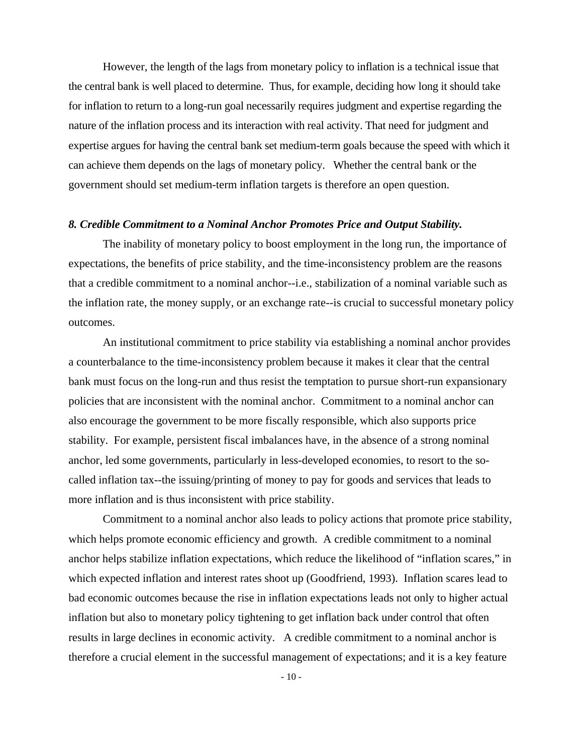However, the length of the lags from monetary policy to inflation is a technical issue that the central bank is well placed to determine. Thus, for example, deciding how long it should take for inflation to return to a long-run goal necessarily requires judgment and expertise regarding the nature of the inflation process and its interaction with real activity. That need for judgment and expertise argues for having the central bank set medium-term goals because the speed with which it can achieve them depends on the lags of monetary policy. Whether the central bank or the government should set medium-term inflation targets is therefore an open question.

#### *8. Credible Commitment to a Nominal Anchor Promotes Price and Output Stability.*

 The inability of monetary policy to boost employment in the long run, the importance of expectations, the benefits of price stability, and the time-inconsistency problem are the reasons that a credible commitment to a nominal anchor--i.e., stabilization of a nominal variable such as the inflation rate, the money supply, or an exchange rate--is crucial to successful monetary policy outcomes.

 An institutional commitment to price stability via establishing a nominal anchor provides a counterbalance to the time-inconsistency problem because it makes it clear that the central bank must focus on the long-run and thus resist the temptation to pursue short-run expansionary policies that are inconsistent with the nominal anchor. Commitment to a nominal anchor can also encourage the government to be more fiscally responsible, which also supports price stability. For example, persistent fiscal imbalances have, in the absence of a strong nominal anchor, led some governments, particularly in less-developed economies, to resort to the socalled inflation tax--the issuing/printing of money to pay for goods and services that leads to more inflation and is thus inconsistent with price stability.

 Commitment to a nominal anchor also leads to policy actions that promote price stability, which helps promote economic efficiency and growth. A credible commitment to a nominal anchor helps stabilize inflation expectations, which reduce the likelihood of "inflation scares," in which expected inflation and interest rates shoot up (Goodfriend, 1993). Inflation scares lead to bad economic outcomes because the rise in inflation expectations leads not only to higher actual inflation but also to monetary policy tightening to get inflation back under control that often results in large declines in economic activity. A credible commitment to a nominal anchor is therefore a crucial element in the successful management of expectations; and it is a key feature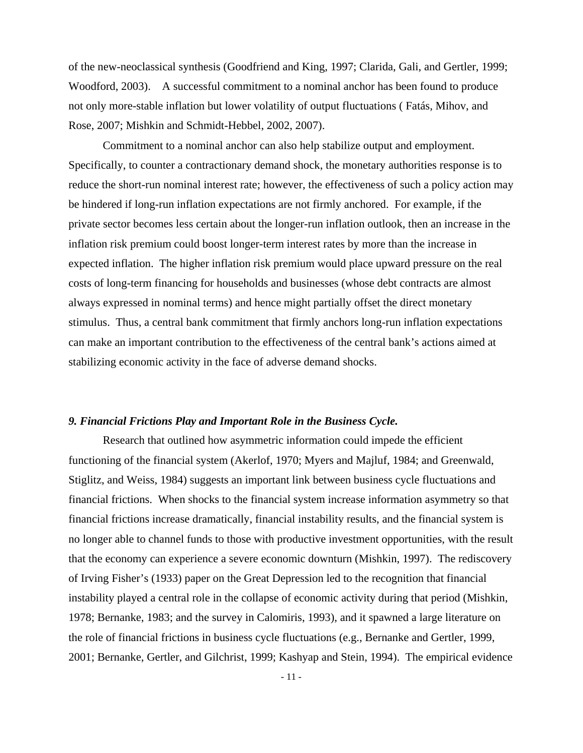of the new-neoclassical synthesis (Goodfriend and King, 1997; Clarida, Gali, and Gertler, 1999; Woodford, 2003). A successful commitment to a nominal anchor has been found to produce not only more-stable inflation but lower volatility of output fluctuations ( Fatás, Mihov, and Rose, 2007; Mishkin and Schmidt-Hebbel, 2002, 2007).

 Commitment to a nominal anchor can also help stabilize output and employment. Specifically, to counter a contractionary demand shock, the monetary authorities response is to reduce the short-run nominal interest rate; however, the effectiveness of such a policy action may be hindered if long-run inflation expectations are not firmly anchored. For example, if the private sector becomes less certain about the longer-run inflation outlook, then an increase in the inflation risk premium could boost longer-term interest rates by more than the increase in expected inflation. The higher inflation risk premium would place upward pressure on the real costs of long-term financing for households and businesses (whose debt contracts are almost always expressed in nominal terms) and hence might partially offset the direct monetary stimulus. Thus, a central bank commitment that firmly anchors long-run inflation expectations can make an important contribution to the effectiveness of the central bank's actions aimed at stabilizing economic activity in the face of adverse demand shocks.

#### *9. Financial Frictions Play and Important Role in the Business Cycle.*

 Research that outlined how asymmetric information could impede the efficient functioning of the financial system (Akerlof, 1970; Myers and Majluf, 1984; and Greenwald, Stiglitz, and Weiss, 1984) suggests an important link between business cycle fluctuations and financial frictions. When shocks to the financial system increase information asymmetry so that financial frictions increase dramatically, financial instability results, and the financial system is no longer able to channel funds to those with productive investment opportunities, with the result that the economy can experience a severe economic downturn (Mishkin, 1997). The rediscovery of Irving Fisher's (1933) paper on the Great Depression led to the recognition that financial instability played a central role in the collapse of economic activity during that period (Mishkin, 1978; Bernanke, 1983; and the survey in Calomiris, 1993), and it spawned a large literature on the role of financial frictions in business cycle fluctuations (e.g., Bernanke and Gertler, 1999, 2001; Bernanke, Gertler, and Gilchrist, 1999; Kashyap and Stein, 1994). The empirical evidence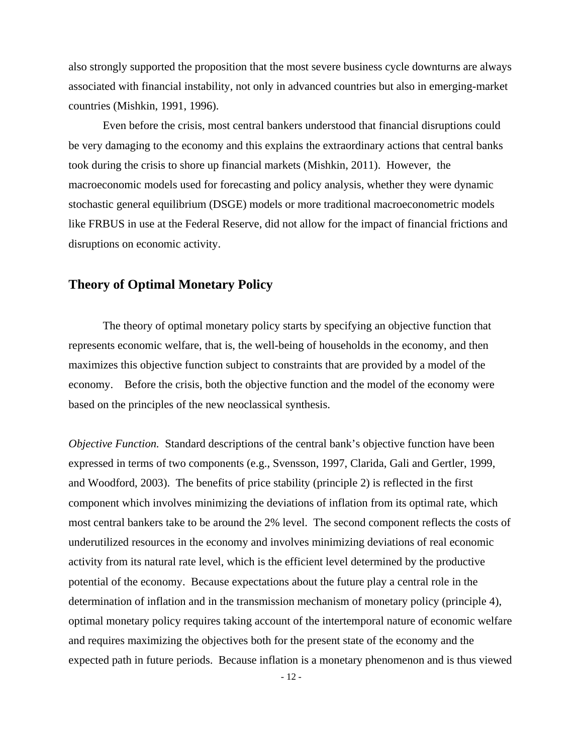also strongly supported the proposition that the most severe business cycle downturns are always associated with financial instability, not only in advanced countries but also in emerging-market countries (Mishkin, 1991, 1996).

Even before the crisis, most central bankers understood that financial disruptions could be very damaging to the economy and this explains the extraordinary actions that central banks took during the crisis to shore up financial markets (Mishkin, 2011). However, the macroeconomic models used for forecasting and policy analysis, whether they were dynamic stochastic general equilibrium (DSGE) models or more traditional macroeconometric models like FRBUS in use at the Federal Reserve, did not allow for the impact of financial frictions and disruptions on economic activity.

# **Theory of Optimal Monetary Policy**

The theory of optimal monetary policy starts by specifying an objective function that represents economic welfare, that is, the well-being of households in the economy, and then maximizes this objective function subject to constraints that are provided by a model of the economy. Before the crisis, both the objective function and the model of the economy were based on the principles of the new neoclassical synthesis.

*Objective Function.* Standard descriptions of the central bank's objective function have been expressed in terms of two components (e.g., Svensson, 1997, Clarida, Gali and Gertler, 1999, and Woodford, 2003). The benefits of price stability (principle 2) is reflected in the first component which involves minimizing the deviations of inflation from its optimal rate, which most central bankers take to be around the 2% level. The second component reflects the costs of underutilized resources in the economy and involves minimizing deviations of real economic activity from its natural rate level, which is the efficient level determined by the productive potential of the economy. Because expectations about the future play a central role in the determination of inflation and in the transmission mechanism of monetary policy (principle 4), optimal monetary policy requires taking account of the intertemporal nature of economic welfare and requires maximizing the objectives both for the present state of the economy and the expected path in future periods. Because inflation is a monetary phenomenon and is thus viewed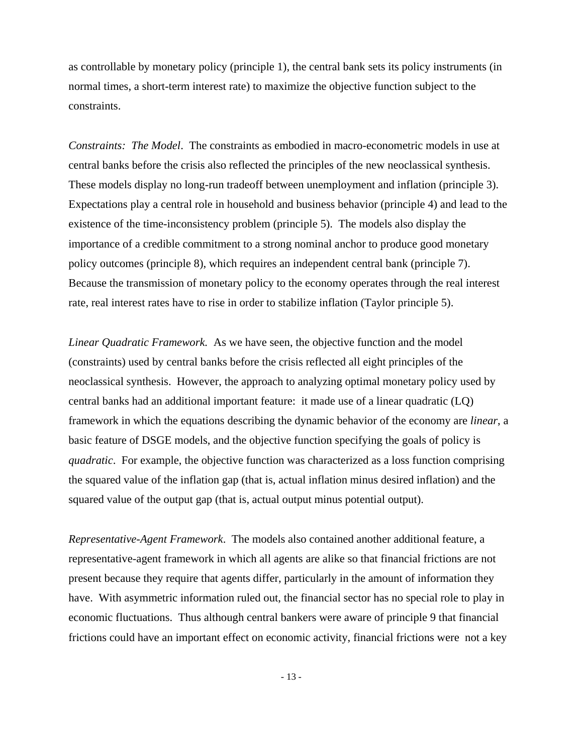as controllable by monetary policy (principle 1), the central bank sets its policy instruments (in normal times, a short-term interest rate) to maximize the objective function subject to the constraints.

*Constraints: The Model*. The constraints as embodied in macro-econometric models in use at central banks before the crisis also reflected the principles of the new neoclassical synthesis. These models display no long-run tradeoff between unemployment and inflation (principle 3). Expectations play a central role in household and business behavior (principle 4) and lead to the existence of the time-inconsistency problem (principle 5). The models also display the importance of a credible commitment to a strong nominal anchor to produce good monetary policy outcomes (principle 8), which requires an independent central bank (principle 7). Because the transmission of monetary policy to the economy operates through the real interest rate, real interest rates have to rise in order to stabilize inflation (Taylor principle 5).

*Linear Quadratic Framework.* As we have seen, the objective function and the model (constraints) used by central banks before the crisis reflected all eight principles of the neoclassical synthesis. However, the approach to analyzing optimal monetary policy used by central banks had an additional important feature: it made use of a linear quadratic (LQ) framework in which the equations describing the dynamic behavior of the economy are *linear*, a basic feature of DSGE models, and the objective function specifying the goals of policy is *quadratic*. For example, the objective function was characterized as a loss function comprising the squared value of the inflation gap (that is, actual inflation minus desired inflation) and the squared value of the output gap (that is, actual output minus potential output).

*Representative-Agent Framework*. The models also contained another additional feature, a representative-agent framework in which all agents are alike so that financial frictions are not present because they require that agents differ, particularly in the amount of information they have. With asymmetric information ruled out, the financial sector has no special role to play in economic fluctuations. Thus although central bankers were aware of principle 9 that financial frictions could have an important effect on economic activity, financial frictions were not a key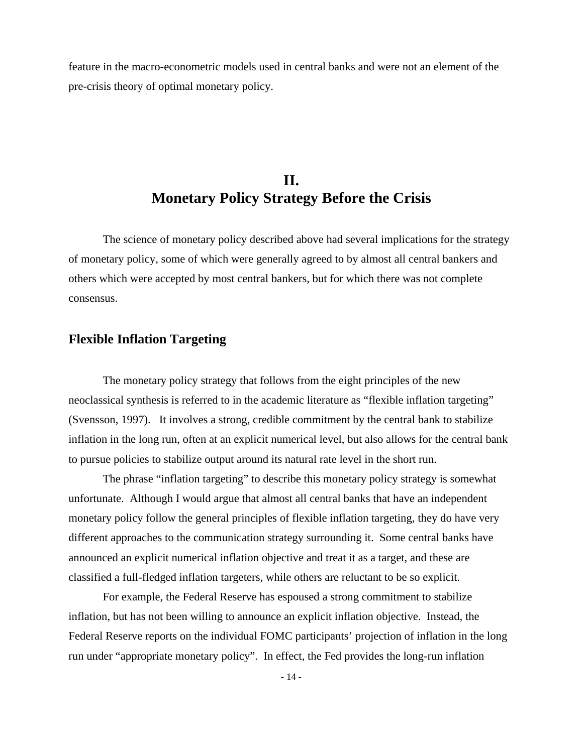feature in the macro-econometric models used in central banks and were not an element of the pre-crisis theory of optimal monetary policy.

# **II. Monetary Policy Strategy Before the Crisis**

 The science of monetary policy described above had several implications for the strategy of monetary policy, some of which were generally agreed to by almost all central bankers and others which were accepted by most central bankers, but for which there was not complete consensus.

# **Flexible Inflation Targeting**

 The monetary policy strategy that follows from the eight principles of the new neoclassical synthesis is referred to in the academic literature as "flexible inflation targeting" (Svensson, 1997). It involves a strong, credible commitment by the central bank to stabilize inflation in the long run, often at an explicit numerical level, but also allows for the central bank to pursue policies to stabilize output around its natural rate level in the short run.

The phrase "inflation targeting" to describe this monetary policy strategy is somewhat unfortunate. Although I would argue that almost all central banks that have an independent monetary policy follow the general principles of flexible inflation targeting, they do have very different approaches to the communication strategy surrounding it. Some central banks have announced an explicit numerical inflation objective and treat it as a target, and these are classified a full-fledged inflation targeters, while others are reluctant to be so explicit.

For example, the Federal Reserve has espoused a strong commitment to stabilize inflation, but has not been willing to announce an explicit inflation objective. Instead, the Federal Reserve reports on the individual FOMC participants' projection of inflation in the long run under "appropriate monetary policy". In effect, the Fed provides the long-run inflation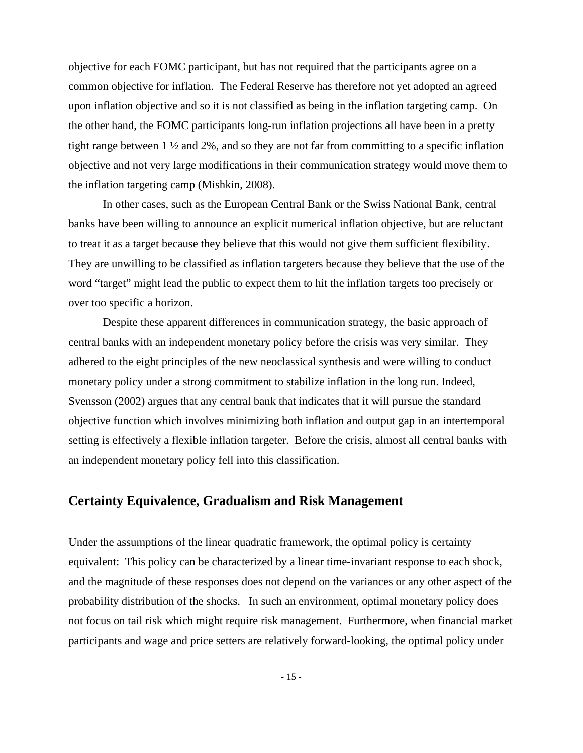objective for each FOMC participant, but has not required that the participants agree on a common objective for inflation. The Federal Reserve has therefore not yet adopted an agreed upon inflation objective and so it is not classified as being in the inflation targeting camp. On the other hand, the FOMC participants long-run inflation projections all have been in a pretty tight range between  $1 \frac{1}{2}$  and  $2\%$ , and so they are not far from committing to a specific inflation objective and not very large modifications in their communication strategy would move them to the inflation targeting camp (Mishkin, 2008).

In other cases, such as the European Central Bank or the Swiss National Bank, central banks have been willing to announce an explicit numerical inflation objective, but are reluctant to treat it as a target because they believe that this would not give them sufficient flexibility. They are unwilling to be classified as inflation targeters because they believe that the use of the word "target" might lead the public to expect them to hit the inflation targets too precisely or over too specific a horizon.

Despite these apparent differences in communication strategy, the basic approach of central banks with an independent monetary policy before the crisis was very similar. They adhered to the eight principles of the new neoclassical synthesis and were willing to conduct monetary policy under a strong commitment to stabilize inflation in the long run. Indeed, Svensson (2002) argues that any central bank that indicates that it will pursue the standard objective function which involves minimizing both inflation and output gap in an intertemporal setting is effectively a flexible inflation targeter. Before the crisis, almost all central banks with an independent monetary policy fell into this classification.

### **Certainty Equivalence, Gradualism and Risk Management**

Under the assumptions of the linear quadratic framework, the optimal policy is certainty equivalent: This policy can be characterized by a linear time-invariant response to each shock, and the magnitude of these responses does not depend on the variances or any other aspect of the probability distribution of the shocks. In such an environment, optimal monetary policy does not focus on tail risk which might require risk management. Furthermore, when financial market participants and wage and price setters are relatively forward-looking, the optimal policy under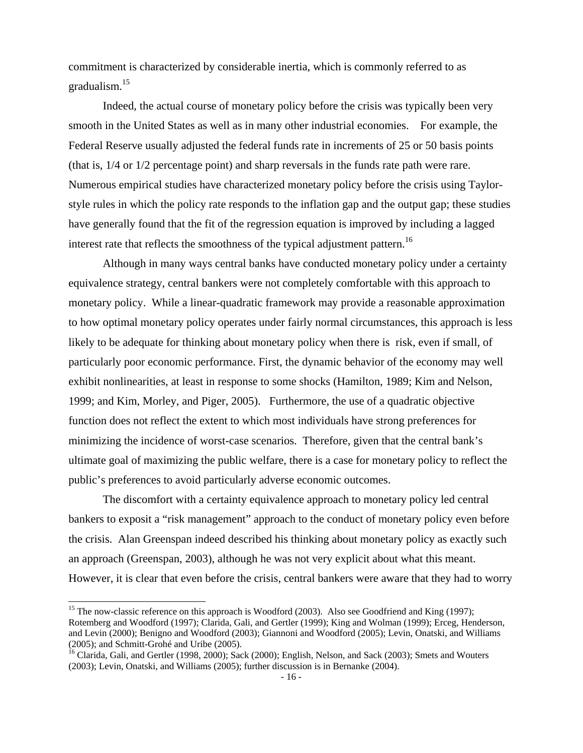commitment is characterized by considerable inertia, which is commonly referred to as gradualism.<sup>15</sup>

Indeed, the actual course of monetary policy before the crisis was typically been very smooth in the United States as well as in many other industrial economies. For example, the Federal Reserve usually adjusted the federal funds rate in increments of 25 or 50 basis points (that is, 1/4 or 1/2 percentage point) and sharp reversals in the funds rate path were rare. Numerous empirical studies have characterized monetary policy before the crisis using Taylorstyle rules in which the policy rate responds to the inflation gap and the output gap; these studies have generally found that the fit of the regression equation is improved by including a lagged interest rate that reflects the smoothness of the typical adjustment pattern.<sup>16</sup>

 Although in many ways central banks have conducted monetary policy under a certainty equivalence strategy, central bankers were not completely comfortable with this approach to monetary policy. While a linear-quadratic framework may provide a reasonable approximation to how optimal monetary policy operates under fairly normal circumstances, this approach is less likely to be adequate for thinking about monetary policy when there is risk, even if small, of particularly poor economic performance. First, the dynamic behavior of the economy may well exhibit nonlinearities, at least in response to some shocks (Hamilton, 1989; Kim and Nelson, 1999; and Kim, Morley, and Piger, 2005). Furthermore, the use of a quadratic objective function does not reflect the extent to which most individuals have strong preferences for minimizing the incidence of worst-case scenarios. Therefore, given that the central bank's ultimate goal of maximizing the public welfare, there is a case for monetary policy to reflect the public's preferences to avoid particularly adverse economic outcomes.

 The discomfort with a certainty equivalence approach to monetary policy led central bankers to exposit a "risk management" approach to the conduct of monetary policy even before the crisis. Alan Greenspan indeed described his thinking about monetary policy as exactly such an approach (Greenspan, 2003), although he was not very explicit about what this meant. However, it is clear that even before the crisis, central bankers were aware that they had to worry

<sup>&</sup>lt;sup>15</sup> The now-classic reference on this approach is Woodford (2003). Also see Goodfriend and King (1997); Rotemberg and Woodford (1997); Clarida, Gali, and Gertler (1999); King and Wolman (1999); Erceg, Henderson, and Levin (2000); Benigno and Woodford (2003); Giannoni and Woodford (2005); Levin, Onatski, and Williams (2005); and Schmitt-Grohé and Uribe (2005).

<sup>&</sup>lt;sup>16</sup> Clarida, Gali, and Gertler (1998, 2000); Sack (2000); English, Nelson, and Sack (2003); Smets and Wouters (2003); Levin, Onatski, and Williams (2005); further discussion is in Bernanke (2004).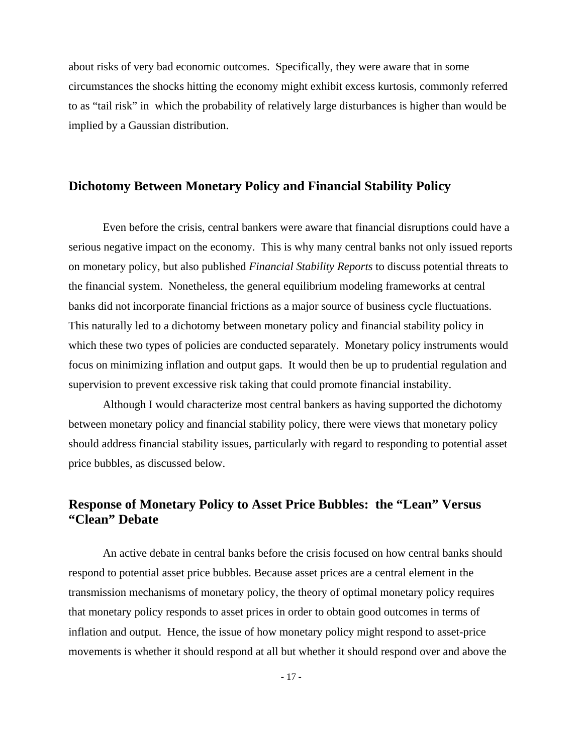about risks of very bad economic outcomes. Specifically, they were aware that in some circumstances the shocks hitting the economy might exhibit excess kurtosis, commonly referred to as "tail risk" in which the probability of relatively large disturbances is higher than would be implied by a Gaussian distribution.

# **Dichotomy Between Monetary Policy and Financial Stability Policy**

Even before the crisis, central bankers were aware that financial disruptions could have a serious negative impact on the economy. This is why many central banks not only issued reports on monetary policy, but also published *Financial Stability Reports* to discuss potential threats to the financial system. Nonetheless, the general equilibrium modeling frameworks at central banks did not incorporate financial frictions as a major source of business cycle fluctuations. This naturally led to a dichotomy between monetary policy and financial stability policy in which these two types of policies are conducted separately. Monetary policy instruments would focus on minimizing inflation and output gaps. It would then be up to prudential regulation and supervision to prevent excessive risk taking that could promote financial instability.

 Although I would characterize most central bankers as having supported the dichotomy between monetary policy and financial stability policy, there were views that monetary policy should address financial stability issues, particularly with regard to responding to potential asset price bubbles, as discussed below.

# **Response of Monetary Policy to Asset Price Bubbles: the "Lean" Versus "Clean" Debate**

 An active debate in central banks before the crisis focused on how central banks should respond to potential asset price bubbles. Because asset prices are a central element in the transmission mechanisms of monetary policy, the theory of optimal monetary policy requires that monetary policy responds to asset prices in order to obtain good outcomes in terms of inflation and output. Hence, the issue of how monetary policy might respond to asset-price movements is whether it should respond at all but whether it should respond over and above the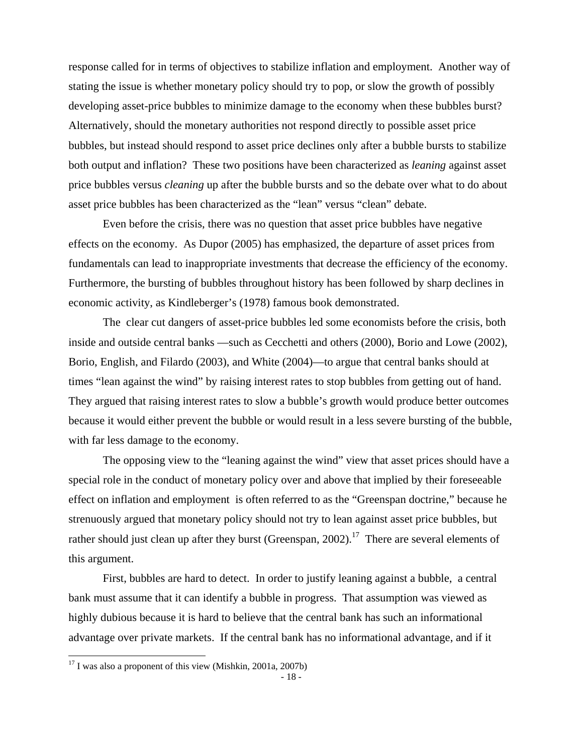response called for in terms of objectives to stabilize inflation and employment. Another way of stating the issue is whether monetary policy should try to pop, or slow the growth of possibly developing asset-price bubbles to minimize damage to the economy when these bubbles burst? Alternatively, should the monetary authorities not respond directly to possible asset price bubbles, but instead should respond to asset price declines only after a bubble bursts to stabilize both output and inflation? These two positions have been characterized as *leaning* against asset price bubbles versus *cleaning* up after the bubble bursts and so the debate over what to do about asset price bubbles has been characterized as the "lean" versus "clean" debate.

Even before the crisis, there was no question that asset price bubbles have negative effects on the economy. As Dupor (2005) has emphasized, the departure of asset prices from fundamentals can lead to inappropriate investments that decrease the efficiency of the economy. Furthermore, the bursting of bubbles throughout history has been followed by sharp declines in economic activity, as Kindleberger's (1978) famous book demonstrated.

The clear cut dangers of asset-price bubbles led some economists before the crisis, both inside and outside central banks —such as Cecchetti and others (2000), Borio and Lowe (2002), Borio, English, and Filardo (2003), and White (2004)—to argue that central banks should at times "lean against the wind" by raising interest rates to stop bubbles from getting out of hand. They argued that raising interest rates to slow a bubble's growth would produce better outcomes because it would either prevent the bubble or would result in a less severe bursting of the bubble, with far less damage to the economy.

The opposing view to the "leaning against the wind" view that asset prices should have a special role in the conduct of monetary policy over and above that implied by their foreseeable effect on inflation and employment is often referred to as the "Greenspan doctrine," because he strenuously argued that monetary policy should not try to lean against asset price bubbles, but rather should just clean up after they burst (Greenspan, 2002).<sup>17</sup> There are several elements of this argument.

First, bubbles are hard to detect. In order to justify leaning against a bubble, a central bank must assume that it can identify a bubble in progress. That assumption was viewed as highly dubious because it is hard to believe that the central bank has such an informational advantage over private markets. If the central bank has no informational advantage, and if it

 $17$  I was also a proponent of this view (Mishkin, 2001a, 2007b)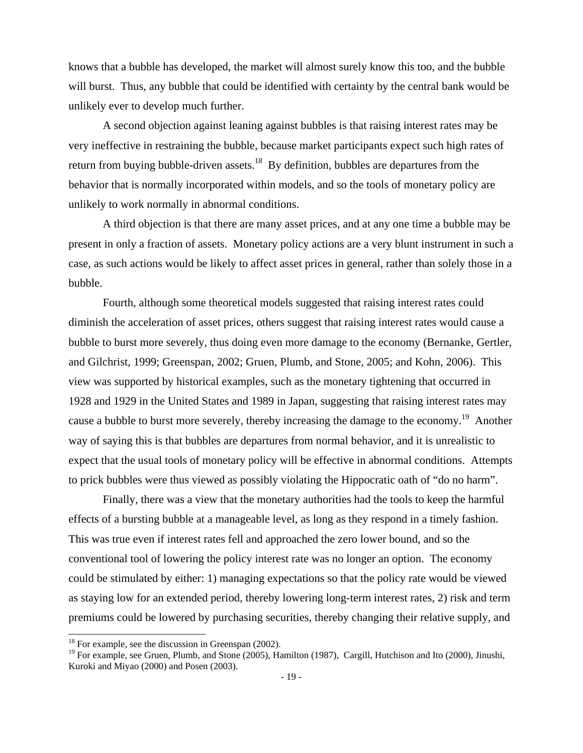knows that a bubble has developed, the market will almost surely know this too, and the bubble will burst. Thus, any bubble that could be identified with certainty by the central bank would be unlikely ever to develop much further.

A second objection against leaning against bubbles is that raising interest rates may be very ineffective in restraining the bubble, because market participants expect such high rates of return from buying bubble-driven assets.<sup>18</sup> By definition, bubbles are departures from the behavior that is normally incorporated within models, and so the tools of monetary policy are unlikely to work normally in abnormal conditions.

A third objection is that there are many asset prices, and at any one time a bubble may be present in only a fraction of assets. Monetary policy actions are a very blunt instrument in such a case, as such actions would be likely to affect asset prices in general, rather than solely those in a bubble.

Fourth, although some theoretical models suggested that raising interest rates could diminish the acceleration of asset prices, others suggest that raising interest rates would cause a bubble to burst more severely, thus doing even more damage to the economy (Bernanke, Gertler, and Gilchrist, 1999; Greenspan, 2002; Gruen, Plumb, and Stone, 2005; and Kohn, 2006). This view was supported by historical examples, such as the monetary tightening that occurred in 1928 and 1929 in the United States and 1989 in Japan, suggesting that raising interest rates may cause a bubble to burst more severely, thereby increasing the damage to the economy.<sup>19</sup> Another way of saying this is that bubbles are departures from normal behavior, and it is unrealistic to expect that the usual tools of monetary policy will be effective in abnormal conditions. Attempts to prick bubbles were thus viewed as possibly violating the Hippocratic oath of "do no harm".

Finally, there was a view that the monetary authorities had the tools to keep the harmful effects of a bursting bubble at a manageable level, as long as they respond in a timely fashion. This was true even if interest rates fell and approached the zero lower bound, and so the conventional tool of lowering the policy interest rate was no longer an option. The economy could be stimulated by either: 1) managing expectations so that the policy rate would be viewed as staying low for an extended period, thereby lowering long-term interest rates, 2) risk and term premiums could be lowered by purchasing securities, thereby changing their relative supply, and

 $18$  For example, see the discussion in Greenspan (2002).

<sup>&</sup>lt;sup>19</sup> For example, see Gruen, Plumb, and Stone (2005), Hamilton (1987), Cargill, Hutchison and Ito (2000), Jinushi, Kuroki and Miyao (2000) and Posen (2003).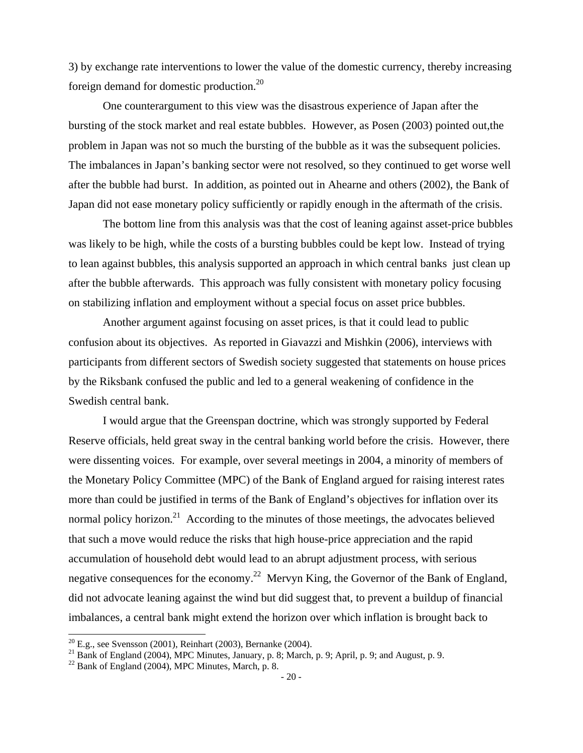3) by exchange rate interventions to lower the value of the domestic currency, thereby increasing foreign demand for domestic production.<sup>20</sup>

One counterargument to this view was the disastrous experience of Japan after the bursting of the stock market and real estate bubbles. However, as Posen (2003) pointed out,the problem in Japan was not so much the bursting of the bubble as it was the subsequent policies. The imbalances in Japan's banking sector were not resolved, so they continued to get worse well after the bubble had burst. In addition, as pointed out in Ahearne and others (2002), the Bank of Japan did not ease monetary policy sufficiently or rapidly enough in the aftermath of the crisis.

The bottom line from this analysis was that the cost of leaning against asset-price bubbles was likely to be high, while the costs of a bursting bubbles could be kept low. Instead of trying to lean against bubbles, this analysis supported an approach in which central banks just clean up after the bubble afterwards. This approach was fully consistent with monetary policy focusing on stabilizing inflation and employment without a special focus on asset price bubbles.

Another argument against focusing on asset prices, is that it could lead to public confusion about its objectives. As reported in Giavazzi and Mishkin (2006), interviews with participants from different sectors of Swedish society suggested that statements on house prices by the Riksbank confused the public and led to a general weakening of confidence in the Swedish central bank.

I would argue that the Greenspan doctrine, which was strongly supported by Federal Reserve officials, held great sway in the central banking world before the crisis. However, there were dissenting voices. For example, over several meetings in 2004, a minority of members of the Monetary Policy Committee (MPC) of the Bank of England argued for raising interest rates more than could be justified in terms of the Bank of England's objectives for inflation over its normal policy horizon.<sup>21</sup> According to the minutes of those meetings, the advocates believed that such a move would reduce the risks that high house-price appreciation and the rapid accumulation of household debt would lead to an abrupt adjustment process, with serious negative consequences for the economy.<sup>22</sup> Mervyn King, the Governor of the Bank of England, did not advocate leaning against the wind but did suggest that, to prevent a buildup of financial imbalances, a central bank might extend the horizon over which inflation is brought back to

 $^{20}$  E.g., see Svensson (2001), Reinhart (2003), Bernanke (2004).

 $21$  Bank of England (2004), MPC Minutes, January, p. 8; March, p. 9; April, p. 9; and August, p. 9.

 $22$  Bank of England (2004), MPC Minutes, March, p. 8.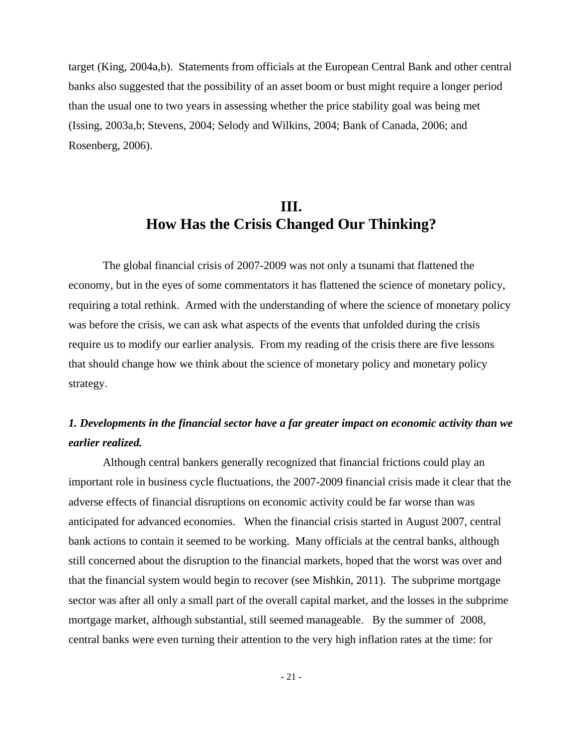target (King, 2004a,b). Statements from officials at the European Central Bank and other central banks also suggested that the possibility of an asset boom or bust might require a longer period than the usual one to two years in assessing whether the price stability goal was being met (Issing, 2003a,b; Stevens, 2004; Selody and Wilkins, 2004; Bank of Canada, 2006; and Rosenberg, 2006).

# **III. How Has the Crisis Changed Our Thinking?**

 The global financial crisis of 2007-2009 was not only a tsunami that flattened the economy, but in the eyes of some commentators it has flattened the science of monetary policy, requiring a total rethink. Armed with the understanding of where the science of monetary policy was before the crisis, we can ask what aspects of the events that unfolded during the crisis require us to modify our earlier analysis. From my reading of the crisis there are five lessons that should change how we think about the science of monetary policy and monetary policy strategy.

# *1. Developments in the financial sector have a far greater impact on economic activity than we earlier realized.*

Although central bankers generally recognized that financial frictions could play an important role in business cycle fluctuations, the 2007-2009 financial crisis made it clear that the adverse effects of financial disruptions on economic activity could be far worse than was anticipated for advanced economies. When the financial crisis started in August 2007, central bank actions to contain it seemed to be working. Many officials at the central banks, although still concerned about the disruption to the financial markets, hoped that the worst was over and that the financial system would begin to recover (see Mishkin, 2011). The subprime mortgage sector was after all only a small part of the overall capital market, and the losses in the subprime mortgage market, although substantial, still seemed manageable. By the summer of 2008, central banks were even turning their attention to the very high inflation rates at the time: for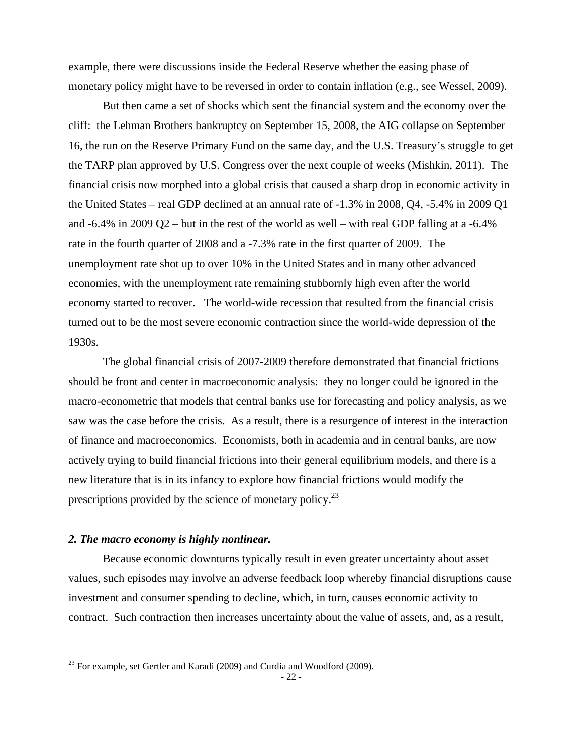example, there were discussions inside the Federal Reserve whether the easing phase of monetary policy might have to be reversed in order to contain inflation (e.g., see Wessel, 2009).

 But then came a set of shocks which sent the financial system and the economy over the cliff: the Lehman Brothers bankruptcy on September 15, 2008, the AIG collapse on September 16, the run on the Reserve Primary Fund on the same day, and the U.S. Treasury's struggle to get the TARP plan approved by U.S. Congress over the next couple of weeks (Mishkin, 2011). The financial crisis now morphed into a global crisis that caused a sharp drop in economic activity in the United States – real GDP declined at an annual rate of -1.3% in 2008, Q4, -5.4% in 2009 Q1 and  $-6.4\%$  in 2009 Q2 – but in the rest of the world as well – with real GDP falling at a  $-6.4\%$ rate in the fourth quarter of 2008 and a -7.3% rate in the first quarter of 2009. The unemployment rate shot up to over 10% in the United States and in many other advanced economies, with the unemployment rate remaining stubbornly high even after the world economy started to recover. The world-wide recession that resulted from the financial crisis turned out to be the most severe economic contraction since the world-wide depression of the 1930s.

 The global financial crisis of 2007-2009 therefore demonstrated that financial frictions should be front and center in macroeconomic analysis: they no longer could be ignored in the macro-econometric that models that central banks use for forecasting and policy analysis, as we saw was the case before the crisis. As a result, there is a resurgence of interest in the interaction of finance and macroeconomics. Economists, both in academia and in central banks, are now actively trying to build financial frictions into their general equilibrium models, and there is a new literature that is in its infancy to explore how financial frictions would modify the prescriptions provided by the science of monetary policy.<sup>23</sup>

## *2. The macro economy is highly nonlinear.*

 $\overline{a}$ 

Because economic downturns typically result in even greater uncertainty about asset values, such episodes may involve an adverse feedback loop whereby financial disruptions cause investment and consumer spending to decline, which, in turn, causes economic activity to contract. Such contraction then increases uncertainty about the value of assets, and, as a result,

 $^{23}$  For example, set Gertler and Karadi (2009) and Curdia and Woodford (2009).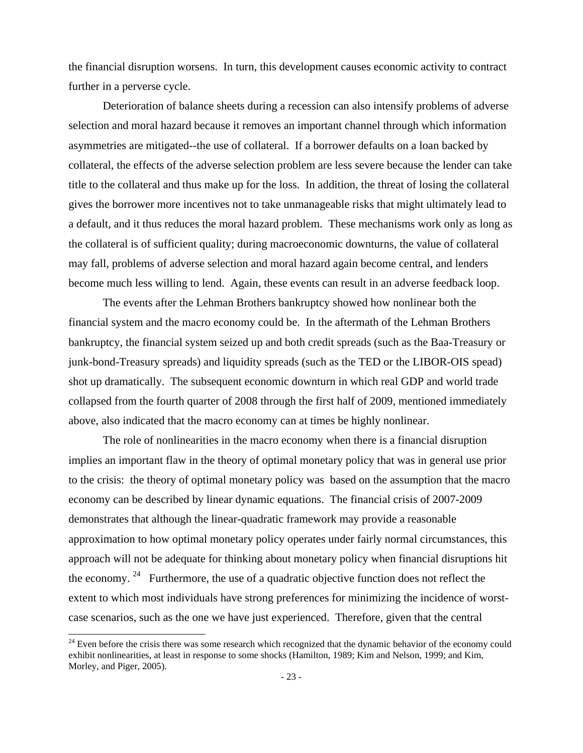the financial disruption worsens. In turn, this development causes economic activity to contract further in a perverse cycle.

 Deterioration of balance sheets during a recession can also intensify problems of adverse selection and moral hazard because it removes an important channel through which information asymmetries are mitigated--the use of collateral. If a borrower defaults on a loan backed by collateral, the effects of the adverse selection problem are less severe because the lender can take title to the collateral and thus make up for the loss. In addition, the threat of losing the collateral gives the borrower more incentives not to take unmanageable risks that might ultimately lead to a default, and it thus reduces the moral hazard problem. These mechanisms work only as long as the collateral is of sufficient quality; during macroeconomic downturns, the value of collateral may fall, problems of adverse selection and moral hazard again become central, and lenders become much less willing to lend. Again, these events can result in an adverse feedback loop.

The events after the Lehman Brothers bankruptcy showed how nonlinear both the financial system and the macro economy could be. In the aftermath of the Lehman Brothers bankruptcy, the financial system seized up and both credit spreads (such as the Baa-Treasury or junk-bond-Treasury spreads) and liquidity spreads (such as the TED or the LIBOR-OIS spead) shot up dramatically. The subsequent economic downturn in which real GDP and world trade collapsed from the fourth quarter of 2008 through the first half of 2009, mentioned immediately above, also indicated that the macro economy can at times be highly nonlinear.

The role of nonlinearities in the macro economy when there is a financial disruption implies an important flaw in the theory of optimal monetary policy that was in general use prior to the crisis: the theory of optimal monetary policy was based on the assumption that the macro economy can be described by linear dynamic equations. The financial crisis of 2007-2009 demonstrates that although the linear-quadratic framework may provide a reasonable approximation to how optimal monetary policy operates under fairly normal circumstances, this approach will not be adequate for thinking about monetary policy when financial disruptions hit the economy.  $24$  Furthermore, the use of a quadratic objective function does not reflect the extent to which most individuals have strong preferences for minimizing the incidence of worstcase scenarios, such as the one we have just experienced. Therefore, given that the central

 $24$  Even before the crisis there was some research which recognized that the dynamic behavior of the economy could exhibit nonlinearities, at least in response to some shocks (Hamilton, 1989; Kim and Nelson, 1999; and Kim, Morley, and Piger, 2005).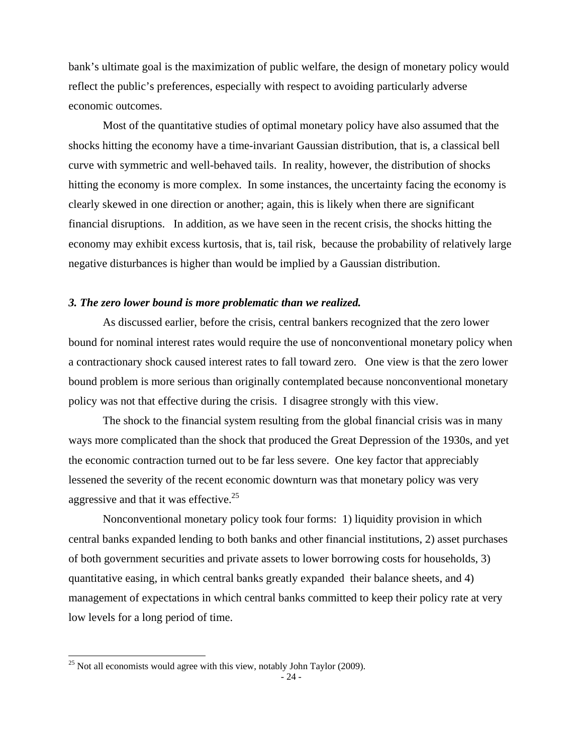bank's ultimate goal is the maximization of public welfare, the design of monetary policy would reflect the public's preferences, especially with respect to avoiding particularly adverse economic outcomes.

 Most of the quantitative studies of optimal monetary policy have also assumed that the shocks hitting the economy have a time-invariant Gaussian distribution, that is, a classical bell curve with symmetric and well-behaved tails. In reality, however, the distribution of shocks hitting the economy is more complex. In some instances, the uncertainty facing the economy is clearly skewed in one direction or another; again, this is likely when there are significant financial disruptions. In addition, as we have seen in the recent crisis, the shocks hitting the economy may exhibit excess kurtosis, that is, tail risk, because the probability of relatively large negative disturbances is higher than would be implied by a Gaussian distribution.

### *3. The zero lower bound is more problematic than we realized.*

 As discussed earlier, before the crisis, central bankers recognized that the zero lower bound for nominal interest rates would require the use of nonconventional monetary policy when a contractionary shock caused interest rates to fall toward zero. One view is that the zero lower bound problem is more serious than originally contemplated because nonconventional monetary policy was not that effective during the crisis. I disagree strongly with this view.

 The shock to the financial system resulting from the global financial crisis was in many ways more complicated than the shock that produced the Great Depression of the 1930s, and yet the economic contraction turned out to be far less severe. One key factor that appreciably lessened the severity of the recent economic downturn was that monetary policy was very aggressive and that it was effective. $25$ 

 Nonconventional monetary policy took four forms: 1) liquidity provision in which central banks expanded lending to both banks and other financial institutions, 2) asset purchases of both government securities and private assets to lower borrowing costs for households, 3) quantitative easing, in which central banks greatly expanded their balance sheets, and 4) management of expectations in which central banks committed to keep their policy rate at very low levels for a long period of time.

 $25$  Not all economists would agree with this view, notably John Taylor (2009).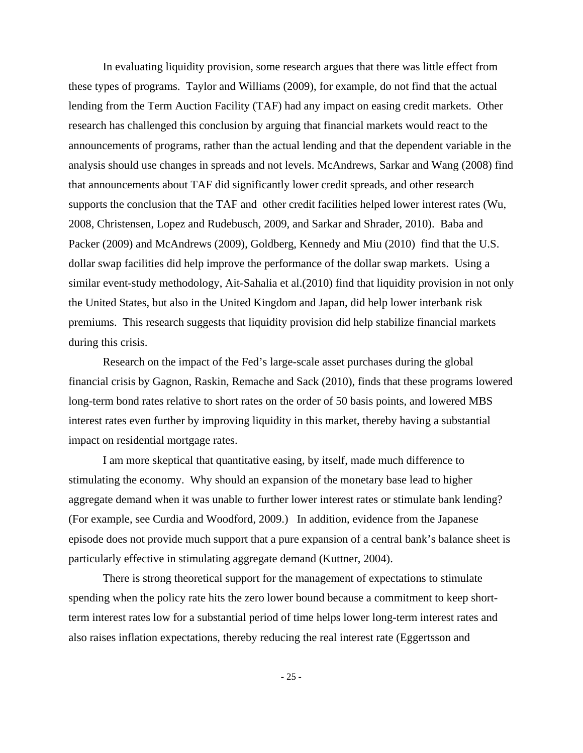In evaluating liquidity provision, some research argues that there was little effect from these types of programs. Taylor and Williams (2009), for example, do not find that the actual lending from the Term Auction Facility (TAF) had any impact on easing credit markets. Other research has challenged this conclusion by arguing that financial markets would react to the announcements of programs, rather than the actual lending and that the dependent variable in the analysis should use changes in spreads and not levels. McAndrews, Sarkar and Wang (2008) find that announcements about TAF did significantly lower credit spreads, and other research supports the conclusion that the TAF and other credit facilities helped lower interest rates (Wu, 2008, Christensen, Lopez and Rudebusch, 2009, and Sarkar and Shrader, 2010). Baba and Packer (2009) and McAndrews (2009), Goldberg, Kennedy and Miu (2010) find that the U.S. dollar swap facilities did help improve the performance of the dollar swap markets. Using a similar event-study methodology, Ait-Sahalia et al.(2010) find that liquidity provision in not only the United States, but also in the United Kingdom and Japan, did help lower interbank risk premiums. This research suggests that liquidity provision did help stabilize financial markets during this crisis.

Research on the impact of the Fed's large-scale asset purchases during the global financial crisis by Gagnon, Raskin, Remache and Sack (2010), finds that these programs lowered long-term bond rates relative to short rates on the order of 50 basis points, and lowered MBS interest rates even further by improving liquidity in this market, thereby having a substantial impact on residential mortgage rates.

 I am more skeptical that quantitative easing, by itself, made much difference to stimulating the economy. Why should an expansion of the monetary base lead to higher aggregate demand when it was unable to further lower interest rates or stimulate bank lending? (For example, see Curdia and Woodford, 2009.) In addition, evidence from the Japanese episode does not provide much support that a pure expansion of a central bank's balance sheet is particularly effective in stimulating aggregate demand (Kuttner, 2004).

 There is strong theoretical support for the management of expectations to stimulate spending when the policy rate hits the zero lower bound because a commitment to keep shortterm interest rates low for a substantial period of time helps lower long-term interest rates and also raises inflation expectations, thereby reducing the real interest rate (Eggertsson and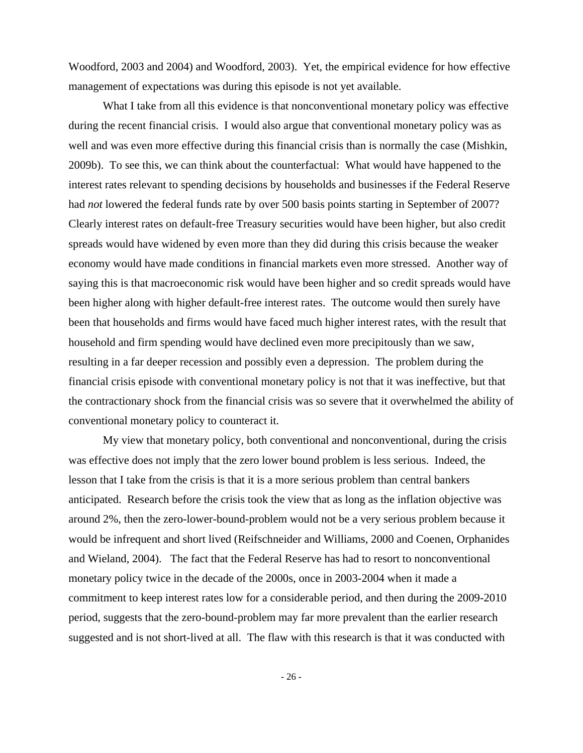Woodford, 2003 and 2004) and Woodford, 2003). Yet, the empirical evidence for how effective management of expectations was during this episode is not yet available.

 What I take from all this evidence is that nonconventional monetary policy was effective during the recent financial crisis. I would also argue that conventional monetary policy was as well and was even more effective during this financial crisis than is normally the case (Mishkin, 2009b). To see this, we can think about the counterfactual: What would have happened to the interest rates relevant to spending decisions by households and businesses if the Federal Reserve had *not* lowered the federal funds rate by over 500 basis points starting in September of 2007? Clearly interest rates on default-free Treasury securities would have been higher, but also credit spreads would have widened by even more than they did during this crisis because the weaker economy would have made conditions in financial markets even more stressed. Another way of saying this is that macroeconomic risk would have been higher and so credit spreads would have been higher along with higher default-free interest rates. The outcome would then surely have been that households and firms would have faced much higher interest rates, with the result that household and firm spending would have declined even more precipitously than we saw, resulting in a far deeper recession and possibly even a depression. The problem during the financial crisis episode with conventional monetary policy is not that it was ineffective, but that the contractionary shock from the financial crisis was so severe that it overwhelmed the ability of conventional monetary policy to counteract it.

 My view that monetary policy, both conventional and nonconventional, during the crisis was effective does not imply that the zero lower bound problem is less serious. Indeed, the lesson that I take from the crisis is that it is a more serious problem than central bankers anticipated. Research before the crisis took the view that as long as the inflation objective was around 2%, then the zero-lower-bound-problem would not be a very serious problem because it would be infrequent and short lived (Reifschneider and Williams, 2000 and Coenen, Orphanides and Wieland, 2004). The fact that the Federal Reserve has had to resort to nonconventional monetary policy twice in the decade of the 2000s, once in 2003-2004 when it made a commitment to keep interest rates low for a considerable period, and then during the 2009-2010 period, suggests that the zero-bound-problem may far more prevalent than the earlier research suggested and is not short-lived at all. The flaw with this research is that it was conducted with

- 26 -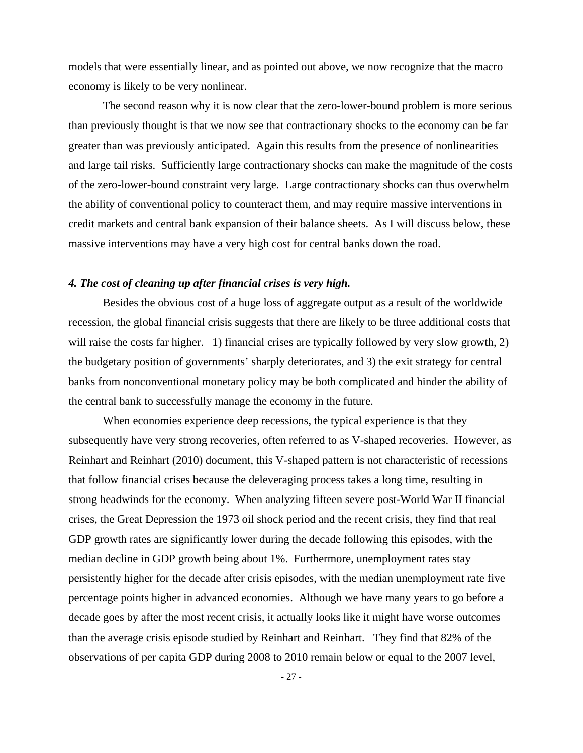models that were essentially linear, and as pointed out above, we now recognize that the macro economy is likely to be very nonlinear.

 The second reason why it is now clear that the zero-lower-bound problem is more serious than previously thought is that we now see that contractionary shocks to the economy can be far greater than was previously anticipated. Again this results from the presence of nonlinearities and large tail risks. Sufficiently large contractionary shocks can make the magnitude of the costs of the zero-lower-bound constraint very large. Large contractionary shocks can thus overwhelm the ability of conventional policy to counteract them, and may require massive interventions in credit markets and central bank expansion of their balance sheets. As I will discuss below, these massive interventions may have a very high cost for central banks down the road.

### *4. The cost of cleaning up after financial crises is very high.*

 Besides the obvious cost of a huge loss of aggregate output as a result of the worldwide recession, the global financial crisis suggests that there are likely to be three additional costs that will raise the costs far higher. 1) financial crises are typically followed by very slow growth, 2) the budgetary position of governments' sharply deteriorates, and 3) the exit strategy for central banks from nonconventional monetary policy may be both complicated and hinder the ability of the central bank to successfully manage the economy in the future.

 When economies experience deep recessions, the typical experience is that they subsequently have very strong recoveries, often referred to as V-shaped recoveries. However, as Reinhart and Reinhart (2010) document, this V-shaped pattern is not characteristic of recessions that follow financial crises because the deleveraging process takes a long time, resulting in strong headwinds for the economy. When analyzing fifteen severe post-World War II financial crises, the Great Depression the 1973 oil shock period and the recent crisis, they find that real GDP growth rates are significantly lower during the decade following this episodes, with the median decline in GDP growth being about 1%. Furthermore, unemployment rates stay persistently higher for the decade after crisis episodes, with the median unemployment rate five percentage points higher in advanced economies. Although we have many years to go before a decade goes by after the most recent crisis, it actually looks like it might have worse outcomes than the average crisis episode studied by Reinhart and Reinhart. They find that 82% of the observations of per capita GDP during 2008 to 2010 remain below or equal to the 2007 level,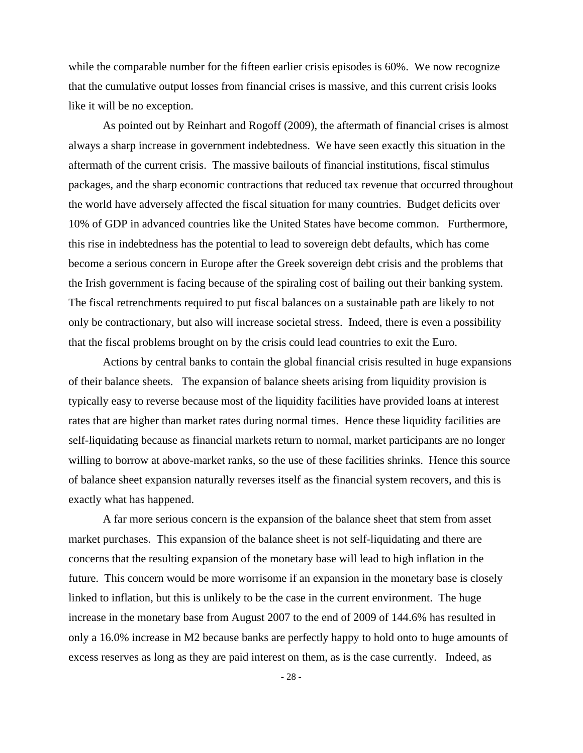while the comparable number for the fifteen earlier crisis episodes is 60%. We now recognize that the cumulative output losses from financial crises is massive, and this current crisis looks like it will be no exception.

 As pointed out by Reinhart and Rogoff (2009), the aftermath of financial crises is almost always a sharp increase in government indebtedness. We have seen exactly this situation in the aftermath of the current crisis. The massive bailouts of financial institutions, fiscal stimulus packages, and the sharp economic contractions that reduced tax revenue that occurred throughout the world have adversely affected the fiscal situation for many countries. Budget deficits over 10% of GDP in advanced countries like the United States have become common. Furthermore, this rise in indebtedness has the potential to lead to sovereign debt defaults, which has come become a serious concern in Europe after the Greek sovereign debt crisis and the problems that the Irish government is facing because of the spiraling cost of bailing out their banking system. The fiscal retrenchments required to put fiscal balances on a sustainable path are likely to not only be contractionary, but also will increase societal stress. Indeed, there is even a possibility that the fiscal problems brought on by the crisis could lead countries to exit the Euro.

 Actions by central banks to contain the global financial crisis resulted in huge expansions of their balance sheets. The expansion of balance sheets arising from liquidity provision is typically easy to reverse because most of the liquidity facilities have provided loans at interest rates that are higher than market rates during normal times. Hence these liquidity facilities are self-liquidating because as financial markets return to normal, market participants are no longer willing to borrow at above-market ranks, so the use of these facilities shrinks. Hence this source of balance sheet expansion naturally reverses itself as the financial system recovers, and this is exactly what has happened.

 A far more serious concern is the expansion of the balance sheet that stem from asset market purchases. This expansion of the balance sheet is not self-liquidating and there are concerns that the resulting expansion of the monetary base will lead to high inflation in the future. This concern would be more worrisome if an expansion in the monetary base is closely linked to inflation, but this is unlikely to be the case in the current environment. The huge increase in the monetary base from August 2007 to the end of 2009 of 144.6% has resulted in only a 16.0% increase in M2 because banks are perfectly happy to hold onto to huge amounts of excess reserves as long as they are paid interest on them, as is the case currently. Indeed, as

- 28 -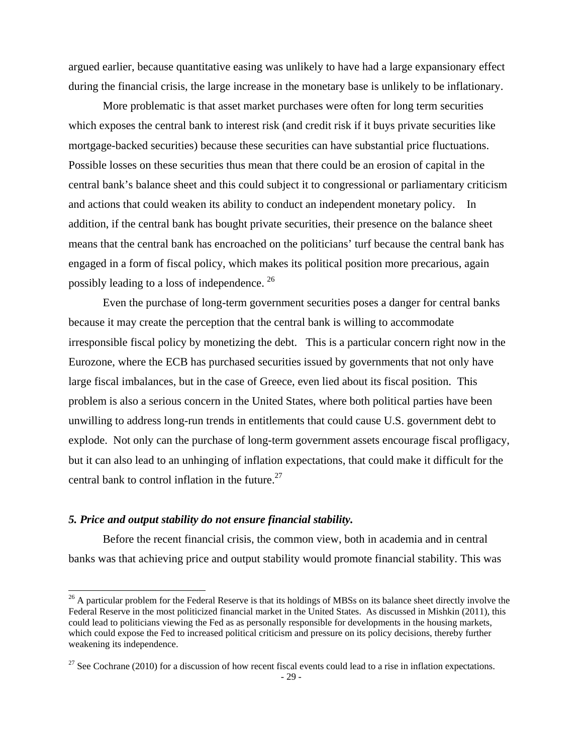argued earlier, because quantitative easing was unlikely to have had a large expansionary effect during the financial crisis, the large increase in the monetary base is unlikely to be inflationary.

 More problematic is that asset market purchases were often for long term securities which exposes the central bank to interest risk (and credit risk if it buys private securities like mortgage-backed securities) because these securities can have substantial price fluctuations. Possible losses on these securities thus mean that there could be an erosion of capital in the central bank's balance sheet and this could subject it to congressional or parliamentary criticism and actions that could weaken its ability to conduct an independent monetary policy. In addition, if the central bank has bought private securities, their presence on the balance sheet means that the central bank has encroached on the politicians' turf because the central bank has engaged in a form of fiscal policy, which makes its political position more precarious, again possibly leading to a loss of independence. 26

 Even the purchase of long-term government securities poses a danger for central banks because it may create the perception that the central bank is willing to accommodate irresponsible fiscal policy by monetizing the debt. This is a particular concern right now in the Eurozone, where the ECB has purchased securities issued by governments that not only have large fiscal imbalances, but in the case of Greece, even lied about its fiscal position. This problem is also a serious concern in the United States, where both political parties have been unwilling to address long-run trends in entitlements that could cause U.S. government debt to explode. Not only can the purchase of long-term government assets encourage fiscal profligacy, but it can also lead to an unhinging of inflation expectations, that could make it difficult for the central bank to control inflation in the future.27

#### *5. Price and output stability do not ensure financial stability.*

 $\overline{a}$ 

Before the recent financial crisis, the common view, both in academia and in central banks was that achieving price and output stability would promote financial stability. This was

 $26$  A particular problem for the Federal Reserve is that its holdings of MBSs on its balance sheet directly involve the Federal Reserve in the most politicized financial market in the United States. As discussed in Mishkin (2011), this could lead to politicians viewing the Fed as as personally responsible for developments in the housing markets, which could expose the Fed to increased political criticism and pressure on its policy decisions, thereby further weakening its independence.

<sup>&</sup>lt;sup>27</sup> See Cochrane (2010) for a discussion of how recent fiscal events could lead to a rise in inflation expectations.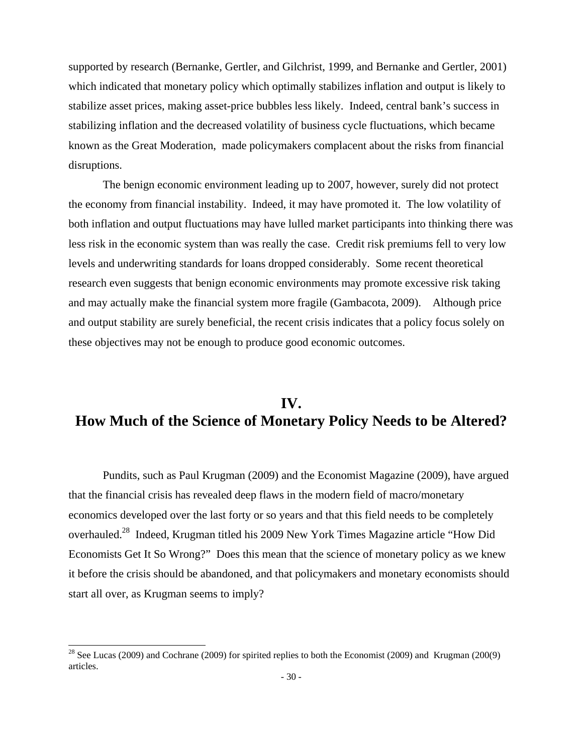supported by research (Bernanke, Gertler, and Gilchrist, 1999, and Bernanke and Gertler, 2001) which indicated that monetary policy which optimally stabilizes inflation and output is likely to stabilize asset prices, making asset-price bubbles less likely. Indeed, central bank's success in stabilizing inflation and the decreased volatility of business cycle fluctuations, which became known as the Great Moderation, made policymakers complacent about the risks from financial disruptions.

The benign economic environment leading up to 2007, however, surely did not protect the economy from financial instability. Indeed, it may have promoted it. The low volatility of both inflation and output fluctuations may have lulled market participants into thinking there was less risk in the economic system than was really the case. Credit risk premiums fell to very low levels and underwriting standards for loans dropped considerably. Some recent theoretical research even suggests that benign economic environments may promote excessive risk taking and may actually make the financial system more fragile (Gambacota, 2009). Although price and output stability are surely beneficial, the recent crisis indicates that a policy focus solely on these objectives may not be enough to produce good economic outcomes.

# **IV. How Much of the Science of Monetary Policy Needs to be Altered?**

Pundits, such as Paul Krugman (2009) and the Economist Magazine (2009), have argued that the financial crisis has revealed deep flaws in the modern field of macro/monetary economics developed over the last forty or so years and that this field needs to be completely overhauled.28 Indeed, Krugman titled his 2009 New York Times Magazine article "How Did Economists Get It So Wrong?" Does this mean that the science of monetary policy as we knew it before the crisis should be abandoned, and that policymakers and monetary economists should start all over, as Krugman seems to imply?

<sup>&</sup>lt;sup>28</sup> See Lucas (2009) and Cochrane (2009) for spirited replies to both the Economist (2009) and Krugman (200(9) articles.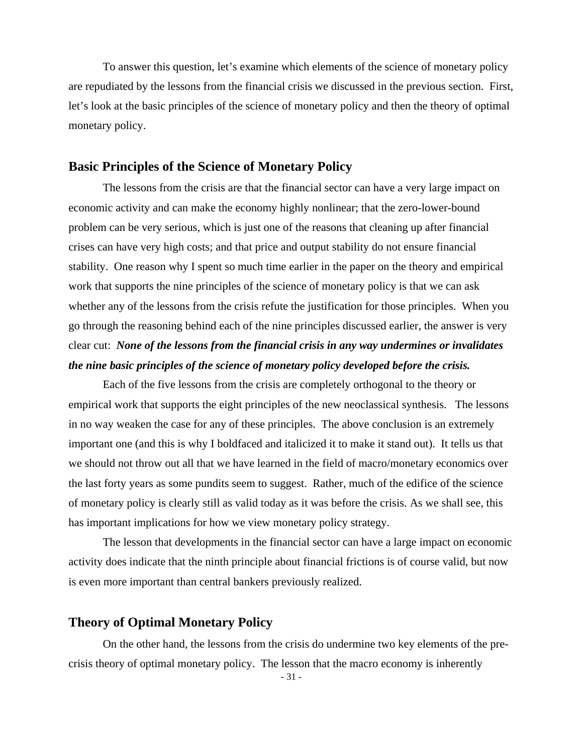To answer this question, let's examine which elements of the science of monetary policy are repudiated by the lessons from the financial crisis we discussed in the previous section. First, let's look at the basic principles of the science of monetary policy and then the theory of optimal monetary policy.

### **Basic Principles of the Science of Monetary Policy**

 The lessons from the crisis are that the financial sector can have a very large impact on economic activity and can make the economy highly nonlinear; that the zero-lower-bound problem can be very serious, which is just one of the reasons that cleaning up after financial crises can have very high costs; and that price and output stability do not ensure financial stability. One reason why I spent so much time earlier in the paper on the theory and empirical work that supports the nine principles of the science of monetary policy is that we can ask whether any of the lessons from the crisis refute the justification for those principles. When you go through the reasoning behind each of the nine principles discussed earlier, the answer is very clear cut: *None of the lessons from the financial crisis in any way undermines or invalidates the nine basic principles of the science of monetary policy developed before the crisis.*

Each of the five lessons from the crisis are completely orthogonal to the theory or empirical work that supports the eight principles of the new neoclassical synthesis. The lessons in no way weaken the case for any of these principles. The above conclusion is an extremely important one (and this is why I boldfaced and italicized it to make it stand out). It tells us that we should not throw out all that we have learned in the field of macro/monetary economics over the last forty years as some pundits seem to suggest. Rather, much of the edifice of the science of monetary policy is clearly still as valid today as it was before the crisis. As we shall see, this has important implications for how we view monetary policy strategy.

The lesson that developments in the financial sector can have a large impact on economic activity does indicate that the ninth principle about financial frictions is of course valid, but now is even more important than central bankers previously realized.

### **Theory of Optimal Monetary Policy**

 On the other hand, the lessons from the crisis do undermine two key elements of the precrisis theory of optimal monetary policy. The lesson that the macro economy is inherently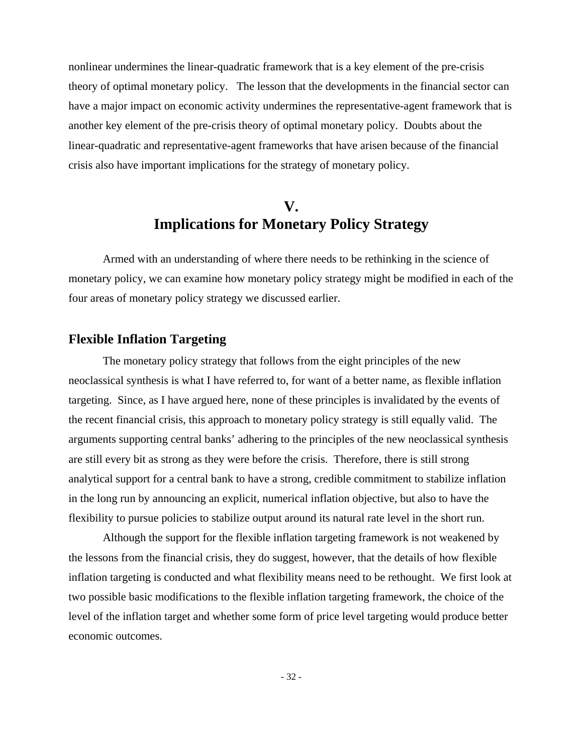nonlinear undermines the linear-quadratic framework that is a key element of the pre-crisis theory of optimal monetary policy. The lesson that the developments in the financial sector can have a major impact on economic activity undermines the representative-agent framework that is another key element of the pre-crisis theory of optimal monetary policy. Doubts about the linear-quadratic and representative-agent frameworks that have arisen because of the financial crisis also have important implications for the strategy of monetary policy.

# **V. Implications for Monetary Policy Strategy**

 Armed with an understanding of where there needs to be rethinking in the science of monetary policy, we can examine how monetary policy strategy might be modified in each of the four areas of monetary policy strategy we discussed earlier.

### **Flexible Inflation Targeting**

The monetary policy strategy that follows from the eight principles of the new neoclassical synthesis is what I have referred to, for want of a better name, as flexible inflation targeting. Since, as I have argued here, none of these principles is invalidated by the events of the recent financial crisis, this approach to monetary policy strategy is still equally valid. The arguments supporting central banks' adhering to the principles of the new neoclassical synthesis are still every bit as strong as they were before the crisis. Therefore, there is still strong analytical support for a central bank to have a strong, credible commitment to stabilize inflation in the long run by announcing an explicit, numerical inflation objective, but also to have the flexibility to pursue policies to stabilize output around its natural rate level in the short run.

Although the support for the flexible inflation targeting framework is not weakened by the lessons from the financial crisis, they do suggest, however, that the details of how flexible inflation targeting is conducted and what flexibility means need to be rethought. We first look at two possible basic modifications to the flexible inflation targeting framework, the choice of the level of the inflation target and whether some form of price level targeting would produce better economic outcomes.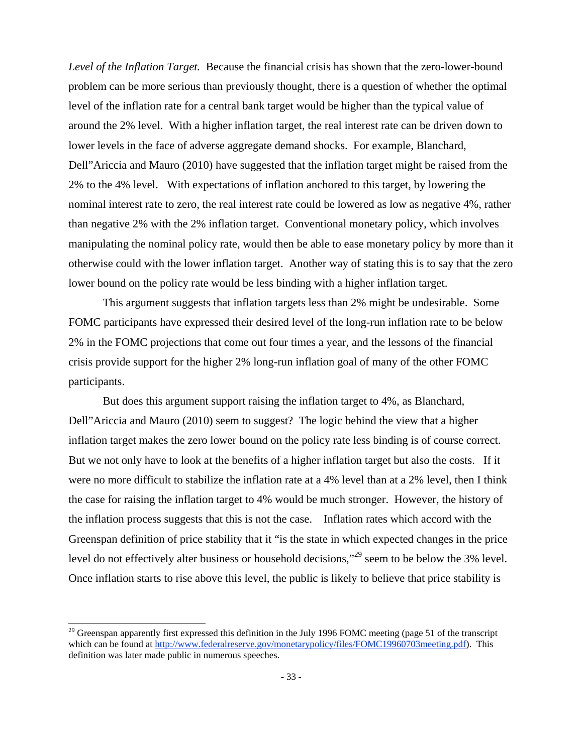*Level of the Inflation Target.* Because the financial crisis has shown that the zero-lower-bound problem can be more serious than previously thought, there is a question of whether the optimal level of the inflation rate for a central bank target would be higher than the typical value of around the 2% level. With a higher inflation target, the real interest rate can be driven down to lower levels in the face of adverse aggregate demand shocks. For example, Blanchard, Dell"Ariccia and Mauro (2010) have suggested that the inflation target might be raised from the 2% to the 4% level. With expectations of inflation anchored to this target, by lowering the nominal interest rate to zero, the real interest rate could be lowered as low as negative 4%, rather than negative 2% with the 2% inflation target. Conventional monetary policy, which involves manipulating the nominal policy rate, would then be able to ease monetary policy by more than it otherwise could with the lower inflation target. Another way of stating this is to say that the zero lower bound on the policy rate would be less binding with a higher inflation target.

 This argument suggests that inflation targets less than 2% might be undesirable. Some FOMC participants have expressed their desired level of the long-run inflation rate to be below 2% in the FOMC projections that come out four times a year, and the lessons of the financial crisis provide support for the higher 2% long-run inflation goal of many of the other FOMC participants.

But does this argument support raising the inflation target to 4%, as Blanchard, Dell"Ariccia and Mauro (2010) seem to suggest? The logic behind the view that a higher inflation target makes the zero lower bound on the policy rate less binding is of course correct. But we not only have to look at the benefits of a higher inflation target but also the costs. If it were no more difficult to stabilize the inflation rate at a 4% level than at a 2% level, then I think the case for raising the inflation target to 4% would be much stronger. However, the history of the inflation process suggests that this is not the case. Inflation rates which accord with the Greenspan definition of price stability that it "is the state in which expected changes in the price level do not effectively alter business or household decisions,"29 seem to be below the 3% level. Once inflation starts to rise above this level, the public is likely to believe that price stability is

 $29$  Greenspan apparently first expressed this definition in the July 1996 FOMC meeting (page 51 of the transcript which can be found at http://www.federalreserve.gov/monetarypolicy/files/FOMC19960703meeting.pdf). This definition was later made public in numerous speeches.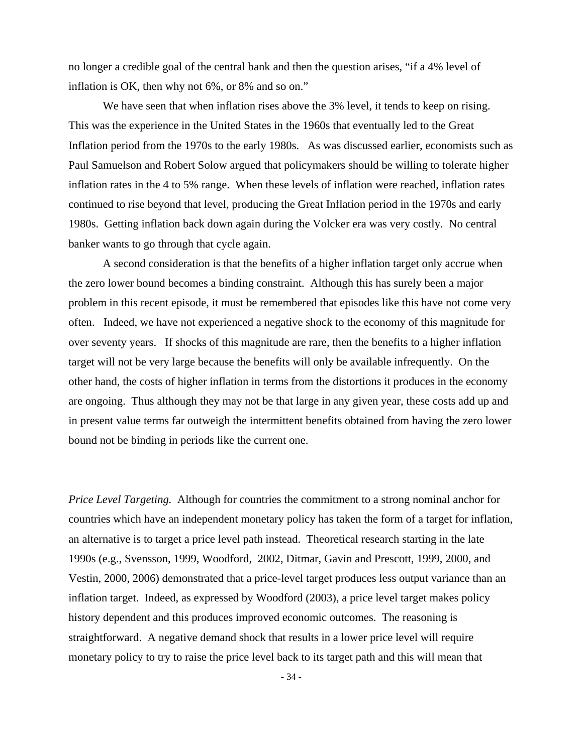no longer a credible goal of the central bank and then the question arises, "if a 4% level of inflation is OK, then why not 6%, or 8% and so on."

We have seen that when inflation rises above the 3% level, it tends to keep on rising. This was the experience in the United States in the 1960s that eventually led to the Great Inflation period from the 1970s to the early 1980s. As was discussed earlier, economists such as Paul Samuelson and Robert Solow argued that policymakers should be willing to tolerate higher inflation rates in the 4 to 5% range. When these levels of inflation were reached, inflation rates continued to rise beyond that level, producing the Great Inflation period in the 1970s and early 1980s. Getting inflation back down again during the Volcker era was very costly. No central banker wants to go through that cycle again.

A second consideration is that the benefits of a higher inflation target only accrue when the zero lower bound becomes a binding constraint. Although this has surely been a major problem in this recent episode, it must be remembered that episodes like this have not come very often. Indeed, we have not experienced a negative shock to the economy of this magnitude for over seventy years. If shocks of this magnitude are rare, then the benefits to a higher inflation target will not be very large because the benefits will only be available infrequently. On the other hand, the costs of higher inflation in terms from the distortions it produces in the economy are ongoing. Thus although they may not be that large in any given year, these costs add up and in present value terms far outweigh the intermittent benefits obtained from having the zero lower bound not be binding in periods like the current one.

*Price Level Targeting.* Although for countries the commitment to a strong nominal anchor for countries which have an independent monetary policy has taken the form of a target for inflation, an alternative is to target a price level path instead. Theoretical research starting in the late 1990s (e.g., Svensson, 1999, Woodford, 2002, Ditmar, Gavin and Prescott, 1999, 2000, and Vestin, 2000, 2006) demonstrated that a price-level target produces less output variance than an inflation target. Indeed, as expressed by Woodford (2003), a price level target makes policy history dependent and this produces improved economic outcomes. The reasoning is straightforward. A negative demand shock that results in a lower price level will require monetary policy to try to raise the price level back to its target path and this will mean that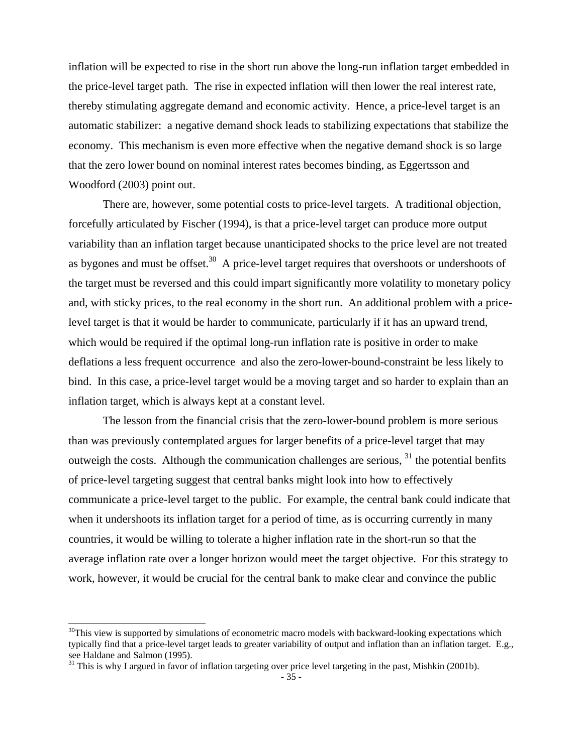inflation will be expected to rise in the short run above the long-run inflation target embedded in the price-level target path. The rise in expected inflation will then lower the real interest rate, thereby stimulating aggregate demand and economic activity. Hence, a price-level target is an automatic stabilizer: a negative demand shock leads to stabilizing expectations that stabilize the economy. This mechanism is even more effective when the negative demand shock is so large that the zero lower bound on nominal interest rates becomes binding, as Eggertsson and Woodford (2003) point out.

 There are, however, some potential costs to price-level targets. A traditional objection, forcefully articulated by Fischer (1994), is that a price-level target can produce more output variability than an inflation target because unanticipated shocks to the price level are not treated as bygones and must be offset.<sup>30</sup> A price-level target requires that overshoots or undershoots of the target must be reversed and this could impart significantly more volatility to monetary policy and, with sticky prices, to the real economy in the short run. An additional problem with a pricelevel target is that it would be harder to communicate, particularly if it has an upward trend, which would be required if the optimal long-run inflation rate is positive in order to make deflations a less frequent occurrence and also the zero-lower-bound-constraint be less likely to bind. In this case, a price-level target would be a moving target and so harder to explain than an inflation target, which is always kept at a constant level.

 The lesson from the financial crisis that the zero-lower-bound problem is more serious than was previously contemplated argues for larger benefits of a price-level target that may outweigh the costs. Although the communication challenges are serious, <sup>31</sup> the potential benfits of price-level targeting suggest that central banks might look into how to effectively communicate a price-level target to the public. For example, the central bank could indicate that when it undershoots its inflation target for a period of time, as is occurring currently in many countries, it would be willing to tolerate a higher inflation rate in the short-run so that the average inflation rate over a longer horizon would meet the target objective. For this strategy to work, however, it would be crucial for the central bank to make clear and convince the public

 $30$ This view is supported by simulations of econometric macro models with backward-looking expectations which typically find that a price-level target leads to greater variability of output and inflation than an inflation target. E.g., see Haldane and Salmon (1995).

 $31$  This is why I argued in favor of inflation targeting over price level targeting in the past, Mishkin (2001b).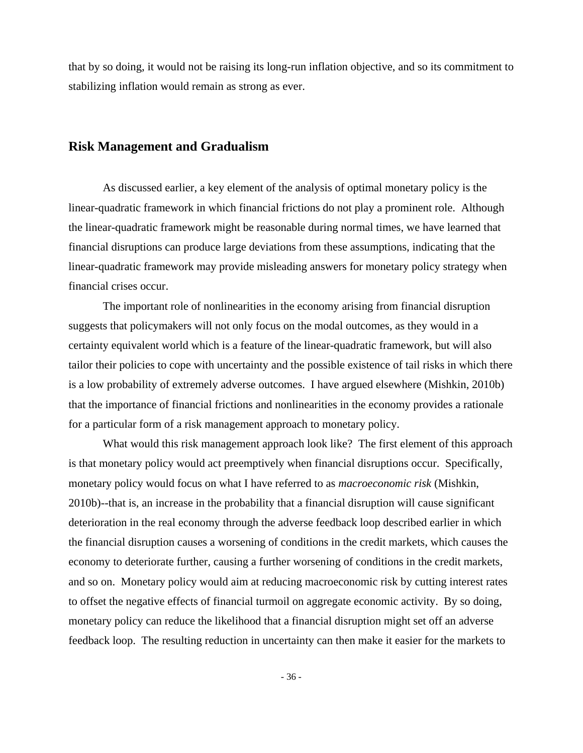that by so doing, it would not be raising its long-run inflation objective, and so its commitment to stabilizing inflation would remain as strong as ever.

## **Risk Management and Gradualism**

 As discussed earlier, a key element of the analysis of optimal monetary policy is the linear-quadratic framework in which financial frictions do not play a prominent role. Although the linear-quadratic framework might be reasonable during normal times, we have learned that financial disruptions can produce large deviations from these assumptions, indicating that the linear-quadratic framework may provide misleading answers for monetary policy strategy when financial crises occur.

The important role of nonlinearities in the economy arising from financial disruption suggests that policymakers will not only focus on the modal outcomes, as they would in a certainty equivalent world which is a feature of the linear-quadratic framework, but will also tailor their policies to cope with uncertainty and the possible existence of tail risks in which there is a low probability of extremely adverse outcomes. I have argued elsewhere (Mishkin, 2010b) that the importance of financial frictions and nonlinearities in the economy provides a rationale for a particular form of a risk management approach to monetary policy.

What would this risk management approach look like? The first element of this approach is that monetary policy would act preemptively when financial disruptions occur. Specifically, monetary policy would focus on what I have referred to as *macroeconomic risk* (Mishkin, 2010b)*-*-that is, an increase in the probability that a financial disruption will cause significant deterioration in the real economy through the adverse feedback loop described earlier in which the financial disruption causes a worsening of conditions in the credit markets, which causes the economy to deteriorate further, causing a further worsening of conditions in the credit markets, and so on. Monetary policy would aim at reducing macroeconomic risk by cutting interest rates to offset the negative effects of financial turmoil on aggregate economic activity. By so doing, monetary policy can reduce the likelihood that a financial disruption might set off an adverse feedback loop. The resulting reduction in uncertainty can then make it easier for the markets to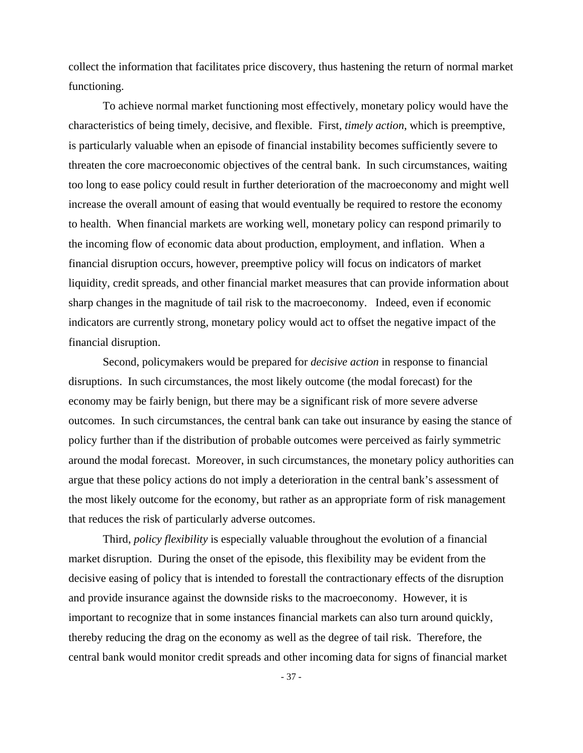collect the information that facilitates price discovery, thus hastening the return of normal market functioning.

 To achieve normal market functioning most effectively, monetary policy would have the characteristics of being timely, decisive, and flexible. First, *timely action*, which is preemptive, is particularly valuable when an episode of financial instability becomes sufficiently severe to threaten the core macroeconomic objectives of the central bank. In such circumstances, waiting too long to ease policy could result in further deterioration of the macroeconomy and might well increase the overall amount of easing that would eventually be required to restore the economy to health. When financial markets are working well, monetary policy can respond primarily to the incoming flow of economic data about production, employment, and inflation. When a financial disruption occurs, however, preemptive policy will focus on indicators of market liquidity, credit spreads, and other financial market measures that can provide information about sharp changes in the magnitude of tail risk to the macroeconomy. Indeed, even if economic indicators are currently strong, monetary policy would act to offset the negative impact of the financial disruption.

 Second, policymakers would be prepared for *decisive action* in response to financial disruptions. In such circumstances, the most likely outcome (the modal forecast) for the economy may be fairly benign, but there may be a significant risk of more severe adverse outcomes. In such circumstances, the central bank can take out insurance by easing the stance of policy further than if the distribution of probable outcomes were perceived as fairly symmetric around the modal forecast. Moreover, in such circumstances, the monetary policy authorities can argue that these policy actions do not imply a deterioration in the central bank's assessment of the most likely outcome for the economy, but rather as an appropriate form of risk management that reduces the risk of particularly adverse outcomes.

 Third, *policy flexibility* is especially valuable throughout the evolution of a financial market disruption. During the onset of the episode, this flexibility may be evident from the decisive easing of policy that is intended to forestall the contractionary effects of the disruption and provide insurance against the downside risks to the macroeconomy. However, it is important to recognize that in some instances financial markets can also turn around quickly, thereby reducing the drag on the economy as well as the degree of tail risk. Therefore, the central bank would monitor credit spreads and other incoming data for signs of financial market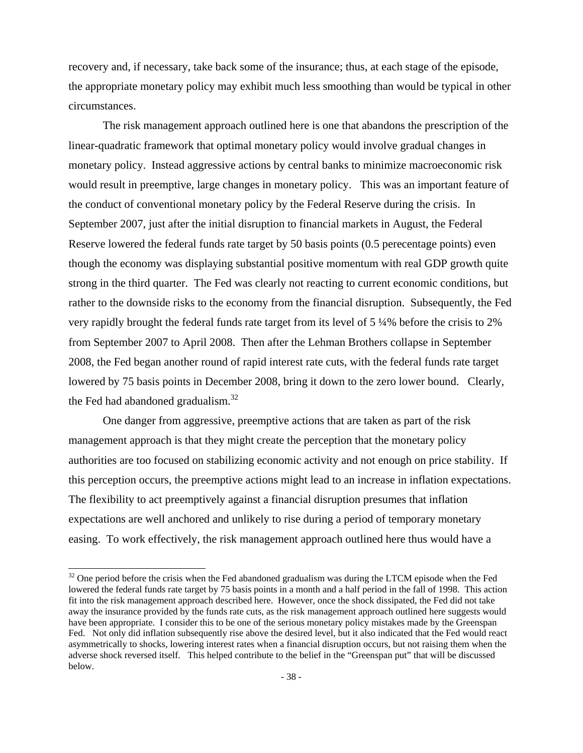recovery and, if necessary, take back some of the insurance; thus, at each stage of the episode, the appropriate monetary policy may exhibit much less smoothing than would be typical in other circumstances.

 The risk management approach outlined here is one that abandons the prescription of the linear-quadratic framework that optimal monetary policy would involve gradual changes in monetary policy. Instead aggressive actions by central banks to minimize macroeconomic risk would result in preemptive, large changes in monetary policy. This was an important feature of the conduct of conventional monetary policy by the Federal Reserve during the crisis. In September 2007, just after the initial disruption to financial markets in August, the Federal Reserve lowered the federal funds rate target by 50 basis points (0.5 perecentage points) even though the economy was displaying substantial positive momentum with real GDP growth quite strong in the third quarter. The Fed was clearly not reacting to current economic conditions, but rather to the downside risks to the economy from the financial disruption. Subsequently, the Fed very rapidly brought the federal funds rate target from its level of 5 ¼% before the crisis to 2% from September 2007 to April 2008. Then after the Lehman Brothers collapse in September 2008, the Fed began another round of rapid interest rate cuts, with the federal funds rate target lowered by 75 basis points in December 2008, bring it down to the zero lower bound. Clearly, the Fed had abandoned gradualism.<sup>32</sup>

 One danger from aggressive, preemptive actions that are taken as part of the risk management approach is that they might create the perception that the monetary policy authorities are too focused on stabilizing economic activity and not enough on price stability. If this perception occurs, the preemptive actions might lead to an increase in inflation expectations. The flexibility to act preemptively against a financial disruption presumes that inflation expectations are well anchored and unlikely to rise during a period of temporary monetary easing. To work effectively, the risk management approach outlined here thus would have a

 $32$  One period before the crisis when the Fed abandoned gradualism was during the LTCM episode when the Fed lowered the federal funds rate target by 75 basis points in a month and a half period in the fall of 1998. This action fit into the risk management approach described here. However, once the shock dissipated, the Fed did not take away the insurance provided by the funds rate cuts, as the risk management approach outlined here suggests would have been appropriate. I consider this to be one of the serious monetary policy mistakes made by the Greenspan Fed. Not only did inflation subsequently rise above the desired level, but it also indicated that the Fed would react asymmetrically to shocks, lowering interest rates when a financial disruption occurs, but not raising them when the adverse shock reversed itself. This helped contribute to the belief in the "Greenspan put" that will be discussed below.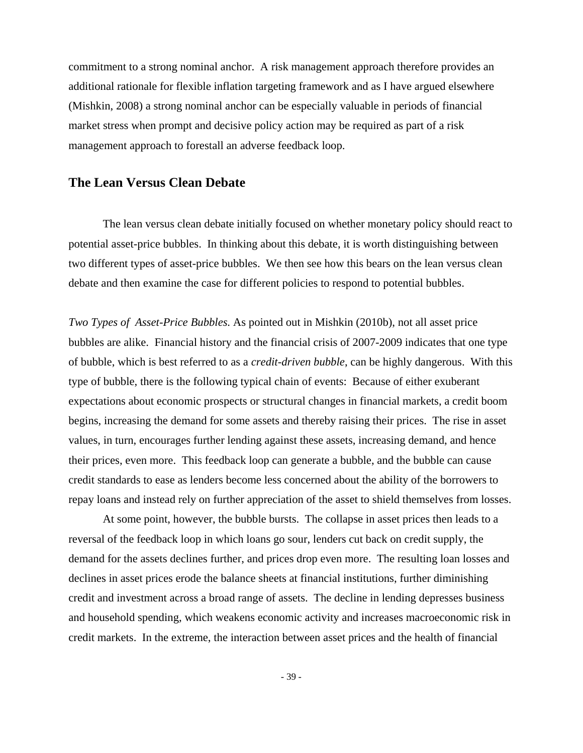commitment to a strong nominal anchor. A risk management approach therefore provides an additional rationale for flexible inflation targeting framework and as I have argued elsewhere (Mishkin, 2008) a strong nominal anchor can be especially valuable in periods of financial market stress when prompt and decisive policy action may be required as part of a risk management approach to forestall an adverse feedback loop.

### **The Lean Versus Clean Debate**

 The lean versus clean debate initially focused on whether monetary policy should react to potential asset-price bubbles. In thinking about this debate, it is worth distinguishing between two different types of asset-price bubbles. We then see how this bears on the lean versus clean debate and then examine the case for different policies to respond to potential bubbles.

*Two Types of Asset-Price Bubbles.* As pointed out in Mishkin (2010b), not all asset price bubbles are alike. Financial history and the financial crisis of 2007-2009 indicates that one type of bubble, which is best referred to as a *credit-driven bubble*, can be highly dangerous. With this type of bubble, there is the following typical chain of events: Because of either exuberant expectations about economic prospects or structural changes in financial markets, a credit boom begins, increasing the demand for some assets and thereby raising their prices. The rise in asset values, in turn, encourages further lending against these assets, increasing demand, and hence their prices, even more. This feedback loop can generate a bubble, and the bubble can cause credit standards to ease as lenders become less concerned about the ability of the borrowers to repay loans and instead rely on further appreciation of the asset to shield themselves from losses.

 At some point, however, the bubble bursts. The collapse in asset prices then leads to a reversal of the feedback loop in which loans go sour, lenders cut back on credit supply, the demand for the assets declines further, and prices drop even more. The resulting loan losses and declines in asset prices erode the balance sheets at financial institutions, further diminishing credit and investment across a broad range of assets. The decline in lending depresses business and household spending, which weakens economic activity and increases macroeconomic risk in credit markets. In the extreme, the interaction between asset prices and the health of financial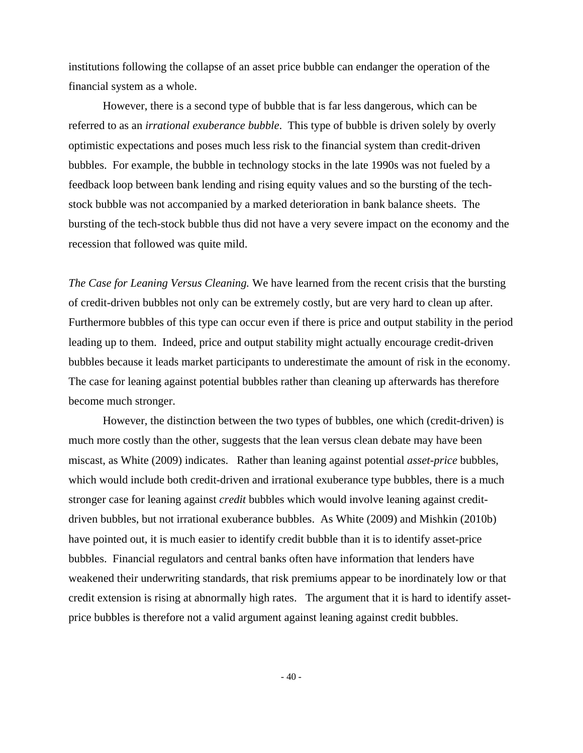institutions following the collapse of an asset price bubble can endanger the operation of the financial system as a whole.

 However, there is a second type of bubble that is far less dangerous, which can be referred to as an *irrational exuberance bubble*. This type of bubble is driven solely by overly optimistic expectations and poses much less risk to the financial system than credit-driven bubbles. For example, the bubble in technology stocks in the late 1990s was not fueled by a feedback loop between bank lending and rising equity values and so the bursting of the techstock bubble was not accompanied by a marked deterioration in bank balance sheets. The bursting of the tech-stock bubble thus did not have a very severe impact on the economy and the recession that followed was quite mild.

*The Case for Leaning Versus Cleaning.* We have learned from the recent crisis that the bursting of credit-driven bubbles not only can be extremely costly, but are very hard to clean up after. Furthermore bubbles of this type can occur even if there is price and output stability in the period leading up to them. Indeed, price and output stability might actually encourage credit-driven bubbles because it leads market participants to underestimate the amount of risk in the economy. The case for leaning against potential bubbles rather than cleaning up afterwards has therefore become much stronger.

However, the distinction between the two types of bubbles, one which (credit-driven) is much more costly than the other, suggests that the lean versus clean debate may have been miscast, as White (2009) indicates. Rather than leaning against potential *asset-price* bubbles, which would include both credit-driven and irrational exuberance type bubbles, there is a much stronger case for leaning against *credit* bubbles which would involve leaning against creditdriven bubbles, but not irrational exuberance bubbles. As White (2009) and Mishkin (2010b) have pointed out, it is much easier to identify credit bubble than it is to identify asset-price bubbles. Financial regulators and central banks often have information that lenders have weakened their underwriting standards, that risk premiums appear to be inordinately low or that credit extension is rising at abnormally high rates. The argument that it is hard to identify assetprice bubbles is therefore not a valid argument against leaning against credit bubbles.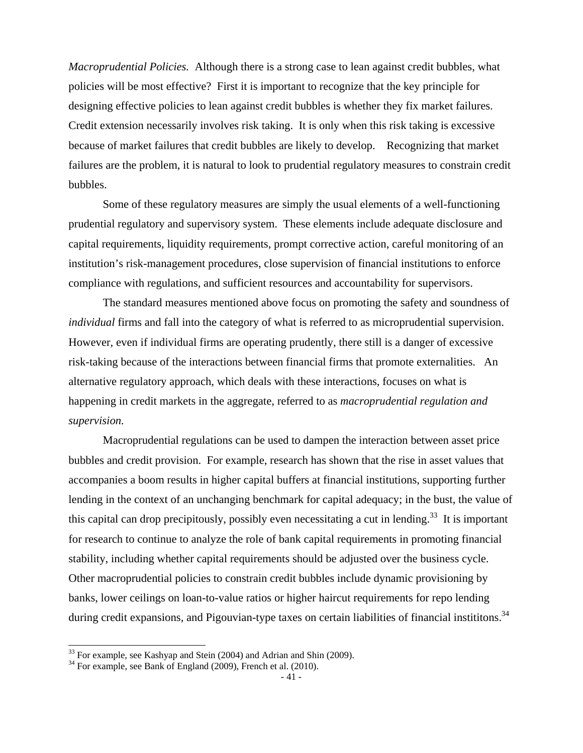*Macroprudential Policies.* Although there is a strong case to lean against credit bubbles, what policies will be most effective? First it is important to recognize that the key principle for designing effective policies to lean against credit bubbles is whether they fix market failures. Credit extension necessarily involves risk taking. It is only when this risk taking is excessive because of market failures that credit bubbles are likely to develop. Recognizing that market failures are the problem, it is natural to look to prudential regulatory measures to constrain credit bubbles.

 Some of these regulatory measures are simply the usual elements of a well-functioning prudential regulatory and supervisory system. These elements include adequate disclosure and capital requirements, liquidity requirements, prompt corrective action, careful monitoring of an institution's risk-management procedures, close supervision of financial institutions to enforce compliance with regulations, and sufficient resources and accountability for supervisors.

 The standard measures mentioned above focus on promoting the safety and soundness of *individual* firms and fall into the category of what is referred to as microprudential supervision. However, even if individual firms are operating prudently, there still is a danger of excessive risk-taking because of the interactions between financial firms that promote externalities. An alternative regulatory approach, which deals with these interactions, focuses on what is happening in credit markets in the aggregate, referred to as *macroprudential regulation and supervision.*

Macroprudential regulations can be used to dampen the interaction between asset price bubbles and credit provision. For example, research has shown that the rise in asset values that accompanies a boom results in higher capital buffers at financial institutions, supporting further lending in the context of an unchanging benchmark for capital adequacy; in the bust, the value of this capital can drop precipitously, possibly even necessitating a cut in lending.<sup>33</sup> It is important for research to continue to analyze the role of bank capital requirements in promoting financial stability, including whether capital requirements should be adjusted over the business cycle. Other macroprudential policies to constrain credit bubbles include dynamic provisioning by banks, lower ceilings on loan-to-value ratios or higher haircut requirements for repo lending during credit expansions, and Pigouvian-type taxes on certain liabilities of financial instititons.<sup>34</sup>

<sup>&</sup>lt;sup>33</sup> For example, see Kashyap and Stein (2004) and Adrian and Shin (2009).

 $34$  For example, see Bank of England (2009), French et al. (2010).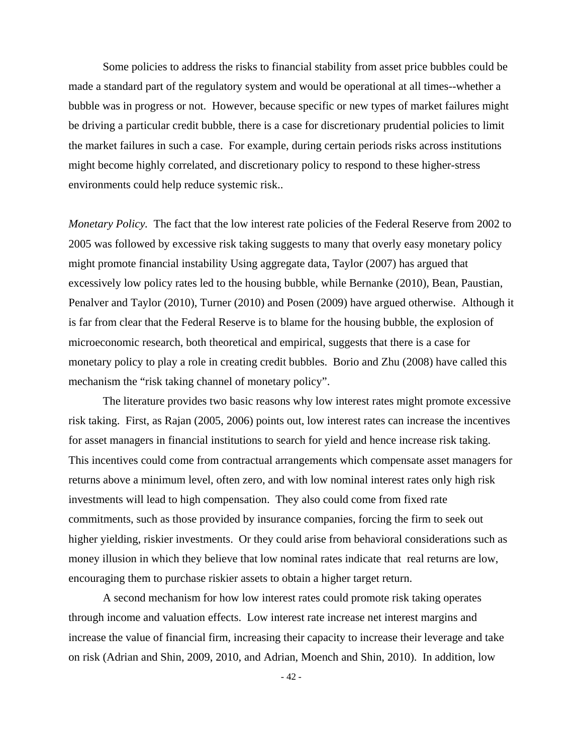Some policies to address the risks to financial stability from asset price bubbles could be made a standard part of the regulatory system and would be operational at all times--whether a bubble was in progress or not. However, because specific or new types of market failures might be driving a particular credit bubble, there is a case for discretionary prudential policies to limit the market failures in such a case. For example, during certain periods risks across institutions might become highly correlated, and discretionary policy to respond to these higher-stress environments could help reduce systemic risk..

*Monetary Policy.* The fact that the low interest rate policies of the Federal Reserve from 2002 to 2005 was followed by excessive risk taking suggests to many that overly easy monetary policy might promote financial instability Using aggregate data, Taylor (2007) has argued that excessively low policy rates led to the housing bubble, while Bernanke (2010), Bean, Paustian, Penalver and Taylor (2010), Turner (2010) and Posen (2009) have argued otherwise. Although it is far from clear that the Federal Reserve is to blame for the housing bubble, the explosion of microeconomic research, both theoretical and empirical, suggests that there is a case for monetary policy to play a role in creating credit bubbles. Borio and Zhu (2008) have called this mechanism the "risk taking channel of monetary policy".

The literature provides two basic reasons why low interest rates might promote excessive risk taking. First, as Rajan (2005, 2006) points out, low interest rates can increase the incentives for asset managers in financial institutions to search for yield and hence increase risk taking. This incentives could come from contractual arrangements which compensate asset managers for returns above a minimum level, often zero, and with low nominal interest rates only high risk investments will lead to high compensation. They also could come from fixed rate commitments, such as those provided by insurance companies, forcing the firm to seek out higher yielding, riskier investments. Or they could arise from behavioral considerations such as money illusion in which they believe that low nominal rates indicate that real returns are low, encouraging them to purchase riskier assets to obtain a higher target return.

A second mechanism for how low interest rates could promote risk taking operates through income and valuation effects. Low interest rate increase net interest margins and increase the value of financial firm, increasing their capacity to increase their leverage and take on risk (Adrian and Shin, 2009, 2010, and Adrian, Moench and Shin, 2010). In addition, low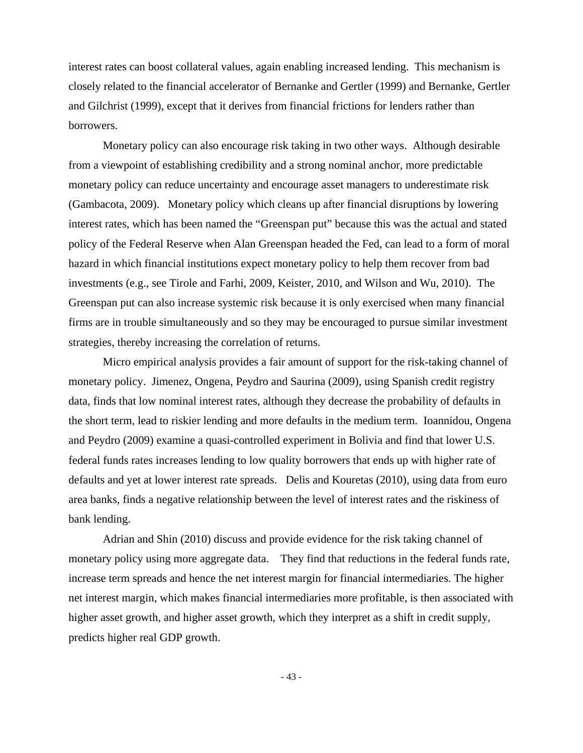interest rates can boost collateral values, again enabling increased lending. This mechanism is closely related to the financial accelerator of Bernanke and Gertler (1999) and Bernanke, Gertler and Gilchrist (1999), except that it derives from financial frictions for lenders rather than borrowers.

Monetary policy can also encourage risk taking in two other ways. Although desirable from a viewpoint of establishing credibility and a strong nominal anchor, more predictable monetary policy can reduce uncertainty and encourage asset managers to underestimate risk (Gambacota, 2009). Monetary policy which cleans up after financial disruptions by lowering interest rates, which has been named the "Greenspan put" because this was the actual and stated policy of the Federal Reserve when Alan Greenspan headed the Fed, can lead to a form of moral hazard in which financial institutions expect monetary policy to help them recover from bad investments (e.g., see Tirole and Farhi, 2009, Keister, 2010, and Wilson and Wu, 2010). The Greenspan put can also increase systemic risk because it is only exercised when many financial firms are in trouble simultaneously and so they may be encouraged to pursue similar investment strategies, thereby increasing the correlation of returns.

Micro empirical analysis provides a fair amount of support for the risk-taking channel of monetary policy. Jimenez, Ongena, Peydro and Saurina (2009), using Spanish credit registry data, finds that low nominal interest rates, although they decrease the probability of defaults in the short term, lead to riskier lending and more defaults in the medium term. Ioannidou, Ongena and Peydro (2009) examine a quasi-controlled experiment in Bolivia and find that lower U.S. federal funds rates increases lending to low quality borrowers that ends up with higher rate of defaults and yet at lower interest rate spreads. Delis and Kouretas (2010), using data from euro area banks, finds a negative relationship between the level of interest rates and the riskiness of bank lending.

Adrian and Shin (2010) discuss and provide evidence for the risk taking channel of monetary policy using more aggregate data. They find that reductions in the federal funds rate, increase term spreads and hence the net interest margin for financial intermediaries. The higher net interest margin, which makes financial intermediaries more profitable, is then associated with higher asset growth, and higher asset growth, which they interpret as a shift in credit supply, predicts higher real GDP growth.

- 43 -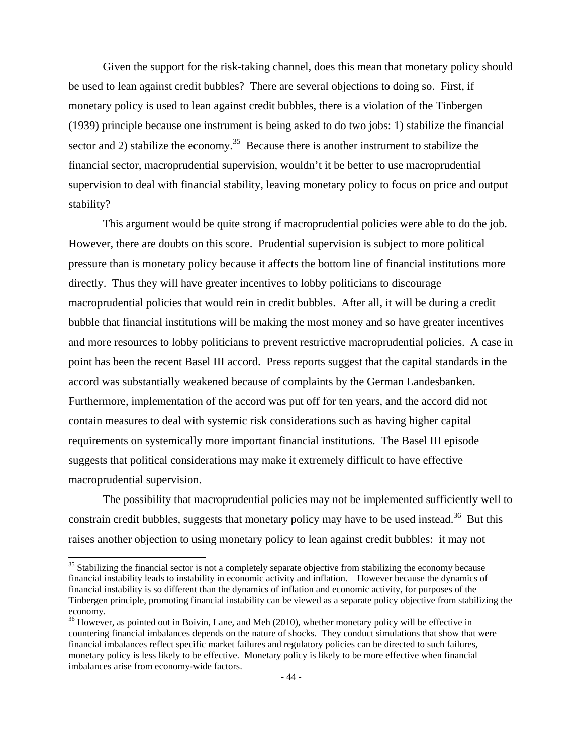Given the support for the risk-taking channel, does this mean that monetary policy should be used to lean against credit bubbles? There are several objections to doing so. First, if monetary policy is used to lean against credit bubbles, there is a violation of the Tinbergen (1939) principle because one instrument is being asked to do two jobs: 1) stabilize the financial sector and 2) stabilize the economy.<sup>35</sup> Because there is another instrument to stabilize the financial sector, macroprudential supervision, wouldn't it be better to use macroprudential supervision to deal with financial stability, leaving monetary policy to focus on price and output stability?

This argument would be quite strong if macroprudential policies were able to do the job. However, there are doubts on this score. Prudential supervision is subject to more political pressure than is monetary policy because it affects the bottom line of financial institutions more directly. Thus they will have greater incentives to lobby politicians to discourage macroprudential policies that would rein in credit bubbles. After all, it will be during a credit bubble that financial institutions will be making the most money and so have greater incentives and more resources to lobby politicians to prevent restrictive macroprudential policies. A case in point has been the recent Basel III accord. Press reports suggest that the capital standards in the accord was substantially weakened because of complaints by the German Landesbanken. Furthermore, implementation of the accord was put off for ten years, and the accord did not contain measures to deal with systemic risk considerations such as having higher capital requirements on systemically more important financial institutions. The Basel III episode suggests that political considerations may make it extremely difficult to have effective macroprudential supervision.

The possibility that macroprudential policies may not be implemented sufficiently well to constrain credit bubbles, suggests that monetary policy may have to be used instead.<sup>36</sup> But this raises another objection to using monetary policy to lean against credit bubbles: it may not

<sup>&</sup>lt;sup>35</sup> Stabilizing the financial sector is not a completely separate objective from stabilizing the economy because financial instability leads to instability in economic activity and inflation. However because the dynamics of financial instability is so different than the dynamics of inflation and economic activity, for purposes of the Tinbergen principle, promoting financial instability can be viewed as a separate policy objective from stabilizing the economy.

 $36$  However, as pointed out in Boivin, Lane, and Meh (2010), whether monetary policy will be effective in countering financial imbalances depends on the nature of shocks. They conduct simulations that show that were financial imbalances reflect specific market failures and regulatory policies can be directed to such failures, monetary policy is less likely to be effective. Monetary policy is likely to be more effective when financial imbalances arise from economy-wide factors.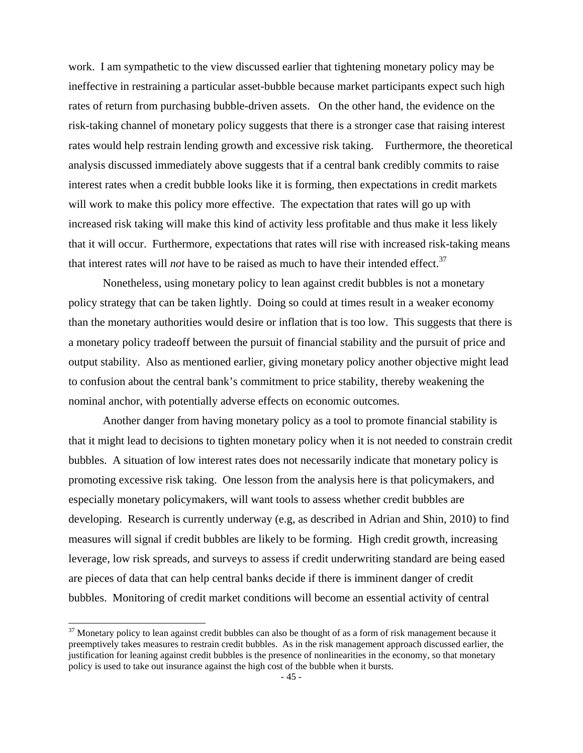work. I am sympathetic to the view discussed earlier that tightening monetary policy may be ineffective in restraining a particular asset-bubble because market participants expect such high rates of return from purchasing bubble-driven assets. On the other hand, the evidence on the risk-taking channel of monetary policy suggests that there is a stronger case that raising interest rates would help restrain lending growth and excessive risk taking. Furthermore, the theoretical analysis discussed immediately above suggests that if a central bank credibly commits to raise interest rates when a credit bubble looks like it is forming, then expectations in credit markets will work to make this policy more effective. The expectation that rates will go up with increased risk taking will make this kind of activity less profitable and thus make it less likely that it will occur. Furthermore, expectations that rates will rise with increased risk-taking means that interest rates will *not* have to be raised as much to have their intended effect.<sup>37</sup>

Nonetheless, using monetary policy to lean against credit bubbles is not a monetary policy strategy that can be taken lightly. Doing so could at times result in a weaker economy than the monetary authorities would desire or inflation that is too low. This suggests that there is a monetary policy tradeoff between the pursuit of financial stability and the pursuit of price and output stability. Also as mentioned earlier, giving monetary policy another objective might lead to confusion about the central bank's commitment to price stability, thereby weakening the nominal anchor, with potentially adverse effects on economic outcomes.

 Another danger from having monetary policy as a tool to promote financial stability is that it might lead to decisions to tighten monetary policy when it is not needed to constrain credit bubbles. A situation of low interest rates does not necessarily indicate that monetary policy is promoting excessive risk taking. One lesson from the analysis here is that policymakers, and especially monetary policymakers, will want tools to assess whether credit bubbles are developing. Research is currently underway (e.g, as described in Adrian and Shin, 2010) to find measures will signal if credit bubbles are likely to be forming. High credit growth, increasing leverage, low risk spreads, and surveys to assess if credit underwriting standard are being eased are pieces of data that can help central banks decide if there is imminent danger of credit bubbles. Monitoring of credit market conditions will become an essential activity of central

 $37$  Monetary policy to lean against credit bubbles can also be thought of as a form of risk management because it preemptively takes measures to restrain credit bubbles. As in the risk management approach discussed earlier, the justification for leaning against credit bubbles is the presence of nonlinearities in the economy, so that monetary policy is used to take out insurance against the high cost of the bubble when it bursts.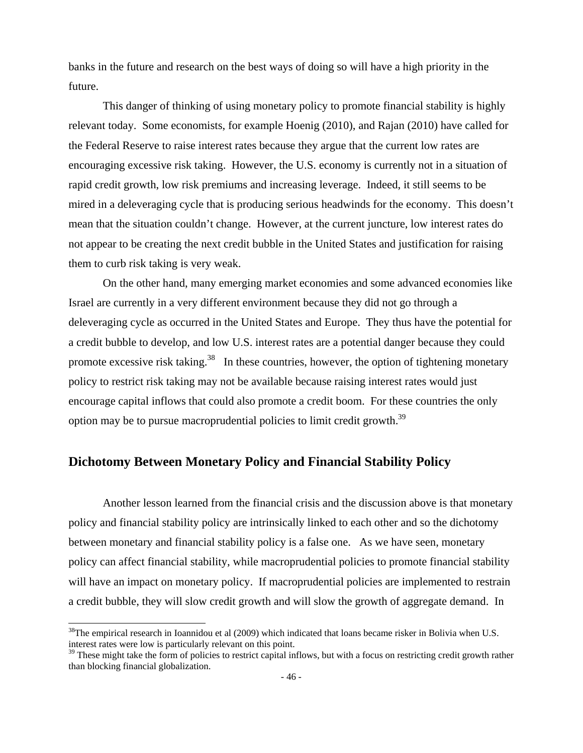banks in the future and research on the best ways of doing so will have a high priority in the future.

 This danger of thinking of using monetary policy to promote financial stability is highly relevant today. Some economists, for example Hoenig (2010), and Rajan (2010) have called for the Federal Reserve to raise interest rates because they argue that the current low rates are encouraging excessive risk taking. However, the U.S. economy is currently not in a situation of rapid credit growth, low risk premiums and increasing leverage. Indeed, it still seems to be mired in a deleveraging cycle that is producing serious headwinds for the economy. This doesn't mean that the situation couldn't change. However, at the current juncture, low interest rates do not appear to be creating the next credit bubble in the United States and justification for raising them to curb risk taking is very weak.

On the other hand, many emerging market economies and some advanced economies like Israel are currently in a very different environment because they did not go through a deleveraging cycle as occurred in the United States and Europe. They thus have the potential for a credit bubble to develop, and low U.S. interest rates are a potential danger because they could promote excessive risk taking.<sup>38</sup> In these countries, however, the option of tightening monetary policy to restrict risk taking may not be available because raising interest rates would just encourage capital inflows that could also promote a credit boom. For these countries the only option may be to pursue macroprudential policies to limit credit growth.<sup>39</sup>

# **Dichotomy Between Monetary Policy and Financial Stability Policy**

 Another lesson learned from the financial crisis and the discussion above is that monetary policy and financial stability policy are intrinsically linked to each other and so the dichotomy between monetary and financial stability policy is a false one. As we have seen, monetary policy can affect financial stability, while macroprudential policies to promote financial stability will have an impact on monetary policy. If macroprudential policies are implemented to restrain a credit bubble, they will slow credit growth and will slow the growth of aggregate demand. In

 $38$ The empirical research in Ioannidou et al (2009) which indicated that loans became risker in Bolivia when U.S. interest rates were low is particularly relevant on this point.

 $39$  These might take the form of policies to restrict capital inflows, but with a focus on restricting credit growth rather than blocking financial globalization.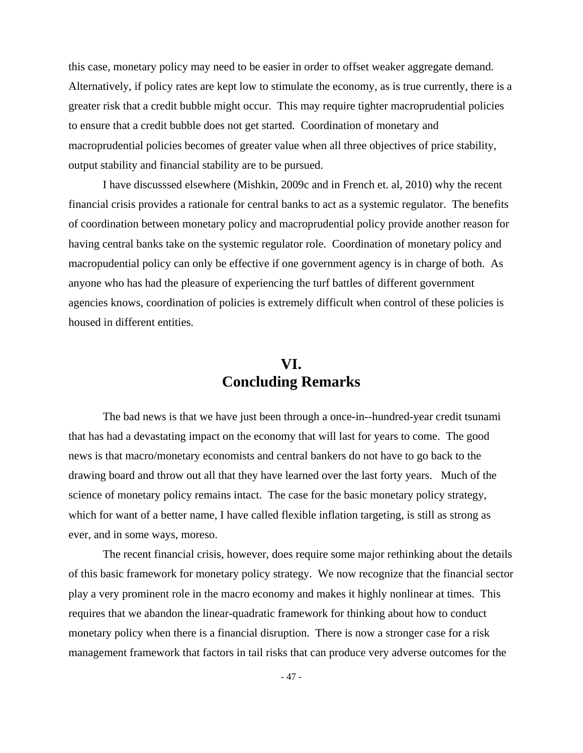this case, monetary policy may need to be easier in order to offset weaker aggregate demand. Alternatively, if policy rates are kept low to stimulate the economy, as is true currently, there is a greater risk that a credit bubble might occur. This may require tighter macroprudential policies to ensure that a credit bubble does not get started. Coordination of monetary and macroprudential policies becomes of greater value when all three objectives of price stability, output stability and financial stability are to be pursued.

 I have discusssed elsewhere (Mishkin, 2009c and in French et. al, 2010) why the recent financial crisis provides a rationale for central banks to act as a systemic regulator. The benefits of coordination between monetary policy and macroprudential policy provide another reason for having central banks take on the systemic regulator role. Coordination of monetary policy and macropudential policy can only be effective if one government agency is in charge of both. As anyone who has had the pleasure of experiencing the turf battles of different government agencies knows, coordination of policies is extremely difficult when control of these policies is housed in different entities.

# **VI. Concluding Remarks**

 The bad news is that we have just been through a once-in--hundred-year credit tsunami that has had a devastating impact on the economy that will last for years to come. The good news is that macro/monetary economists and central bankers do not have to go back to the drawing board and throw out all that they have learned over the last forty years. Much of the science of monetary policy remains intact. The case for the basic monetary policy strategy, which for want of a better name, I have called flexible inflation targeting, is still as strong as ever, and in some ways, moreso.

The recent financial crisis, however, does require some major rethinking about the details of this basic framework for monetary policy strategy. We now recognize that the financial sector play a very prominent role in the macro economy and makes it highly nonlinear at times. This requires that we abandon the linear-quadratic framework for thinking about how to conduct monetary policy when there is a financial disruption. There is now a stronger case for a risk management framework that factors in tail risks that can produce very adverse outcomes for the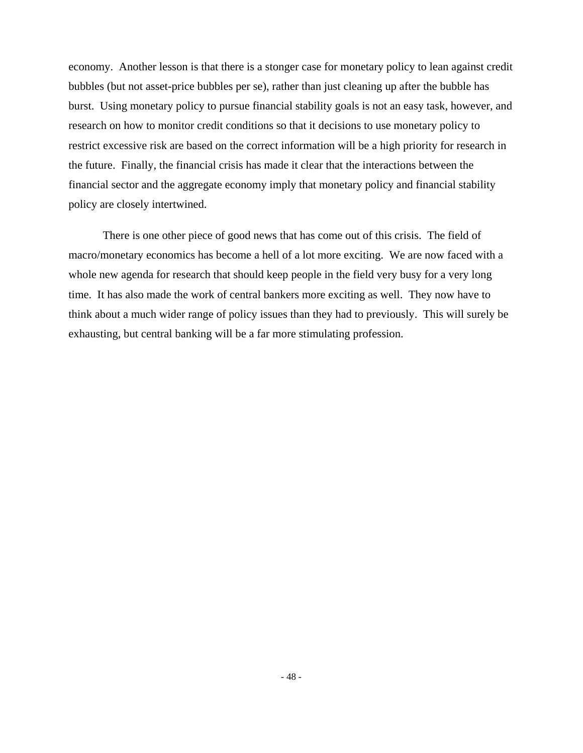economy. Another lesson is that there is a stonger case for monetary policy to lean against credit bubbles (but not asset-price bubbles per se), rather than just cleaning up after the bubble has burst. Using monetary policy to pursue financial stability goals is not an easy task, however, and research on how to monitor credit conditions so that it decisions to use monetary policy to restrict excessive risk are based on the correct information will be a high priority for research in the future. Finally, the financial crisis has made it clear that the interactions between the financial sector and the aggregate economy imply that monetary policy and financial stability policy are closely intertwined.

There is one other piece of good news that has come out of this crisis. The field of macro/monetary economics has become a hell of a lot more exciting. We are now faced with a whole new agenda for research that should keep people in the field very busy for a very long time. It has also made the work of central bankers more exciting as well. They now have to think about a much wider range of policy issues than they had to previously. This will surely be exhausting, but central banking will be a far more stimulating profession.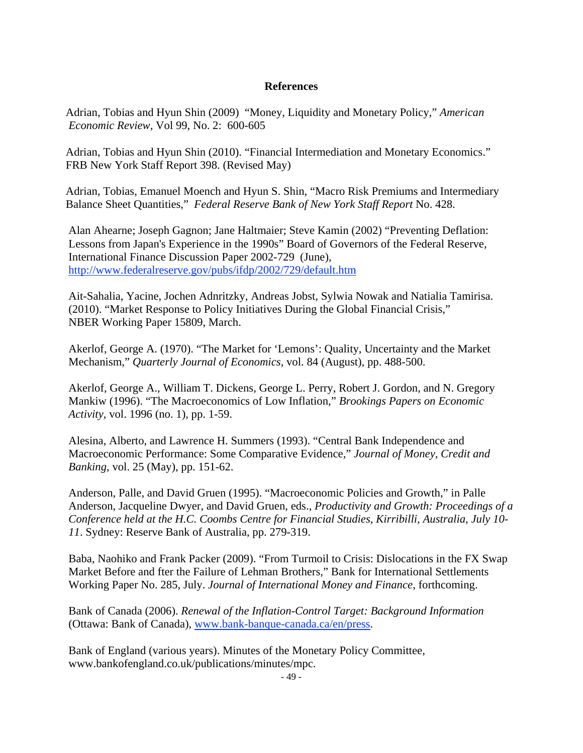## **References**

Adrian, Tobias and Hyun Shin (2009) "Money, Liquidity and Monetary Policy," *American Economic Review,* Vol 99, No. 2: 600-605

Adrian, Tobias and Hyun Shin (2010). "Financial Intermediation and Monetary Economics." FRB New York Staff Report 398. (Revised May)

Adrian, Tobias, Emanuel Moench and Hyun S. Shin, "Macro Risk Premiums and Intermediary Balance Sheet Quantities," *Federal Reserve Bank of New York Staff Report* No. 428.

Alan Ahearne; Joseph Gagnon; Jane Haltmaier; Steve Kamin (2002) "Preventing Deflation: Lessons from Japan's Experience in the 1990s" Board of Governors of the Federal Reserve, International Finance Discussion Paper 2002-729 (June), http://www.federalreserve.gov/pubs/ifdp/2002/729/default.htm

Ait-Sahalia, Yacine, Jochen Adnritzky, Andreas Jobst, Sylwia Nowak and Natialia Tamirisa. (2010). "Market Response to Policy Initiatives During the Global Financial Crisis," NBER Working Paper 15809, March.

Akerlof, George A. (1970). "The Market for 'Lemons': Quality, Uncertainty and the Market Mechanism," *Quarterly Journal of Economics*, vol. 84 (August), pp. 488-500.

Akerlof, George A., William T. Dickens, George L. Perry, Robert J. Gordon, and N. Gregory Mankiw (1996). "The Macroeconomics of Low Inflation," *Brookings Papers on Economic Activity*, vol. 1996 (no. 1), pp. 1-59.

Alesina, Alberto, and Lawrence H. Summers (1993). "Central Bank Independence and Macroeconomic Performance: Some Comparative Evidence," *Journal of Money, Credit and Banking*, vol. 25 (May), pp. 151-62.

Anderson, Palle, and David Gruen (1995). "Macroeconomic Policies and Growth," in Palle Anderson, Jacqueline Dwyer, and David Gruen, eds., *Productivity and Growth: Proceedings of a Conference held at the H.C. Coombs Centre for Financial Studies, Kirribilli, Australia, July 10- 11*. Sydney: Reserve Bank of Australia, pp. 279-319.

Baba, Naohiko and Frank Packer (2009). "From Turmoil to Crisis: Dislocations in the FX Swap Market Before and fter the Failure of Lehman Brothers," Bank for International Settlements Working Paper No. 285, July. *Journal of International Money and Finance*, forthcoming.

Bank of Canada (2006). *Renewal of the Inflation-Control Target: Background Information* (Ottawa: Bank of Canada), www.bank-banque-canada.ca/en/press.

Bank of England (various years). Minutes of the Monetary Policy Committee, www.bankofengland.co.uk/publications/minutes/mpc.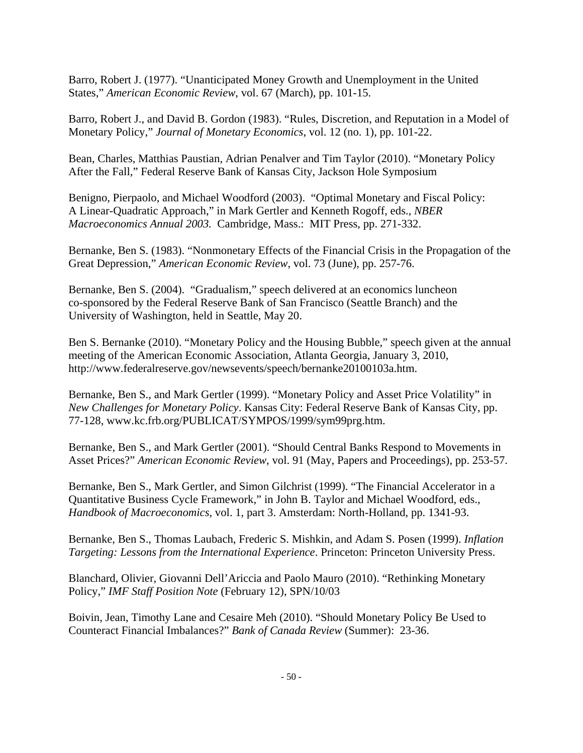Barro, Robert J. (1977). "Unanticipated Money Growth and Unemployment in the United States," *American Economic Review*, vol. 67 (March), pp. 101-15.

Barro, Robert J., and David B. Gordon (1983). "Rules, Discretion, and Reputation in a Model of Monetary Policy," *Journal of Monetary Economics*, vol. 12 (no. 1), pp. 101-22.

Bean, Charles, Matthias Paustian, Adrian Penalver and Tim Taylor (2010). "Monetary Policy After the Fall," Federal Reserve Bank of Kansas City, Jackson Hole Symposium

Benigno, Pierpaolo, and Michael Woodford (2003). "Optimal Monetary and Fiscal Policy: A Linear-Quadratic Approach," in Mark Gertler and Kenneth Rogoff, eds., *NBER Macroeconomics Annual 2003.* Cambridge, Mass.: MIT Press, pp. 271-332.

Bernanke, Ben S. (1983). "Nonmonetary Effects of the Financial Crisis in the Propagation of the Great Depression," *American Economic Review*, vol. 73 (June), pp. 257-76.

Bernanke, Ben S. (2004). "Gradualism," speech delivered at an economics luncheon co-sponsored by the Federal Reserve Bank of San Francisco (Seattle Branch) and the University of Washington, held in Seattle, May 20.

Ben S. Bernanke (2010). "Monetary Policy and the Housing Bubble," speech given at the annual meeting of the American Economic Association, Atlanta Georgia, January 3, 2010, http://www.federalreserve.gov/newsevents/speech/bernanke20100103a.htm.

Bernanke, Ben S., and Mark Gertler (1999). "Monetary Policy and Asset Price Volatility" in *New Challenges for Monetary Policy*. Kansas City: Federal Reserve Bank of Kansas City, pp. 77-128, www.kc.frb.org/PUBLICAT/SYMPOS/1999/sym99prg.htm.

Bernanke, Ben S., and Mark Gertler (2001). "Should Central Banks Respond to Movements in Asset Prices?" *American Economic Review*, vol. 91 (May, Papers and Proceedings), pp. 253-57.

Bernanke, Ben S., Mark Gertler, and Simon Gilchrist (1999). "The Financial Accelerator in a Quantitative Business Cycle Framework," in John B. Taylor and Michael Woodford, eds., *Handbook of Macroeconomics*, vol. 1, part 3. Amsterdam: North-Holland, pp. 1341-93.

Bernanke, Ben S., Thomas Laubach, Frederic S. Mishkin, and Adam S. Posen (1999). *Inflation Targeting: Lessons from the International Experience*. Princeton: Princeton University Press.

Blanchard, Olivier, Giovanni Dell'Ariccia and Paolo Mauro (2010). "Rethinking Monetary Policy," *IMF Staff Position Note* (February 12), SPN/10/03

Boivin, Jean, Timothy Lane and Cesaire Meh (2010). "Should Monetary Policy Be Used to Counteract Financial Imbalances?" *Bank of Canada Review* (Summer): 23-36.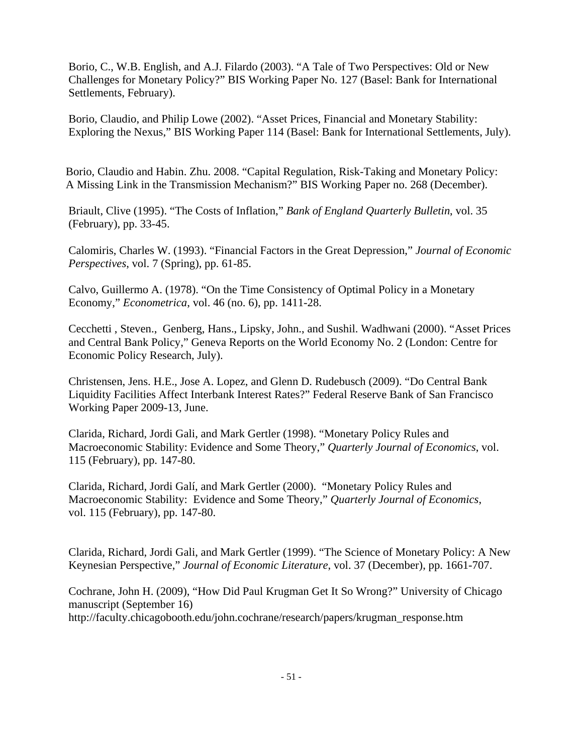Borio, C., W.B. English, and A.J. Filardo (2003). "A Tale of Two Perspectives: Old or New Challenges for Monetary Policy?" BIS Working Paper No. 127 (Basel: Bank for International Settlements, February).

Borio, Claudio, and Philip Lowe (2002). "Asset Prices, Financial and Monetary Stability: Exploring the Nexus," BIS Working Paper 114 (Basel: Bank for International Settlements, July).

Borio, Claudio and Habin. Zhu. 2008. "Capital Regulation, Risk-Taking and Monetary Policy: A Missing Link in the Transmission Mechanism?" BIS Working Paper no. 268 (December).

Briault, Clive (1995). "The Costs of Inflation," *Bank of England Quarterly Bulletin*, vol. 35 (February), pp. 33-45.

Calomiris, Charles W. (1993). "Financial Factors in the Great Depression," *Journal of Economic Perspectives*, vol. 7 (Spring), pp. 61-85.

Calvo, Guillermo A. (1978). "On the Time Consistency of Optimal Policy in a Monetary Economy," *Econometrica*, vol. 46 (no. 6), pp. 1411-28.

Cecchetti , Steven., Genberg, Hans., Lipsky, John., and Sushil. Wadhwani (2000). "Asset Prices and Central Bank Policy," Geneva Reports on the World Economy No. 2 (London: Centre for Economic Policy Research, July).

Christensen, Jens. H.E., Jose A. Lopez, and Glenn D. Rudebusch (2009). "Do Central Bank Liquidity Facilities Affect Interbank Interest Rates?" Federal Reserve Bank of San Francisco Working Paper 2009-13, June.

Clarida, Richard, Jordi Gali, and Mark Gertler (1998). "Monetary Policy Rules and Macroeconomic Stability: Evidence and Some Theory," *Quarterly Journal of Economics*, vol. 115 (February), pp. 147-80.

Clarida, Richard, Jordi Galí, and Mark Gertler (2000). "Monetary Policy Rules and Macroeconomic Stability: Evidence and Some Theory," *Quarterly Journal of Economics*, vol. 115 (February), pp. 147-80.

Clarida, Richard, Jordi Gali, and Mark Gertler (1999). "The Science of Monetary Policy: A New Keynesian Perspective," *Journal of Economic Literature*, vol. 37 (December), pp. 1661-707.

Cochrane, John H. (2009), "How Did Paul Krugman Get It So Wrong?" University of Chicago manuscript (September 16) http://faculty.chicagobooth.edu/john.cochrane/research/papers/krugman\_response.htm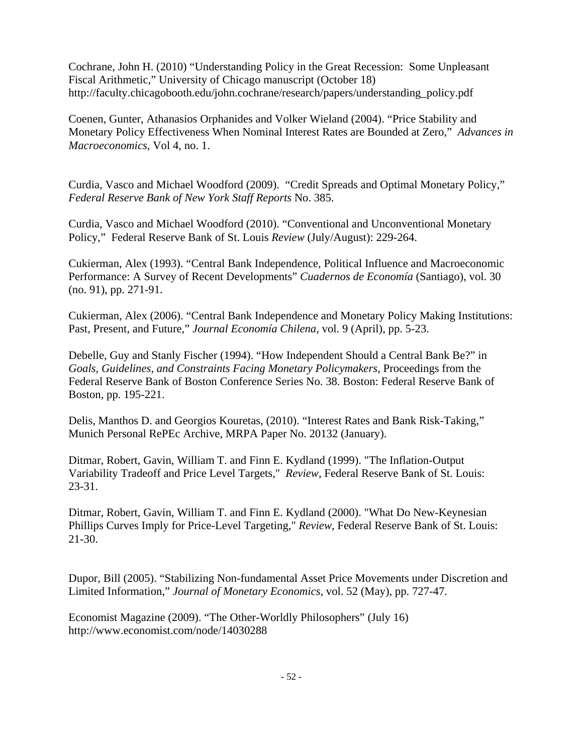Cochrane, John H. (2010) "Understanding Policy in the Great Recession: Some Unpleasant Fiscal Arithmetic," University of Chicago manuscript (October 18) http://faculty.chicagobooth.edu/john.cochrane/research/papers/understanding\_policy.pdf

Coenen, Gunter, Athanasios Orphanides and Volker Wieland (2004). "Price Stability and Monetary Policy Effectiveness When Nominal Interest Rates are Bounded at Zero," *Advances in Macroeconomics,* Vol 4, no. 1.

Curdia, Vasco and Michael Woodford (2009). "Credit Spreads and Optimal Monetary Policy," *Federal Reserve Bank of New York Staff Reports* No. 385.

Curdia, Vasco and Michael Woodford (2010). "Conventional and Unconventional Monetary Policy," Federal Reserve Bank of St. Louis *Review* (July/August): 229-264.

Cukierman, Alex (1993). "Central Bank Independence, Political Influence and Macroeconomic Performance: A Survey of Recent Developments" *Cuadernos de Economía* (Santiago), vol. 30 (no. 91), pp. 271-91.

Cukierman, Alex (2006). "Central Bank Independence and Monetary Policy Making Institutions: Past, Present, and Future," *Journal Economía Chilena*, vol. 9 (April), pp. 5-23.

Debelle, Guy and Stanly Fischer (1994). "How Independent Should a Central Bank Be?" in *Goals, Guidelines, and Constraints Facing Monetary Policymakers*, Proceedings from the Federal Reserve Bank of Boston Conference Series No. 38. Boston: Federal Reserve Bank of Boston, pp. 195-221.

Delis, Manthos D. and Georgios Kouretas, (2010). "Interest Rates and Bank Risk-Taking," Munich Personal RePEc Archive, MRPA Paper No. 20132 (January).

Ditmar, Robert, Gavin, William T. and Finn E. Kydland (1999). "The Inflation-Output Variability Tradeoff and Price Level Targets," *Review*, Federal Reserve Bank of St. Louis: 23-31.

Ditmar, Robert, Gavin, William T. and Finn E. Kydland (2000). "What Do New-Keynesian Phillips Curves Imply for Price-Level Targeting," *Review*, Federal Reserve Bank of St. Louis: 21-30.

Dupor, Bill (2005). "Stabilizing Non-fundamental Asset Price Movements under Discretion and Limited Information," *Journal of Monetary Economics*, vol. 52 (May), pp. 727-47.

Economist Magazine (2009). "The Other-Worldly Philosophers" (July 16) http://www.economist.com/node/14030288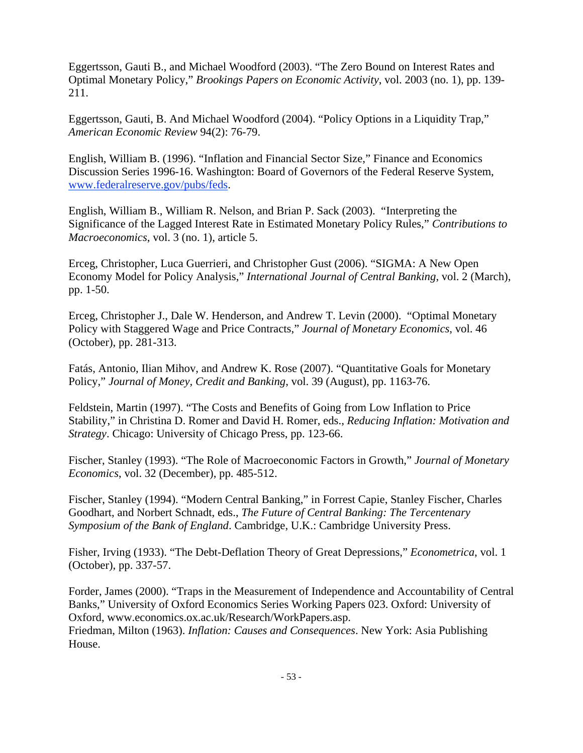Eggertsson, Gauti B., and Michael Woodford (2003). "The Zero Bound on Interest Rates and Optimal Monetary Policy," *Brookings Papers on Economic Activity*, vol. 2003 (no. 1), pp. 139- 211.

Eggertsson, Gauti, B. And Michael Woodford (2004). "Policy Options in a Liquidity Trap," *American Economic Review* 94(2): 76-79.

English, William B. (1996). "Inflation and Financial Sector Size," Finance and Economics Discussion Series 1996-16. Washington: Board of Governors of the Federal Reserve System, www.federalreserve.gov/pubs/feds.

English, William B., William R. Nelson, and Brian P. Sack (2003). "Interpreting the Significance of the Lagged Interest Rate in Estimated Monetary Policy Rules," *Contributions to Macroeconomics*, vol. 3 (no. 1), article 5.

Erceg, Christopher, Luca Guerrieri, and Christopher Gust (2006). "SIGMA: A New Open Economy Model for Policy Analysis," *International Journal of Central Banking*, vol. 2 (March), pp. 1-50.

Erceg, Christopher J., Dale W. Henderson, and Andrew T. Levin (2000). "Optimal Monetary Policy with Staggered Wage and Price Contracts," *Journal of Monetary Economics*, vol. 46 (October), pp. 281-313.

Fatás, Antonio, Ilian Mihov, and Andrew K. Rose (2007). "Quantitative Goals for Monetary Policy," *Journal of Money, Credit and Banking*, vol. 39 (August), pp. 1163-76.

Feldstein, Martin (1997). "The Costs and Benefits of Going from Low Inflation to Price Stability," in Christina D. Romer and David H. Romer, eds., *Reducing Inflation: Motivation and Strategy*. Chicago: University of Chicago Press, pp. 123-66.

Fischer, Stanley (1993). "The Role of Macroeconomic Factors in Growth," *Journal of Monetary Economics*, vol. 32 (December), pp. 485-512.

Fischer, Stanley (1994). "Modern Central Banking," in Forrest Capie, Stanley Fischer, Charles Goodhart, and Norbert Schnadt, eds., *The Future of Central Banking: The Tercentenary Symposium of the Bank of England*. Cambridge, U.K.: Cambridge University Press.

Fisher, Irving (1933). "The Debt-Deflation Theory of Great Depressions," *Econometrica*, vol. 1 (October), pp. 337-57.

Forder, James (2000). "Traps in the Measurement of Independence and Accountability of Central Banks," University of Oxford Economics Series Working Papers 023. Oxford: University of Oxford, www.economics.ox.ac.uk/Research/WorkPapers.asp.

Friedman, Milton (1963). *Inflation: Causes and Consequences*. New York: Asia Publishing House.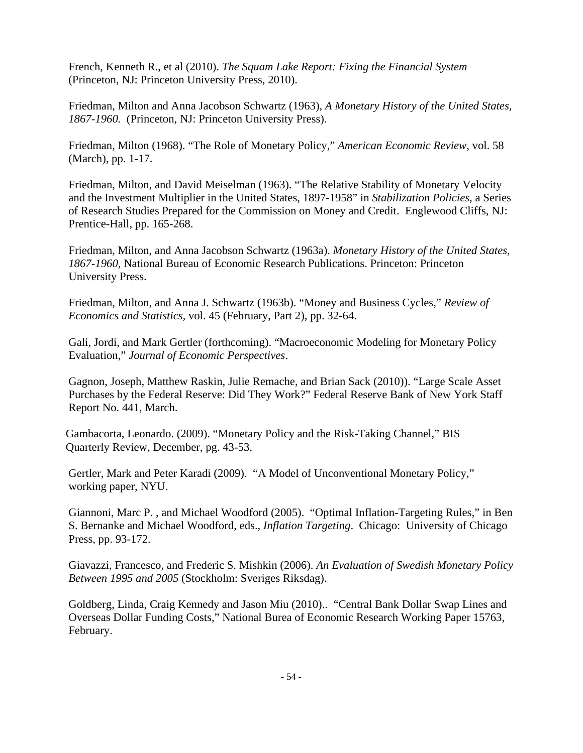French, Kenneth R., et al (2010). *The Squam Lake Report: Fixing the Financial System* (Princeton, NJ: Princeton University Press, 2010).

Friedman, Milton and Anna Jacobson Schwartz (1963), *A Monetary History of the United States, 1867-1960.* (Princeton, NJ: Princeton University Press).

Friedman, Milton (1968). "The Role of Monetary Policy," *American Economic Review*, vol. 58 (March), pp. 1-17.

Friedman, Milton, and David Meiselman (1963). "The Relative Stability of Monetary Velocity and the Investment Multiplier in the United States, 1897-1958" in *Stabilization Policies*, a Series of Research Studies Prepared for the Commission on Money and Credit. Englewood Cliffs, NJ: Prentice-Hall, pp. 165-268.

Friedman, Milton, and Anna Jacobson Schwartz (1963a). *Monetary History of the United States, 1867-1960*, National Bureau of Economic Research Publications. Princeton: Princeton University Press.

Friedman, Milton, and Anna J. Schwartz (1963b). "Money and Business Cycles," *Review of Economics and Statistics,* vol. 45 (February, Part 2), pp. 32-64.

Gali, Jordi, and Mark Gertler (forthcoming). "Macroeconomic Modeling for Monetary Policy Evaluation," *Journal of Economic Perspectives*.

Gagnon, Joseph, Matthew Raskin, Julie Remache, and Brian Sack (2010)). "Large Scale Asset Purchases by the Federal Reserve: Did They Work?" Federal Reserve Bank of New York Staff Report No. 441, March.

Gambacorta, Leonardo. (2009). "Monetary Policy and the Risk-Taking Channel," BIS Quarterly Review, December, pg. 43-53.

Gertler, Mark and Peter Karadi (2009). "A Model of Unconventional Monetary Policy," working paper, NYU.

Giannoni, Marc P. , and Michael Woodford (2005). "Optimal Inflation-Targeting Rules," in Ben S. Bernanke and Michael Woodford, eds., *Inflation Targeting*. Chicago: University of Chicago Press, pp. 93-172.

Giavazzi, Francesco, and Frederic S. Mishkin (2006). *An Evaluation of Swedish Monetary Policy Between 1995 and 2005* (Stockholm: Sveriges Riksdag).

Goldberg, Linda, Craig Kennedy and Jason Miu (2010).. "Central Bank Dollar Swap Lines and Overseas Dollar Funding Costs," National Burea of Economic Research Working Paper 15763, February.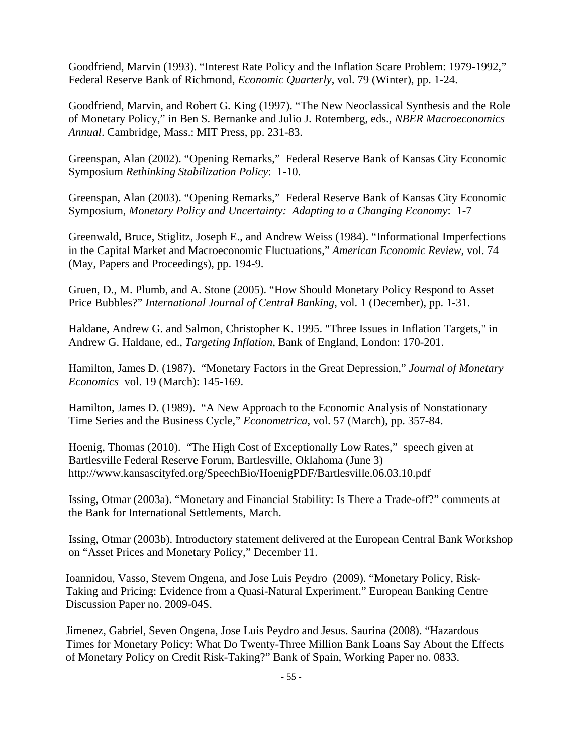Goodfriend, Marvin (1993). "Interest Rate Policy and the Inflation Scare Problem: 1979-1992," Federal Reserve Bank of Richmond, *Economic Quarterly*, vol. 79 (Winter), pp. 1-24.

Goodfriend, Marvin, and Robert G. King (1997). "The New Neoclassical Synthesis and the Role of Monetary Policy," in Ben S. Bernanke and Julio J. Rotemberg, eds., *NBER Macroeconomics Annual*. Cambridge, Mass.: MIT Press, pp. 231-83.

Greenspan, Alan (2002). "Opening Remarks," Federal Reserve Bank of Kansas City Economic Symposium *Rethinking Stabilization Policy*: 1-10.

Greenspan, Alan (2003). "Opening Remarks," Federal Reserve Bank of Kansas City Economic Symposium, *Monetary Policy and Uncertainty: Adapting to a Changing Economy*: 1-7

Greenwald, Bruce, Stiglitz, Joseph E., and Andrew Weiss (1984). "Informational Imperfections in the Capital Market and Macroeconomic Fluctuations," *American Economic Review*, vol. 74 (May, Papers and Proceedings), pp. 194-9.

Gruen, D., M. Plumb, and A. Stone (2005). "How Should Monetary Policy Respond to Asset Price Bubbles?" *International Journal of Central Banking*, vol. 1 (December), pp. 1-31.

Haldane, Andrew G. and Salmon, Christopher K. 1995. "Three Issues in Inflation Targets," in Andrew G. Haldane, ed., *Targeting Inflation*, Bank of England, London: 170-201.

Hamilton, James D. (1987). "Monetary Factors in the Great Depression," *Journal of Monetary Economics* vol. 19 (March): 145-169.

Hamilton, James D. (1989). "A New Approach to the Economic Analysis of Nonstationary Time Series and the Business Cycle," *Econometrica*, vol. 57 (March), pp. 357-84.

Hoenig, Thomas (2010). "The High Cost of Exceptionally Low Rates," speech given at Bartlesville Federal Reserve Forum, Bartlesville, Oklahoma (June 3) http://www.kansascityfed.org/SpeechBio/HoenigPDF/Bartlesville.06.03.10.pdf

Issing, Otmar (2003a). "Monetary and Financial Stability: Is There a Trade-off?" comments at the Bank for International Settlements, March.

Issing, Otmar (2003b). Introductory statement delivered at the European Central Bank Workshop on "Asset Prices and Monetary Policy," December 11.

Ioannidou, Vasso, Stevem Ongena, and Jose Luis Peydro (2009). "Monetary Policy, Risk-Taking and Pricing: Evidence from a Quasi-Natural Experiment." European Banking Centre Discussion Paper no. 2009-04S.

Jimenez, Gabriel, Seven Ongena, Jose Luis Peydro and Jesus. Saurina (2008). "Hazardous Times for Monetary Policy: What Do Twenty-Three Million Bank Loans Say About the Effects of Monetary Policy on Credit Risk-Taking?" Bank of Spain, Working Paper no. 0833.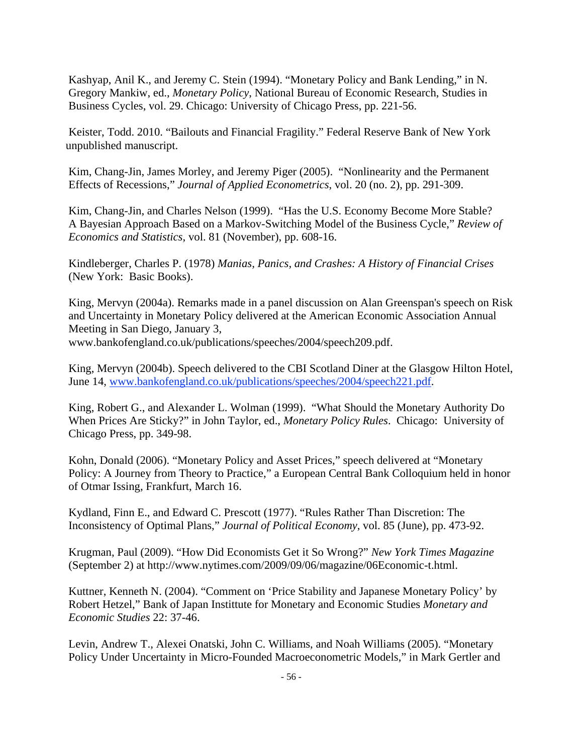Kashyap, Anil K., and Jeremy C. Stein (1994). "Monetary Policy and Bank Lending," in N. Gregory Mankiw, ed., *Monetary Policy*, National Bureau of Economic Research, Studies in Business Cycles, vol. 29. Chicago: University of Chicago Press, pp. 221-56.

 Keister, Todd. 2010. "Bailouts and Financial Fragility." Federal Reserve Bank of New York unpublished manuscript.

Kim, Chang-Jin, James Morley, and Jeremy Piger (2005). "Nonlinearity and the Permanent Effects of Recessions," *Journal of Applied Econometrics*, vol. 20 (no. 2), pp. 291-309.

Kim, Chang-Jin, and Charles Nelson (1999). "Has the U.S. Economy Become More Stable? A Bayesian Approach Based on a Markov-Switching Model of the Business Cycle," *Review of Economics and Statistics*, vol. 81 (November), pp. 608-16.

Kindleberger, Charles P. (1978) *Manias, Panics, and Crashes: A History of Financial Crises* (New York: Basic Books).

King, Mervyn (2004a). Remarks made in a panel discussion on Alan Greenspan's speech on Risk and Uncertainty in Monetary Policy delivered at the American Economic Association Annual Meeting in San Diego, January 3, www.bankofengland.co.uk/publications/speeches/2004/speech209.pdf.

King, Mervyn (2004b). Speech delivered to the CBI Scotland Diner at the Glasgow Hilton Hotel, June 14, www.bankofengland.co.uk/publications/speeches/2004/speech221.pdf.

King, Robert G., and Alexander L. Wolman (1999). "What Should the Monetary Authority Do When Prices Are Sticky?" in John Taylor, ed., *Monetary Policy Rules*. Chicago: University of Chicago Press, pp. 349-98.

Kohn, Donald (2006). "Monetary Policy and Asset Prices," speech delivered at "Monetary Policy: A Journey from Theory to Practice," a European Central Bank Colloquium held in honor of Otmar Issing, Frankfurt, March 16.

Kydland, Finn E., and Edward C. Prescott (1977). "Rules Rather Than Discretion: The Inconsistency of Optimal Plans," *Journal of Political Economy*, vol. 85 (June), pp. 473-92.

Krugman, Paul (2009). "How Did Economists Get it So Wrong?" *New York Times Magazine* (September 2) at http://www.nytimes.com/2009/09/06/magazine/06Economic-t.html.

Kuttner, Kenneth N. (2004). "Comment on 'Price Stability and Japanese Monetary Policy' by Robert Hetzel," Bank of Japan Instittute for Monetary and Economic Studies *Monetary and Economic Studies* 22: 37-46.

Levin, Andrew T., Alexei Onatski, John C. Williams, and Noah Williams (2005). "Monetary Policy Under Uncertainty in Micro-Founded Macroeconometric Models," in Mark Gertler and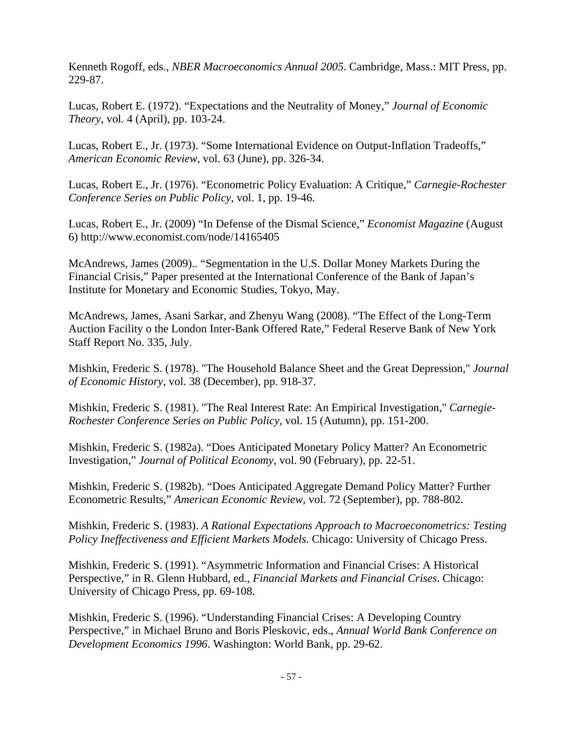Kenneth Rogoff, eds., *NBER Macroeconomics Annual 2005*. Cambridge, Mass.: MIT Press, pp. 229-87.

Lucas, Robert E. (1972). "Expectations and the Neutrality of Money," *Journal of Economic Theory*, vol. 4 (April), pp. 103-24.

Lucas, Robert E., Jr. (1973). "Some International Evidence on Output-Inflation Tradeoffs," *American Economic Review*, vol. 63 (June), pp. 326-34.

Lucas, Robert E., Jr. (1976). "Econometric Policy Evaluation: A Critique," *Carnegie-Rochester Conference Series on Public Policy*, vol. 1, pp. 19-46.

Lucas, Robert E., Jr. (2009) "In Defense of the Dismal Science," *Economist Magazine* (August 6) http://www.economist.com/node/14165405

McAndrews, James (2009).. "Segmentation in the U.S. Dollar Money Markets During the Financial Crisis," Paper presented at the International Conference of the Bank of Japan's Institute for Monetary and Economic Studies, Tokyo, May.

McAndrews, James, Asani Sarkar, and Zhenyu Wang (2008). "The Effect of the Long-Term Auction Facility o the London Inter-Bank Offered Rate," Federal Reserve Bank of New York Staff Report No. 335, July.

Mishkin, Frederic S. (1978). "The Household Balance Sheet and the Great Depression," *Journal of Economic History*, vol. 38 (December), pp. 918-37.

Mishkin, Frederic S. (1981). "The Real Interest Rate: An Empirical Investigation," *Carnegie-Rochester Conference Series on Public Policy*, vol. 15 (Autumn), pp. 151-200.

Mishkin, Frederic S. (1982a). "Does Anticipated Monetary Policy Matter? An Econometric Investigation," *Journal of Political Economy*, vol. 90 (February), pp. 22-51.

Mishkin, Frederic S. (1982b). "Does Anticipated Aggregate Demand Policy Matter? Further Econometric Results," *American Economic Review*, vol. 72 (September), pp. 788-802.

Mishkin, Frederic S. (1983). *A Rational Expectations Approach to Macroeconometrics: Testing Policy Ineffectiveness and Efficient Markets Models*. Chicago: University of Chicago Press.

Mishkin, Frederic S. (1991). "Asymmetric Information and Financial Crises: A Historical Perspective," in R. Glenn Hubbard, ed., *Financial Markets and Financial Crises*. Chicago: University of Chicago Press, pp. 69-108.

Mishkin, Frederic S. (1996). "Understanding Financial Crises: A Developing Country Perspective," in Michael Bruno and Boris Pleskovic, eds., *Annual World Bank Conference on Development Economics 1996*. Washington: World Bank, pp. 29-62.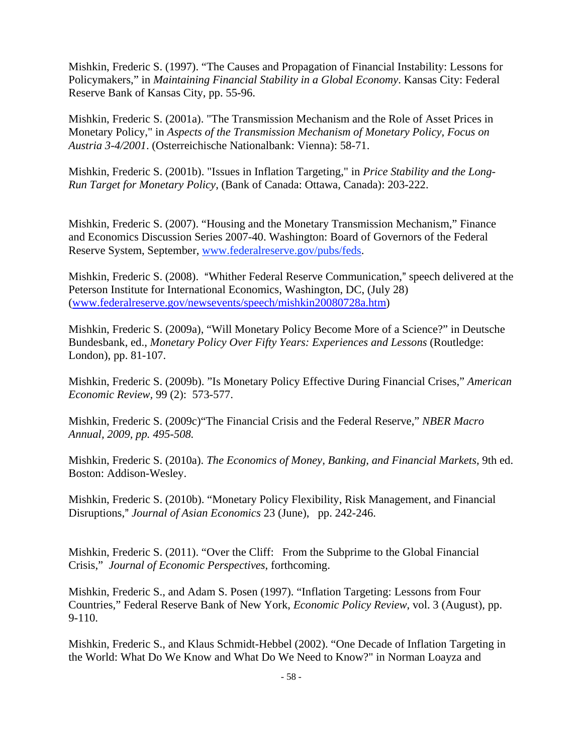Mishkin, Frederic S. (1997). "The Causes and Propagation of Financial Instability: Lessons for Policymakers," in *Maintaining Financial Stability in a Global Economy*. Kansas City: Federal Reserve Bank of Kansas City, pp. 55-96.

Mishkin, Frederic S. (2001a). "The Transmission Mechanism and the Role of Asset Prices in Monetary Policy," in *Aspects of the Transmission Mechanism of Monetary Policy, Focus on Austria 3-4/2001*. (Osterreichische Nationalbank: Vienna): 58-71.

Mishkin, Frederic S. (2001b). "Issues in Inflation Targeting," in *Price Stability and the Long-Run Target for Monetary Policy*, (Bank of Canada: Ottawa, Canada): 203-222.

Mishkin, Frederic S. (2007). "Housing and the Monetary Transmission Mechanism," Finance and Economics Discussion Series 2007-40. Washington: Board of Governors of the Federal Reserve System, September, www.federalreserve.gov/pubs/feds.

Mishkin, Frederic S. (2008). "Whither Federal Reserve Communication," speech delivered at the Peterson Institute for International Economics, Washington, DC, (July 28) (www.federalreserve.gov/newsevents/speech/mishkin20080728a.htm)

Mishkin, Frederic S. (2009a), "Will Monetary Policy Become More of a Science?" in Deutsche Bundesbank, ed., *Monetary Policy Over Fifty Years: Experiences and Lessons* (Routledge: London), pp. 81-107.

Mishkin, Frederic S. (2009b). "Is Monetary Policy Effective During Financial Crises," *American Economic Review,* 99 (2): 573-577.

Mishkin, Frederic S. (2009c)"The Financial Crisis and the Federal Reserve," *NBER Macro Annual, 2009, pp. 495-508.* 

Mishkin, Frederic S. (2010a). *The Economics of Money, Banking, and Financial Markets,* 9th ed. Boston: Addison-Wesley.

Mishkin, Frederic S. (2010b). "Monetary Policy Flexibility, Risk Management, and Financial Disruptions," *Journal of Asian Economics* 23 (June), pp. 242-246.

Mishkin, Frederic S. (2011). "Over the Cliff: From the Subprime to the Global Financial Crisis," *Journal of Economic Perspectives*, forthcoming.

Mishkin, Frederic S., and Adam S. Posen (1997). "Inflation Targeting: Lessons from Four Countries," Federal Reserve Bank of New York, *Economic Policy Review*, vol. 3 (August), pp. 9-110.

Mishkin, Frederic S., and Klaus Schmidt-Hebbel (2002). "One Decade of Inflation Targeting in the World: What Do We Know and What Do We Need to Know?" in Norman Loayza and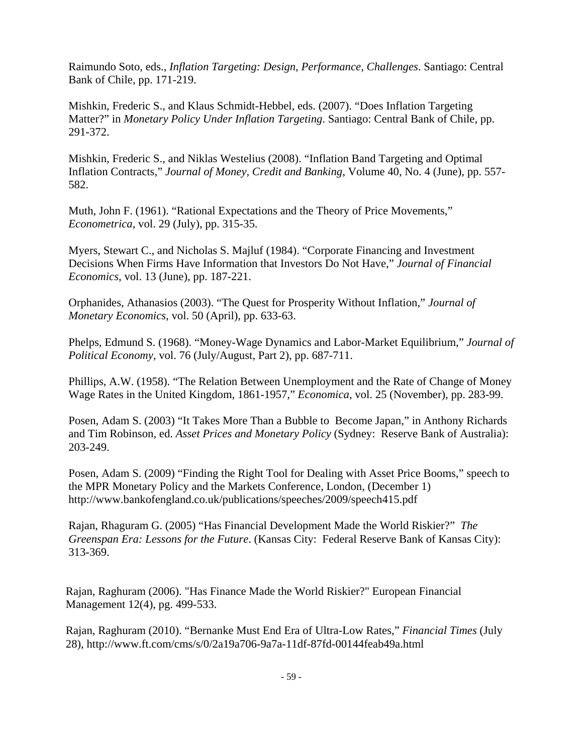Raimundo Soto, eds., *Inflation Targeting: Design, Performance, Challenges*. Santiago: Central Bank of Chile, pp. 171-219.

Mishkin, Frederic S., and Klaus Schmidt-Hebbel, eds. (2007). "Does Inflation Targeting Matter?" in *Monetary Policy Under Inflation Targeting*. Santiago: Central Bank of Chile, pp. 291-372.

Mishkin, Frederic S., and Niklas Westelius (2008). "Inflation Band Targeting and Optimal Inflation Contracts," *Journal of Money, Credit and Banking*, Volume 40, No. 4 (June), pp. 557- 582.

Muth, John F. (1961). "Rational Expectations and the Theory of Price Movements," *Econometrica*, vol. 29 (July), pp. 315-35.

Myers, Stewart C., and Nicholas S. Majluf (1984). "Corporate Financing and Investment Decisions When Firms Have Information that Investors Do Not Have," *Journal of Financial Economics*, vol. 13 (June), pp. 187-221.

Orphanides, Athanasios (2003). "The Quest for Prosperity Without Inflation," *Journal of Monetary Economics*, vol. 50 (April), pp. 633-63.

Phelps, Edmund S. (1968). "Money-Wage Dynamics and Labor-Market Equilibrium," *Journal of Political Economy*, vol. 76 (July/August, Part 2), pp. 687-711.

Phillips, A.W. (1958). "The Relation Between Unemployment and the Rate of Change of Money Wage Rates in the United Kingdom, 1861-1957," *Economica*, vol. 25 (November), pp. 283-99.

Posen, Adam S. (2003) "It Takes More Than a Bubble to Become Japan," in Anthony Richards and Tim Robinson, ed. *Asset Prices and Monetary Policy* (Sydney: Reserve Bank of Australia): 203-249.

Posen, Adam S. (2009) "Finding the Right Tool for Dealing with Asset Price Booms," speech to the MPR Monetary Policy and the Markets Conference, London, (December 1) http://www.bankofengland.co.uk/publications/speeches/2009/speech415.pdf

Rajan, Rhaguram G. (2005) "Has Financial Development Made the World Riskier?" *The Greenspan Era: Lessons for the Future*. (Kansas City: Federal Reserve Bank of Kansas City): 313-369.

Rajan, Raghuram (2006). "Has Finance Made the World Riskier?" European Financial Management 12(4), pg. 499-533.

Rajan, Raghuram (2010). "Bernanke Must End Era of Ultra-Low Rates," *Financial Times* (July 28), http://www.ft.com/cms/s/0/2a19a706-9a7a-11df-87fd-00144feab49a.html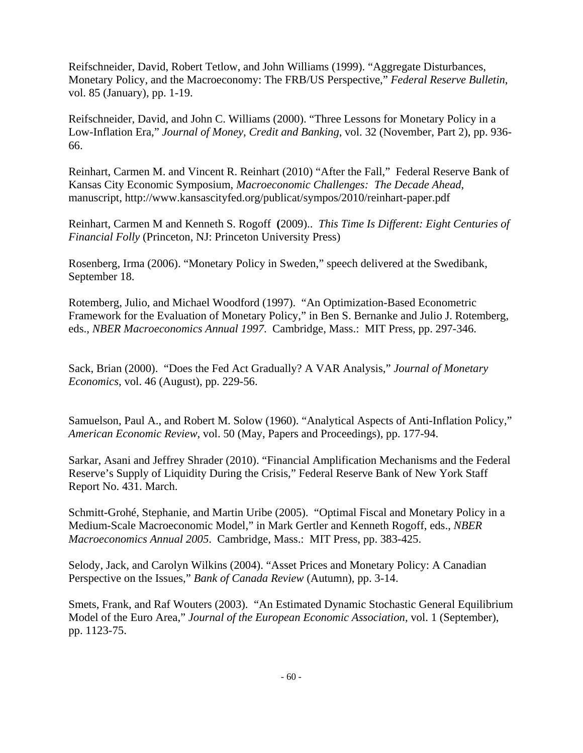Reifschneider, David, Robert Tetlow, and John Williams (1999). "Aggregate Disturbances, Monetary Policy, and the Macroeconomy: The FRB/US Perspective," *Federal Reserve Bulletin*, vol. 85 (January), pp. 1-19.

Reifschneider, David, and John C. Williams (2000). "Three Lessons for Monetary Policy in a Low-Inflation Era," *Journal of Money, Credit and Banking*, vol. 32 (November, Part 2), pp. 936- 66.

Reinhart, Carmen M. and Vincent R. Reinhart (2010) "After the Fall," Federal Reserve Bank of Kansas City Economic Symposium, *Macroeconomic Challenges: The Decade Ahead*, manuscript, http://www.kansascityfed.org/publicat/sympos/2010/reinhart-paper.pdf

Reinhart, Carmen M and Kenneth S. Rogoff **(**2009).. *This Time Is Different: Eight Centuries of Financial Folly* (Princeton, NJ: Princeton University Press)

Rosenberg, Irma (2006). "Monetary Policy in Sweden," speech delivered at the Swedibank, September 18.

Rotemberg, Julio, and Michael Woodford (1997). "An Optimization-Based Econometric Framework for the Evaluation of Monetary Policy," in Ben S. Bernanke and Julio J. Rotemberg, eds., *NBER Macroeconomics Annual 1997*. Cambridge, Mass.: MIT Press, pp. 297-346.

Sack, Brian (2000). "Does the Fed Act Gradually? A VAR Analysis," *Journal of Monetary Economics*, vol. 46 (August), pp. 229-56.

Samuelson, Paul A., and Robert M. Solow (1960). "Analytical Aspects of Anti-Inflation Policy," *American Economic Review*, vol. 50 (May, Papers and Proceedings), pp. 177-94.

Sarkar, Asani and Jeffrey Shrader (2010). "Financial Amplification Mechanisms and the Federal Reserve's Supply of Liquidity During the Crisis," Federal Reserve Bank of New York Staff Report No. 431. March.

Schmitt-Grohé, Stephanie, and Martin Uribe (2005). "Optimal Fiscal and Monetary Policy in a Medium-Scale Macroeconomic Model," in Mark Gertler and Kenneth Rogoff, eds., *NBER Macroeconomics Annual 2005*. Cambridge, Mass.: MIT Press, pp. 383-425.

Selody, Jack, and Carolyn Wilkins (2004). "Asset Prices and Monetary Policy: A Canadian Perspective on the Issues," *Bank of Canada Review* (Autumn), pp. 3-14.

Smets, Frank, and Raf Wouters (2003). "An Estimated Dynamic Stochastic General Equilibrium Model of the Euro Area," *Journal of the European Economic Association*, vol. 1 (September), pp. 1123-75.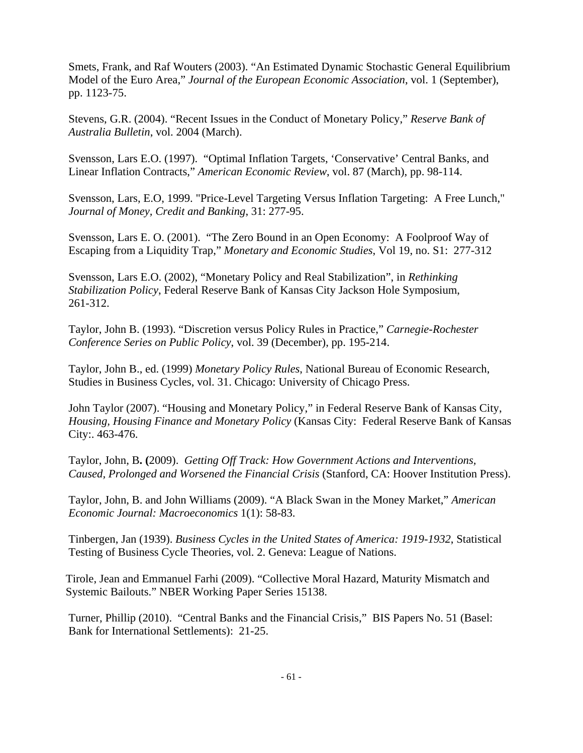Smets, Frank, and Raf Wouters (2003). "An Estimated Dynamic Stochastic General Equilibrium Model of the Euro Area," *Journal of the European Economic Association*, vol. 1 (September), pp. 1123-75.

Stevens, G.R. (2004). "Recent Issues in the Conduct of Monetary Policy," *Reserve Bank of Australia Bulletin*, vol. 2004 (March).

Svensson, Lars E.O. (1997). "Optimal Inflation Targets, 'Conservative' Central Banks, and Linear Inflation Contracts," *American Economic Review*, vol. 87 (March), pp. 98-114.

Svensson, Lars, E.O, 1999. "Price-Level Targeting Versus Inflation Targeting: A Free Lunch," *Journal of Money, Credit and Banking*, 31: 277-95.

Svensson, Lars E. O. (2001). "The Zero Bound in an Open Economy: A Foolproof Way of Escaping from a Liquidity Trap," *Monetary and Economic Studies*, Vol 19, no. S1: 277-312

Svensson, Lars E.O. (2002), "Monetary Policy and Real Stabilization", in *Rethinking Stabilization Policy*, Federal Reserve Bank of Kansas City Jackson Hole Symposium, 261-312.

Taylor, John B. (1993). "Discretion versus Policy Rules in Practice," *Carnegie-Rochester Conference Series on Public Policy*, vol. 39 (December), pp. 195-214.

Taylor, John B., ed. (1999) *Monetary Policy Rules*, National Bureau of Economic Research, Studies in Business Cycles, vol. 31. Chicago: University of Chicago Press.

John Taylor (2007). "Housing and Monetary Policy," in Federal Reserve Bank of Kansas City, *Housing, Housing Finance and Monetary Policy* (Kansas City: Federal Reserve Bank of Kansas City:. 463-476.

Taylor, John, B**. (**2009). *Getting Off Track: How Government Actions and Interventions, Caused, Prolonged and Worsened the Financial Crisis* (Stanford, CA: Hoover Institution Press).

Taylor, John, B. and John Williams (2009). "A Black Swan in the Money Market," *American Economic Journal: Macroeconomics* 1(1): 58-83.

Tinbergen, Jan (1939). *Business Cycles in the United States of America: 1919-1932*, Statistical Testing of Business Cycle Theories, vol. 2. Geneva: League of Nations.

Tirole, Jean and Emmanuel Farhi (2009). "Collective Moral Hazard, Maturity Mismatch and Systemic Bailouts." NBER Working Paper Series 15138.

Turner, Phillip (2010). "Central Banks and the Financial Crisis," BIS Papers No. 51 (Basel: Bank for International Settlements): 21-25.